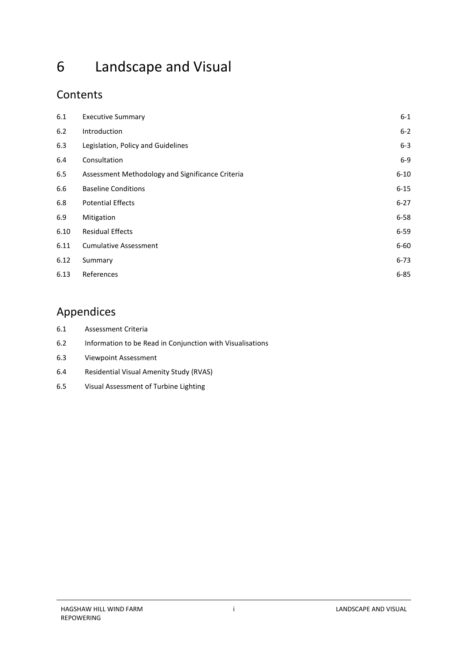# 6 Landscape and Visual

# Contents

| 6.1  | <b>Executive Summary</b>                         | $6 - 1$  |
|------|--------------------------------------------------|----------|
| 6.2  | Introduction                                     | $6 - 2$  |
| 6.3  | Legislation, Policy and Guidelines               | $6 - 3$  |
| 6.4  | Consultation                                     | $6-9$    |
| 6.5  | Assessment Methodology and Significance Criteria | $6 - 10$ |
| 6.6  | <b>Baseline Conditions</b>                       | $6 - 15$ |
| 6.8  | <b>Potential Effects</b>                         | $6 - 27$ |
| 6.9  | Mitigation                                       | $6 - 58$ |
| 6.10 | <b>Residual Effects</b>                          | $6 - 59$ |
| 6.11 | <b>Cumulative Assessment</b>                     | $6 - 60$ |
| 6.12 | Summary                                          | $6 - 73$ |
| 6.13 | References                                       | $6 - 85$ |

# Appendices

- 6.1 Assessment Criteria
- 6.2 Information to be Read in Conjunction with Visualisations
- 6.3 Viewpoint Assessment
- 6.4 Residential Visual Amenity Study (RVAS)
- 6.5 Visual Assessment of Turbine Lighting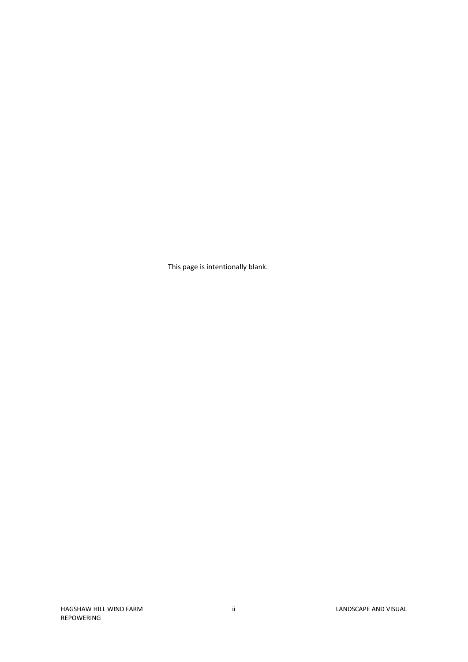This page is intentionally blank.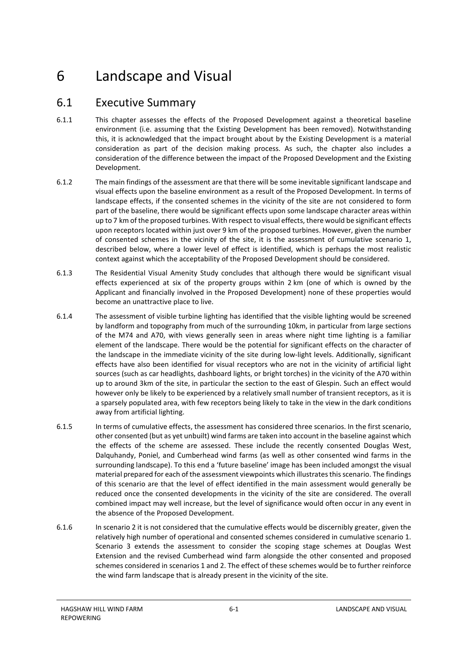# 6 Landscape and Visual

# <span id="page-2-0"></span>6.1 Executive Summary

- 6.1.1 This chapter assesses the effects of the Proposed Development against a theoretical baseline environment (i.e. assuming that the Existing Development has been removed). Notwithstanding this, it is acknowledged that the impact brought about by the Existing Development is a material consideration as part of the decision making process. As such, the chapter also includes a consideration of the difference between the impact of the Proposed Development and the Existing Development.
- 6.1.2 The main findings of the assessment are that there will be some inevitable significant landscape and visual effects upon the baseline environment as a result of the Proposed Development. In terms of landscape effects, if the consented schemes in the vicinity of the site are not considered to form part of the baseline, there would be significant effects upon some landscape character areas within up to 7 km of the proposed turbines. With respect to visual effects, there would be significant effects upon receptors located within just over 9 km of the proposed turbines. However, given the number of consented schemes in the vicinity of the site, it is the assessment of cumulative scenario 1, described below, where a lower level of effect is identified, which is perhaps the most realistic context against which the acceptability of the Proposed Development should be considered.
- 6.1.3 The Residential Visual Amenity Study concludes that although there would be significant visual effects experienced at six of the property groups within 2 km (one of which is owned by the Applicant and financially involved in the Proposed Development) none of these properties would become an unattractive place to live.
- 6.1.4 The assessment of visible turbine lighting has identified that the visible lighting would be screened by landform and topography from much of the surrounding 10km, in particular from large sections of the M74 and A70, with views generally seen in areas where night time lighting is a familiar element of the landscape. There would be the potential for significant effects on the character of the landscape in the immediate vicinity of the site during low-light levels. Additionally, significant effects have also been identified for visual receptors who are not in the vicinity of artificial light sources (such as car headlights, dashboard lights, or bright torches) in the vicinity of the A70 within up to around 3km of the site, in particular the section to the east of Glespin. Such an effect would however only be likely to be experienced by a relatively small number of transient receptors, as it is a sparsely populated area, with few receptors being likely to take in the view in the dark conditions away from artificial lighting.
- 6.1.5 In terms of cumulative effects, the assessment has considered three scenarios. In the first scenario, other consented (but as yet unbuilt) wind farms are taken into account in the baseline against which the effects of the scheme are assessed. These include the recently consented Douglas West, Dalquhandy, Poniel, and Cumberhead wind farms (as well as other consented wind farms in the surrounding landscape). To this end a 'future baseline' image has been included amongst the visual material prepared for each of the assessment viewpoints which illustrates this scenario. The findings of this scenario are that the level of effect identified in the main assessment would generally be reduced once the consented developments in the vicinity of the site are considered. The overall combined impact may well increase, but the level of significance would often occur in any event in the absence of the Proposed Development.
- 6.1.6 In scenario 2 it is not considered that the cumulative effects would be discernibly greater, given the relatively high number of operational and consented schemes considered in cumulative scenario 1. Scenario 3 extends the assessment to consider the scoping stage schemes at Douglas West Extension and the revised Cumberhead wind farm alongside the other consented and proposed schemes considered in scenarios 1 and 2. The effect of these schemes would be to further reinforce the wind farm landscape that is already present in the vicinity of the site.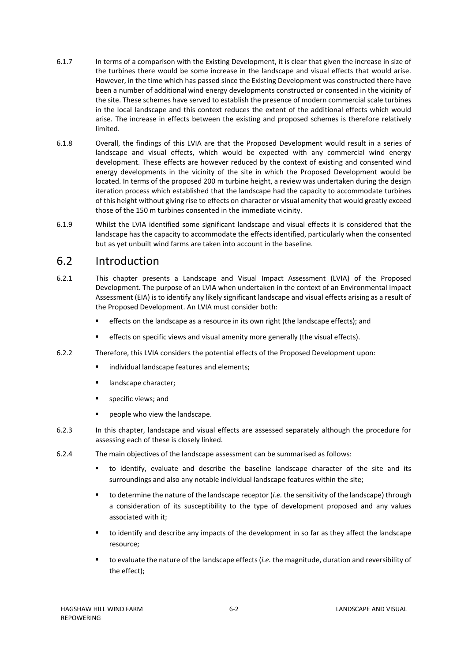- 6.1.7 In terms of a comparison with the Existing Development, it is clear that given the increase in size of the turbines there would be some increase in the landscape and visual effects that would arise. However, in the time which has passed since the Existing Development was constructed there have been a number of additional wind energy developments constructed or consented in the vicinity of the site. These schemes have served to establish the presence of modern commercial scale turbines in the local landscape and this context reduces the extent of the additional effects which would arise. The increase in effects between the existing and proposed schemes is therefore relatively limited.
- 6.1.8 Overall, the findings of this LVIA are that the Proposed Development would result in a series of landscape and visual effects, which would be expected with any commercial wind energy development. These effects are however reduced by the context of existing and consented wind energy developments in the vicinity of the site in which the Proposed Development would be located. In terms of the proposed 200 m turbine height, a review was undertaken during the design iteration process which established that the landscape had the capacity to accommodate turbines of this height without giving rise to effects on character or visual amenity that would greatly exceed those of the 150 m turbines consented in the immediate vicinity.
- 6.1.9 Whilst the LVIA identified some significant landscape and visual effects it is considered that the landscape has the capacity to accommodate the effects identified, particularly when the consented but as yet unbuilt wind farms are taken into account in the baseline.

# <span id="page-3-0"></span>6.2 Introduction

- 6.2.1 This chapter presents a Landscape and Visual Impact Assessment (LVIA) of the Proposed Development. The purpose of an LVIA when undertaken in the context of an Environmental Impact Assessment (EIA) is to identify any likely significant landscape and visual effects arising as a result of the Proposed Development. An LVIA must consider both:
	- **EXECTE ASSESS** on the landscape as a resource in its own right (the landscape effects); and
	- **EXECTE SHETE IS SET UPS A LOCAL EXECTE VIEGOS** effects on specific views and visual visual effects).
- 6.2.2 Therefore, this LVIA considers the potential effects of the Proposed Development upon:
	- **imally individual landscape features and elements;**
	- **Independent in the landscape character;**
	- **specific views; and**
	- people who view the landscape.
- 6.2.3 In this chapter, landscape and visual effects are assessed separately although the procedure for assessing each of these is closely linked.
- 6.2.4 The main objectives of the landscape assessment can be summarised as follows:
	- to identify, evaluate and describe the baseline landscape character of the site and its surroundings and also any notable individual landscape features within the site;
	- to determine the nature of the landscape receptor (*i.e.* the sensitivity of the landscape) through a consideration of its susceptibility to the type of development proposed and any values associated with it;
	- to identify and describe any impacts of the development in so far as they affect the landscape resource;
	- to evaluate the nature of the landscape effects (*i.e.* the magnitude, duration and reversibility of the effect);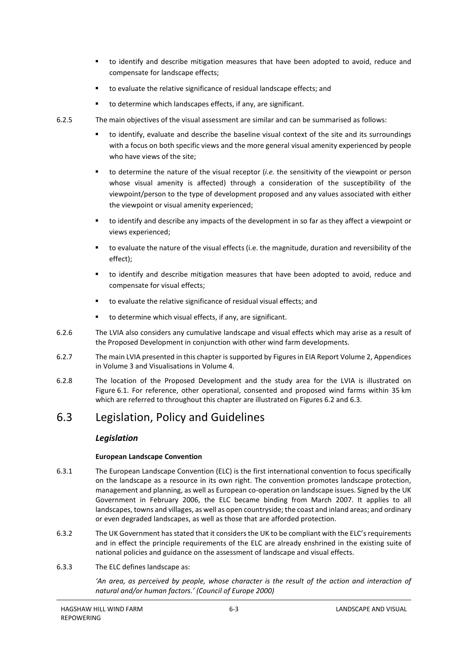- to identify and describe mitigation measures that have been adopted to avoid, reduce and compensate for landscape effects;
- to evaluate the relative significance of residual landscape effects; and
- to determine which landscapes effects, if any, are significant.
- 6.2.5 The main objectives of the visual assessment are similar and can be summarised as follows:
	- to identify, evaluate and describe the baseline visual context of the site and its surroundings with a focus on both specific views and the more general visual amenity experienced by people who have views of the site;
	- to determine the nature of the visual receptor (*i.e.* the sensitivity of the viewpoint or person whose visual amenity is affected) through a consideration of the susceptibility of the viewpoint/person to the type of development proposed and any values associated with either the viewpoint or visual amenity experienced;
	- to identify and describe any impacts of the development in so far as they affect a viewpoint or views experienced;
	- to evaluate the nature of the visual effects (i.e. the magnitude, duration and reversibility of the effect);
	- to identify and describe mitigation measures that have been adopted to avoid, reduce and compensate for visual effects;
	- to evaluate the relative significance of residual visual effects; and
	- to determine which visual effects, if any, are significant.
- 6.2.6 The LVIA also considers any cumulative landscape and visual effects which may arise as a result of the Proposed Development in conjunction with other wind farm developments.
- 6.2.7 The main LVIA presented in this chapter is supported by Figures in EIA Report Volume 2, Appendices in Volume 3 and Visualisations in Volume 4.
- 6.2.8 The location of the Proposed Development and the study area for the LVIA is illustrated on Figure 6.1. For reference, other operational, consented and proposed wind farms within 35 km which are referred to throughout this chapter are illustrated on Figures 6.2 and 6.3.

# <span id="page-4-0"></span>6.3 Legislation, Policy and Guidelines

# *Legislation*

# **European Landscape Convention**

- 6.3.1 The European Landscape Convention (ELC) is the first international convention to focus specifically on the landscape as a resource in its own right. The convention promotes landscape protection, management and planning, as well as European co-operation on landscape issues. Signed by the UK Government in February 2006, the ELC became binding from March 2007. It applies to all landscapes, towns and villages, as well as open countryside; the coast and inland areas; and ordinary or even degraded landscapes, as well as those that are afforded protection.
- 6.3.2 The UK Government has stated that it considers the UK to be compliant with the ELC's requirements and in effect the principle requirements of the ELC are already enshrined in the existing suite of national policies and guidance on the assessment of landscape and visual effects.
- 6.3.3 The ELC defines landscape as:

*'An area, as perceived by people, whose character is the result of the action and interaction of natural and/or human factors.' (Council of Europe 2000)*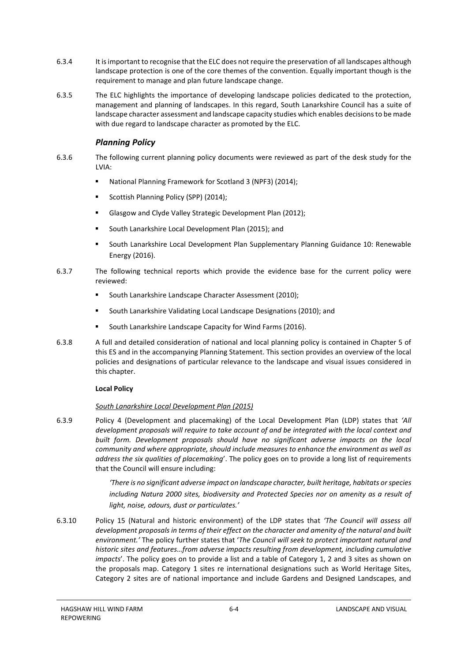- 6.3.4 It is important to recognise that the ELC does not require the preservation of all landscapes although landscape protection is one of the core themes of the convention. Equally important though is the requirement to manage and plan future landscape change.
- 6.3.5 The ELC highlights the importance of developing landscape policies dedicated to the protection, management and planning of landscapes. In this regard, South Lanarkshire Council has a suite of landscape character assessment and landscape capacity studies which enables decisions to be made with due regard to landscape character as promoted by the ELC.

# *Planning Policy*

- 6.3.6 The following current planning policy documents were reviewed as part of the desk study for the LVIA:
	- National Planning Framework for Scotland 3 (NPF3) (2014);
	- **Scottish Planning Policy (SPP) (2014);**
	- Glasgow and Clyde Valley Strategic Development Plan (2012);
	- **South Lanarkshire Local Development Plan (2015): and**
	- **South Lanarkshire Local Development Plan Supplementary Planning Guidance 10: Renewable** Energy (2016).
- 6.3.7 The following technical reports which provide the evidence base for the current policy were reviewed:
	- South Lanarkshire Landscape Character Assessment (2010);
	- **South Lanarkshire Validating Local Landscape Designations (2010); and**
	- South Lanarkshire Landscape Capacity for Wind Farms (2016).
- 6.3.8 A full and detailed consideration of national and local planning policy is contained in Chapter 5 of this ES and in the accompanying Planning Statement. This section provides an overview of the local policies and designations of particular relevance to the landscape and visual issues considered in this chapter.

# **Local Policy**

# *South Lanarkshire Local Development Plan (2015)*

6.3.9 Policy 4 (Development and placemaking) of the Local Development Plan (LDP) states that *'All development proposals will require to take account of and be integrated with the local context and built form. Development proposals should have no significant adverse impacts on the local community and where appropriate, should include measures to enhance the environment as well as address the six qualities of placemaking*'. The policy goes on to provide a long list of requirements that the Council will ensure including:

> *'There is no significant adverse impact on landscape character, built heritage, habitats or species including Natura 2000 sites, biodiversity and Protected Species nor on amenity as a result of light, noise, odours, dust or particulates.'*

6.3.10 Policy 15 (Natural and historic environment) of the LDP states that *'The Council will assess all development proposals in terms of their effect on the character and amenity of the natural and built environment.'* The policy further states that '*The Council will seek to protect important natural and historic sites and features…from adverse impacts resulting from development, including cumulative impacts*'. The policy goes on to provide a list and a table of Category 1, 2 and 3 sites as shown on the proposals map. Category 1 sites re international designations such as World Heritage Sites, Category 2 sites are of national importance and include Gardens and Designed Landscapes, and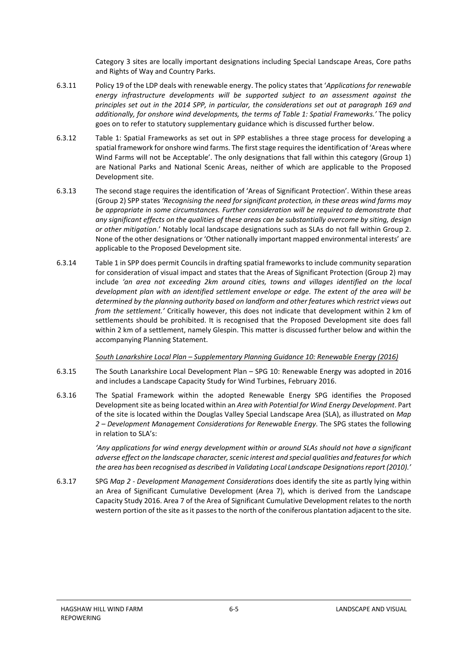Category 3 sites are locally important designations including Special Landscape Areas, Core paths and Rights of Way and Country Parks.

- 6.3.11 Policy 19 of the LDP deals with renewable energy. The policy states that '*Applications for renewable energy infrastructure developments will be supported subject to an assessment against the principles set out in the 2014 SPP, in particular, the considerations set out at paragraph 169 and additionally, for onshore wind developments, the terms of Table 1: Spatial Frameworks.'* The policy goes on to refer to statutory supplementary guidance which is discussed further below.
- 6.3.12 Table 1: Spatial Frameworks as set out in SPP establishes a three stage process for developing a spatial framework for onshore wind farms. The first stage requires the identification of 'Areas where Wind Farms will not be Acceptable'. The only designations that fall within this category (Group 1) are National Parks and National Scenic Areas, neither of which are applicable to the Proposed Development site.
- 6.3.13 The second stage requires the identification of 'Areas of Significant Protection'. Within these areas (Group 2) SPP states *'Recognising the need for significant protection, in these areas wind farms may be appropriate in some circumstances. Further consideration will be required to demonstrate that any significant effects on the qualities of these areas can be substantially overcome by siting, design or other mitigation*.' Notably local landscape designations such as SLAs do not fall within Group 2. None of the other designations or 'Other nationally important mapped environmental interests' are applicable to the Proposed Development site.
- 6.3.14 Table 1 in SPP does permit Councils in drafting spatial frameworks to include community separation for consideration of visual impact and states that the Areas of Significant Protection (Group 2) may include *'an area not exceeding 2km around cities, towns and villages identified on the local development plan with an identified settlement envelope or edge. The extent of the area will be determined by the planning authority based on landform and other features which restrict views out from the settlement.'* Critically however, this does not indicate that development within 2 km of settlements should be prohibited. It is recognised that the Proposed Development site does fall within 2 km of a settlement, namely Glespin. This matter is discussed further below and within the accompanying Planning Statement.

#### *South Lanarkshire Local Plan – Supplementary Planning Guidance 10: Renewable Energy (2016)*

- 6.3.15 The South Lanarkshire Local Development Plan SPG 10: Renewable Energy was adopted in 2016 and includes a Landscape Capacity Study for Wind Turbines, February 2016.
- 6.3.16 The Spatial Framework within the adopted Renewable Energy SPG identifies the Proposed Development site as being located within an *Area with Potential for Wind Energy Development*. Part of the site is located within the Douglas Valley Special Landscape Area (SLA), as illustrated on *Map 2 – Development Management Considerations for Renewable Energy*. The SPG states the following in relation to SLA's:

*'Any applications for wind energy development within or around SLAs should not have a significant adverse effect on the landscape character, scenic interest and special qualities and features for which the area has been recognised as described in Validating Local Landscape Designations report (2010).'*

6.3.17 SPG *Map 2 - Development Management Considerations* does identify the site as partly lying within an Area of Significant Cumulative Development (Area 7), which is derived from the Landscape Capacity Study 2016. Area 7 of the Area of Significant Cumulative Development relates to the north western portion of the site as it passes to the north of the coniferous plantation adjacent to the site.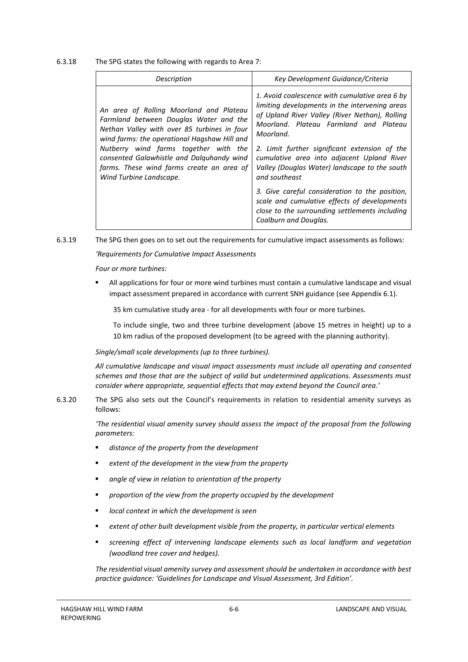#### 6.3.18 The SPG states the following with regards to Area 7:

| Description                                                                                                                                                                                                                                                                                                                                    | Key Development Guidance/Criteria                                                                                                                                                                                                                                                                                                                                          |  |  |
|------------------------------------------------------------------------------------------------------------------------------------------------------------------------------------------------------------------------------------------------------------------------------------------------------------------------------------------------|----------------------------------------------------------------------------------------------------------------------------------------------------------------------------------------------------------------------------------------------------------------------------------------------------------------------------------------------------------------------------|--|--|
| An area of Rolling Moorland and Plateau<br>Farmland between Douglas Water and the<br>Nethan Valley with over 85 turbines in four<br>wind farms: the operational Hagshaw Hill and<br>Nutberry wind farms together with the<br>consented Galawhistle and Dalguhandy wind<br>farms. These wind farms create an area of<br>Wind Turbine Landscape. | 1. Avoid coalescence with cumulative area 6 by<br>limiting developments in the intervening areas<br>of Upland River Valley (River Nethan), Rolling<br>Moorland. Plateau Farmland and Plateau<br>Moorland.<br>2. Limit further significant extension of the<br>cumulative area into adjacent Upland River<br>Valley (Douglas Water) landscape to the south<br>and southeast |  |  |
|                                                                                                                                                                                                                                                                                                                                                | 3. Give careful consideration to the position,<br>scale and cumulative effects of developments<br>close to the surrounding settlements including<br>Coalburn and Douglas.                                                                                                                                                                                                  |  |  |

6.3.19 The SPG then goes on to set out the requirements for cumulative impact assessments as follows:

*'Requirements for Cumulative Impact Assessments*

*Four or more turbines:*

 All applications for four or more wind turbines must contain a cumulative landscape and visual impact assessment prepared in accordance with current SNH guidance (see Appendix 6.1).

35 km cumulative study area - for all developments with four or more turbines.

To include single, two and three turbine development (above 15 metres in height) up to a 10 km radius of the proposed development (to be agreed with the planning authority).

# *Single/small scale developments (up to three turbines).*

*All cumulative landscape and visual impact assessments must include all operating and consented schemes and those that are the subject of valid but undetermined applications. Assessments must consider where appropriate, sequential effects that may extend beyond the Council area.'*

6.3.20 The SPG also sets out the Council's requirements in relation to residential amenity surveys as follows:

> *'The residential visual amenity survey should assess the impact of the proposal from the following parameters:*

- *distance of the property from the development*
- *extent of the development in the view from the property*
- *angle of view in relation to orientation of the property*
- *proportion of the view from the property occupied by the development*
- *local context in which the development is seen*
- *extent of other built development visible from the property, in particular vertical elements*
- *screening effect of intervening landscape elements such as local landform and vegetation (woodland tree cover and hedges).*

*The residential visual amenity survey and assessment should be undertaken in accordance with best practice guidance: 'Guidelines for Landscape and Visual Assessment, 3rd Edition'.*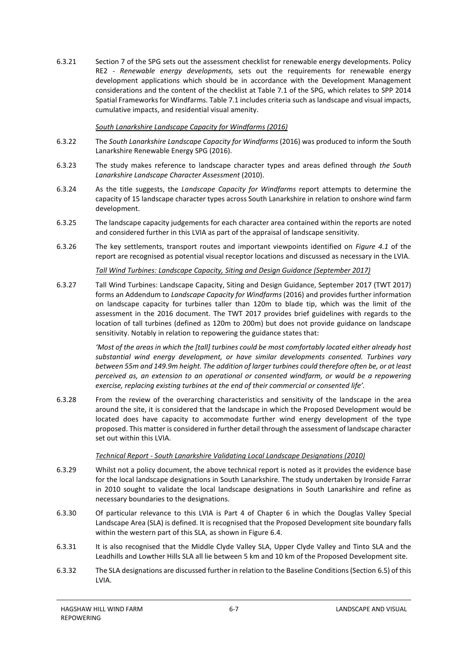6.3.21 Section 7 of the SPG sets out the assessment checklist for renewable energy developments. Policy RE2 - *Renewable energy developments,* sets out the requirements for renewable energy development applications which should be in accordance with the Development Management considerations and the content of the checklist at Table 7.1 of the SPG, which relates to SPP 2014 Spatial Frameworks for Windfarms. Table 7.1 includes criteria such as landscape and visual impacts, cumulative impacts, and residential visual amenity.

### *South Lanarkshire Landscape Capacity for Windfarms (2016)*

- 6.3.22 The *South Lanarkshire Landscape Capacity for Windfarms* (2016) was produced to inform the South Lanarkshire Renewable Energy SPG (2016).
- 6.3.23 The study makes reference to landscape character types and areas defined through *the South Lanarkshire Landscape Character Assessment* (2010).
- 6.3.24 As the title suggests, the *Landscape Capacity for Windfarms* report attempts to determine the capacity of 15 landscape character types across South Lanarkshire in relation to onshore wind farm development.
- 6.3.25 The landscape capacity judgements for each character area contained within the reports are noted and considered further in this LVIA as part of the appraisal of landscape sensitivity.
- 6.3.26 The key settlements, transport routes and important viewpoints identified on *Figure 4.1* of the report are recognised as potential visual receptor locations and discussed as necessary in the LVIA.

### *Tall Wind Turbines: Landscape Capacity, Siting and Design Guidance (September 2017)*

6.3.27 Tall Wind Turbines: Landscape Capacity, Siting and Design Guidance, September 2017 (TWT 2017) forms an Addendum to *Landscape Capacity for Windfarms* (2016) and provides further information on landscape capacity for turbines taller than 120m to blade tip, which was the limit of the assessment in the 2016 document. The TWT 2017 provides brief guidelines with regards to the location of tall turbines (defined as 120m to 200m) but does not provide guidance on landscape sensitivity. Notably in relation to repowering the guidance states that:

> *'Most of the areas in which the [tall] turbines could be most comfortably located either already host substantial wind energy development, or have similar developments consented. Turbines vary between 55m and 149.9m height. The addition of larger turbines could therefore often be, or at least perceived as, an extension to an operational or consented windfarm, or would be a repowering exercise, replacing existing turbines at the end of their commercial or consented life'.*

6.3.28 From the review of the overarching characteristics and sensitivity of the landscape in the area around the site, it is considered that the landscape in which the Proposed Development would be located does have capacity to accommodate further wind energy development of the type proposed. This matter is considered in further detail through the assessment of landscape character set out within this LVIA.

# *Technical Report - South Lanarkshire Validating Local Landscape Designations (2010)*

- 6.3.29 Whilst not a policy document, the above technical report is noted as it provides the evidence base for the local landscape designations in South Lanarkshire. The study undertaken by Ironside Farrar in 2010 sought to validate the local landscape designations in South Lanarkshire and refine as necessary boundaries to the designations.
- 6.3.30 Of particular relevance to this LVIA is Part 4 of Chapter 6 in which the Douglas Valley Special Landscape Area (SLA) is defined. It is recognised that the Proposed Development site boundary falls within the western part of this SLA, as shown in Figure 6.4.
- 6.3.31 It is also recognised that the Middle Clyde Valley SLA, Upper Clyde Valley and Tinto SLA and the Leadhills and Lowther Hills SLA all lie between 5 km and 10 km of the Proposed Development site.
- 6.3.32 The SLA designations are discussed further in relation to the Baseline Conditions (Section 6.5) of this LVIA.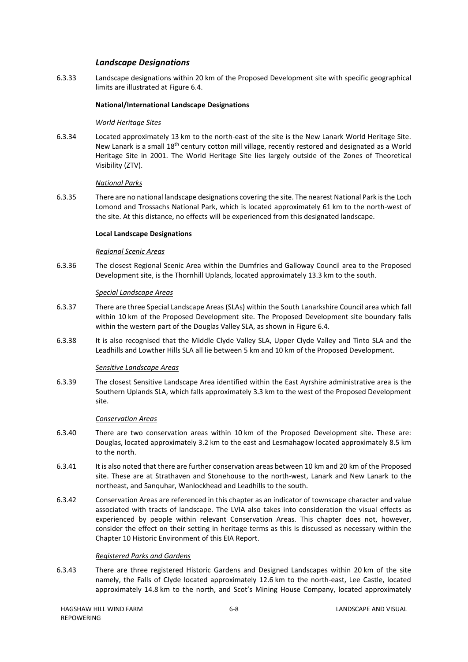# *Landscape Designations*

6.3.33 Landscape designations within 20 km of the Proposed Development site with specific geographical limits are illustrated at Figure 6.4.

## **National/International Landscape Designations**

### *World Heritage Sites*

6.3.34 Located approximately 13 km to the north-east of the site is the New Lanark World Heritage Site. New Lanark is a small 18th century cotton mill village, recently restored and designated as a World Heritage Site in 2001. The World Heritage Site lies largely outside of the Zones of Theoretical Visibility (ZTV).

### *National Parks*

6.3.35 There are no national landscape designations covering the site. The nearest National Park is the Loch Lomond and Trossachs National Park, which is located approximately 61 km to the north-west of the site. At this distance, no effects will be experienced from this designated landscape.

### **Local Landscape Designations**

### *Regional Scenic Areas*

6.3.36 The closest Regional Scenic Area within the Dumfries and Galloway Council area to the Proposed Development site, is the Thornhill Uplands, located approximately 13.3 km to the south.

### *Special Landscape Areas*

- 6.3.37 There are three Special Landscape Areas (SLAs) within the South Lanarkshire Council area which fall within 10 km of the Proposed Development site. The Proposed Development site boundary falls within the western part of the Douglas Valley SLA, as shown in Figure 6.4.
- 6.3.38 It is also recognised that the Middle Clyde Valley SLA, Upper Clyde Valley and Tinto SLA and the Leadhills and Lowther Hills SLA all lie between 5 km and 10 km of the Proposed Development.

# *Sensitive Landscape Areas*

6.3.39 The closest Sensitive Landscape Area identified within the East Ayrshire administrative area is the Southern Uplands SLA, which falls approximately 3.3 km to the west of the Proposed Development site.

#### *Conservation Areas*

- 6.3.40 There are two conservation areas within 10 km of the Proposed Development site. These are: Douglas, located approximately 3.2 km to the east and Lesmahagow located approximately 8.5 km to the north.
- 6.3.41 It is also noted that there are further conservation areas between 10 km and 20 km of the Proposed site. These are at Strathaven and Stonehouse to the north-west, Lanark and New Lanark to the northeast, and Sanquhar, Wanlockhead and Leadhills to the south.
- 6.3.42 Conservation Areas are referenced in this chapter as an indicator of townscape character and value associated with tracts of landscape. The LVIA also takes into consideration the visual effects as experienced by people within relevant Conservation Areas. This chapter does not, however, consider the effect on their setting in heritage terms as this is discussed as necessary within the Chapter 10 Historic Environment of this EIA Report.

#### *Registered Parks and Gardens*

6.3.43 There are three registered Historic Gardens and Designed Landscapes within 20 km of the site namely, the Falls of Clyde located approximately 12.6 km to the north-east, Lee Castle, located approximately 14.8 km to the north, and Scot's Mining House Company, located approximately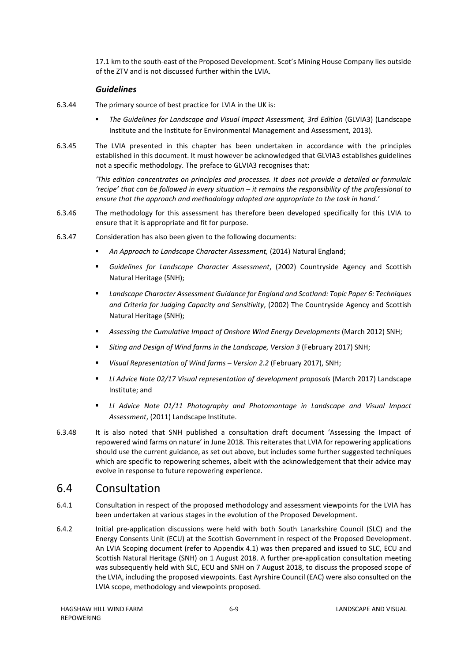17.1 km to the south-east of the Proposed Development. Scot's Mining House Company lies outside of the ZTV and is not discussed further within the LVIA.

# *Guidelines*

- 6.3.44 The primary source of best practice for LVIA in the UK is:
	- *The Guidelines for Landscape and Visual Impact Assessment, 3rd Edition* (GLVIA3) (Landscape Institute and the Institute for Environmental Management and Assessment, 2013).
- 6.3.45 The LVIA presented in this chapter has been undertaken in accordance with the principles established in this document. It must however be acknowledged that GLVIA3 establishes guidelines not a specific methodology. The preface to GLVIA3 recognises that:

*'This edition concentrates on principles and processes. It does not provide a detailed or formulaic 'recipe' that can be followed in every situation – it remains the responsibility of the professional to ensure that the approach and methodology adopted are appropriate to the task in hand.'* 

- 6.3.46 The methodology for this assessment has therefore been developed specifically for this LVIA to ensure that it is appropriate and fit for purpose.
- 6.3.47 Consideration has also been given to the following documents:
	- *An Approach to Landscape Character Assessment,* (2014) Natural England;
	- *Guidelines for Landscape Character Assessment*, (2002) Countryside Agency and Scottish Natural Heritage (SNH);
	- *Landscape Character Assessment Guidance for England and Scotland: Topic Paper 6: Techniques and Criteria for Judging Capacity and Sensitivity*, (2002) The Countryside Agency and Scottish Natural Heritage (SNH);
	- *Assessing the Cumulative Impact of Onshore Wind Energy Developments* (March 2012) SNH;
	- *Siting and Design of Wind farms in the Landscape, Version 3* (February 2017) SNH;
	- *Visual Representation of Wind farms – Version 2.2* (February 2017), SNH;
	- **-** *LI Advice Note 02/17 Visual representation of development proposals* (March 2017) Landscape Institute; and
	- *LI Advice Note 01/11 Photography and Photomontage in Landscape and Visual Impact Assessment*, (2011) Landscape Institute.
- 6.3.48 It is also noted that SNH published a consultation draft document 'Assessing the Impact of repowered wind farms on nature' in June 2018. This reiterates that LVIA for repowering applications should use the current guidance, as set out above, but includes some further suggested techniques which are specific to repowering schemes, albeit with the acknowledgement that their advice may evolve in response to future repowering experience.

# <span id="page-10-0"></span>6.4 Consultation

- 6.4.1 Consultation in respect of the proposed methodology and assessment viewpoints for the LVIA has been undertaken at various stages in the evolution of the Proposed Development.
- 6.4.2 Initial pre-application discussions were held with both South Lanarkshire Council (SLC) and the Energy Consents Unit (ECU) at the Scottish Government in respect of the Proposed Development. An LVIA Scoping document (refer to Appendix 4.1) was then prepared and issued to SLC, ECU and Scottish Natural Heritage (SNH) on 1 August 2018. A further pre-application consultation meeting was subsequently held with SLC, ECU and SNH on 7 August 2018, to discuss the proposed scope of the LVIA, including the proposed viewpoints. East Ayrshire Council (EAC) were also consulted on the LVIA scope, methodology and viewpoints proposed.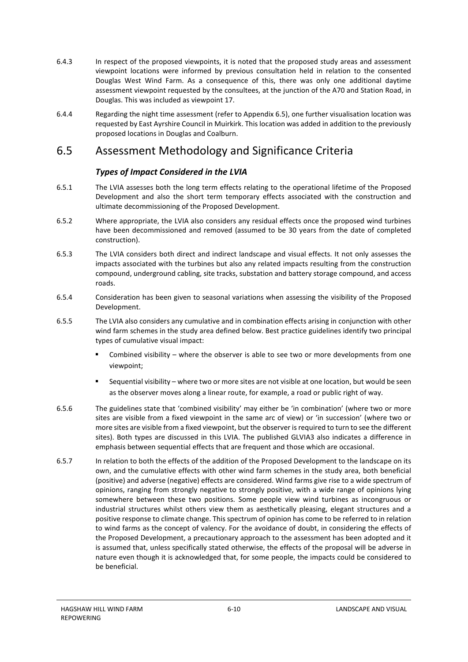- 6.4.3 In respect of the proposed viewpoints, it is noted that the proposed study areas and assessment viewpoint locations were informed by previous consultation held in relation to the consented Douglas West Wind Farm. As a consequence of this, there was only one additional daytime assessment viewpoint requested by the consultees, at the junction of the A70 and Station Road, in Douglas. This was included as viewpoint 17.
- 6.4.4 Regarding the night time assessment (refer to Appendix 6.5), one further visualisation location was requested by East Ayrshire Council in Muirkirk. This location was added in addition to the previously proposed locations in Douglas and Coalburn.

# <span id="page-11-0"></span>6.5 Assessment Methodology and Significance Criteria

# *Types of Impact Considered in the LVIA*

- 6.5.1 The LVIA assesses both the long term effects relating to the operational lifetime of the Proposed Development and also the short term temporary effects associated with the construction and ultimate decommissioning of the Proposed Development.
- 6.5.2 Where appropriate, the LVIA also considers any residual effects once the proposed wind turbines have been decommissioned and removed (assumed to be 30 years from the date of completed construction).
- 6.5.3 The LVIA considers both direct and indirect landscape and visual effects. It not only assesses the impacts associated with the turbines but also any related impacts resulting from the construction compound, underground cabling, site tracks, substation and battery storage compound, and access roads.
- 6.5.4 Consideration has been given to seasonal variations when assessing the visibility of the Proposed Development.
- 6.5.5 The LVIA also considers any cumulative and in combination effects arising in conjunction with other wind farm schemes in the study area defined below. Best practice guidelines identify two principal types of cumulative visual impact:
	- Combined visibility where the observer is able to see two or more developments from one viewpoint;
	- Sequential visibility where two or more sites are not visible at one location, but would be seen as the observer moves along a linear route, for example, a road or public right of way.
- 6.5.6 The guidelines state that 'combined visibility' may either be 'in combination' (where two or more sites are visible from a fixed viewpoint in the same arc of view) or 'in succession' (where two or more sites are visible from a fixed viewpoint, but the observer is required to turn to see the different sites). Both types are discussed in this LVIA. The published GLVIA3 also indicates a difference in emphasis between sequential effects that are frequent and those which are occasional.
- 6.5.7 In relation to both the effects of the addition of the Proposed Development to the landscape on its own, and the cumulative effects with other wind farm schemes in the study area, both beneficial (positive) and adverse (negative) effects are considered. Wind farms give rise to a wide spectrum of opinions, ranging from strongly negative to strongly positive, with a wide range of opinions lying somewhere between these two positions. Some people view wind turbines as incongruous or industrial structures whilst others view them as aesthetically pleasing, elegant structures and a positive response to climate change. This spectrum of opinion has come to be referred to in relation to wind farms as the concept of valency. For the avoidance of doubt, in considering the effects of the Proposed Development, a precautionary approach to the assessment has been adopted and it is assumed that, unless specifically stated otherwise, the effects of the proposal will be adverse in nature even though it is acknowledged that, for some people, the impacts could be considered to be beneficial.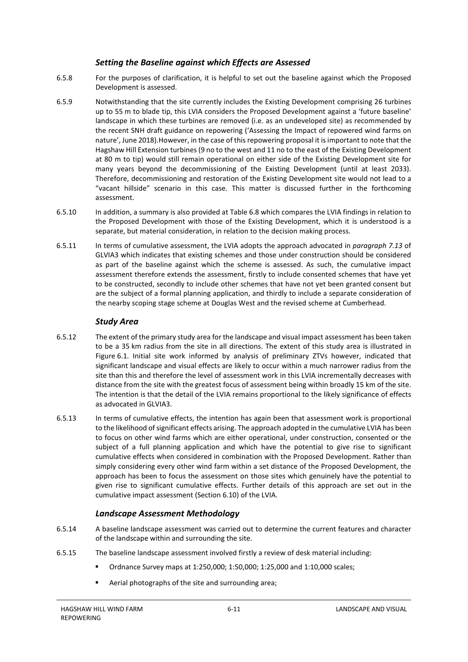# *Setting the Baseline against which Effects are Assessed*

- 6.5.8 For the purposes of clarification, it is helpful to set out the baseline against which the Proposed Development is assessed.
- 6.5.9 Notwithstanding that the site currently includes the Existing Development comprising 26 turbines up to 55 m to blade tip, this LVIA considers the Proposed Development against a 'future baseline' landscape in which these turbines are removed (i.e. as an undeveloped site) as recommended by the recent SNH draft guidance on repowering ('Assessing the Impact of repowered wind farms on nature', June 2018).However, in the case of this repowering proposal it is important to note that the Hagshaw Hill Extension turbines (9 no to the west and 11 no to the east of the Existing Development at 80 m to tip) would still remain operational on either side of the Existing Development site for many years beyond the decommissioning of the Existing Development (until at least 2033). Therefore, decommissioning and restoration of the Existing Development site would not lead to a "vacant hillside" scenario in this case. This matter is discussed further in the forthcoming assessment.
- 6.5.10 In addition, a summary is also provided at Table 6.8 which compares the LVIA findings in relation to the Proposed Development with those of the Existing Development, which it is understood is a separate, but material consideration, in relation to the decision making process.
- 6.5.11 In terms of cumulative assessment, the LVIA adopts the approach advocated in *paragraph 7.13* of GLVIA3 which indicates that existing schemes and those under construction should be considered as part of the baseline against which the scheme is assessed. As such, the cumulative impact assessment therefore extends the assessment, firstly to include consented schemes that have yet to be constructed, secondly to include other schemes that have not yet been granted consent but are the subject of a formal planning application, and thirdly to include a separate consideration of the nearby scoping stage scheme at Douglas West and the revised scheme at Cumberhead.

# *Study Area*

- 6.5.12 The extent of the primary study area for the landscape and visual impact assessment has been taken to be a 35 km radius from the site in all directions. The extent of this study area is illustrated in Figure 6.1. Initial site work informed by analysis of preliminary ZTVs however, indicated that significant landscape and visual effects are likely to occur within a much narrower radius from the site than this and therefore the level of assessment work in this LVIA incrementally decreases with distance from the site with the greatest focus of assessment being within broadly 15 km of the site. The intention is that the detail of the LVIA remains proportional to the likely significance of effects as advocated in GLVIA3.
- 6.5.13 In terms of cumulative effects, the intention has again been that assessment work is proportional to the likelihood of significant effects arising. The approach adopted in the cumulative LVIA has been to focus on other wind farms which are either operational, under construction, consented or the subject of a full planning application and which have the potential to give rise to significant cumulative effects when considered in combination with the Proposed Development. Rather than simply considering every other wind farm within a set distance of the Proposed Development, the approach has been to focus the assessment on those sites which genuinely have the potential to given rise to significant cumulative effects. Further details of this approach are set out in the cumulative impact assessment (Section 6.10) of the LVIA.

# *Landscape Assessment Methodology*

- 6.5.14 A baseline landscape assessment was carried out to determine the current features and character of the landscape within and surrounding the site.
- 6.5.15 The baseline landscape assessment involved firstly a review of desk material including:
	- Ordnance Survey maps at 1:250,000; 1:50,000; 1:25,000 and 1:10,000 scales;
	- Aerial photographs of the site and surrounding area;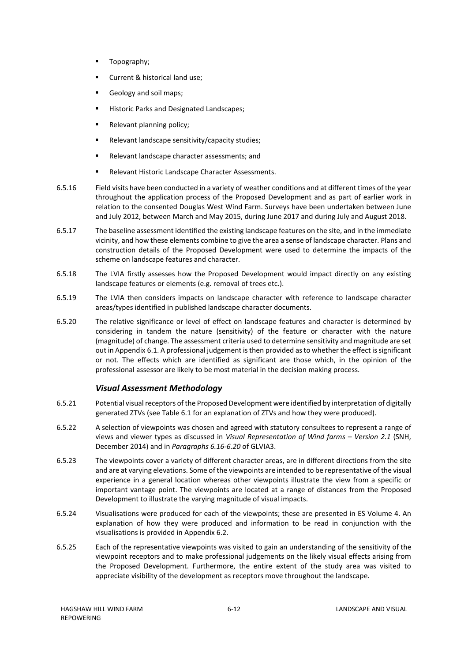- Topography;
- Current & historical land use;
- Geology and soil maps:
- **Historic Parks and Designated Landscapes;**
- Relevant planning policy;
- **Relevant landscape sensitivity/capacity studies;**
- Relevant landscape character assessments; and
- **Relevant Historic Landscape Character Assessments.**
- 6.5.16 Field visits have been conducted in a variety of weather conditions and at different times of the year throughout the application process of the Proposed Development and as part of earlier work in relation to the consented Douglas West Wind Farm. Surveys have been undertaken between June and July 2012, between March and May 2015, during June 2017 and during July and August 2018.
- 6.5.17 The baseline assessment identified the existing landscape features on the site, and in the immediate vicinity, and how these elements combine to give the area a sense of landscape character. Plans and construction details of the Proposed Development were used to determine the impacts of the scheme on landscape features and character.
- 6.5.18 The LVIA firstly assesses how the Proposed Development would impact directly on any existing landscape features or elements (e.g. removal of trees etc.).
- 6.5.19 The LVIA then considers impacts on landscape character with reference to landscape character areas/types identified in published landscape character documents.
- 6.5.20 The relative significance or level of effect on landscape features and character is determined by considering in tandem the nature (sensitivity) of the feature or character with the nature (magnitude) of change. The assessment criteria used to determine sensitivity and magnitude are set out in Appendix 6.1. A professional judgement is then provided as to whether the effect is significant or not. The effects which are identified as significant are those which, in the opinion of the professional assessor are likely to be most material in the decision making process.

# *Visual Assessment Methodology*

- 6.5.21 Potential visual receptors of the Proposed Development were identified by interpretation of digitally generated ZTVs (see Table 6.1 for an explanation of ZTVs and how they were produced).
- 6.5.22 A selection of viewpoints was chosen and agreed with statutory consultees to represent a range of views and viewer types as discussed in *Visual Representation of Wind farms – Version 2.1* (SNH, December 2014) and in *Paragraphs 6.16-6.20* of GLVIA3.
- 6.5.23 The viewpoints cover a variety of different character areas, are in different directions from the site and are at varying elevations. Some of the viewpoints are intended to be representative of the visual experience in a general location whereas other viewpoints illustrate the view from a specific or important vantage point. The viewpoints are located at a range of distances from the Proposed Development to illustrate the varying magnitude of visual impacts.
- 6.5.24 Visualisations were produced for each of the viewpoints; these are presented in ES Volume 4. An explanation of how they were produced and information to be read in conjunction with the visualisations is provided in Appendix 6.2.
- 6.5.25 Each of the representative viewpoints was visited to gain an understanding of the sensitivity of the viewpoint receptors and to make professional judgements on the likely visual effects arising from the Proposed Development. Furthermore, the entire extent of the study area was visited to appreciate visibility of the development as receptors move throughout the landscape.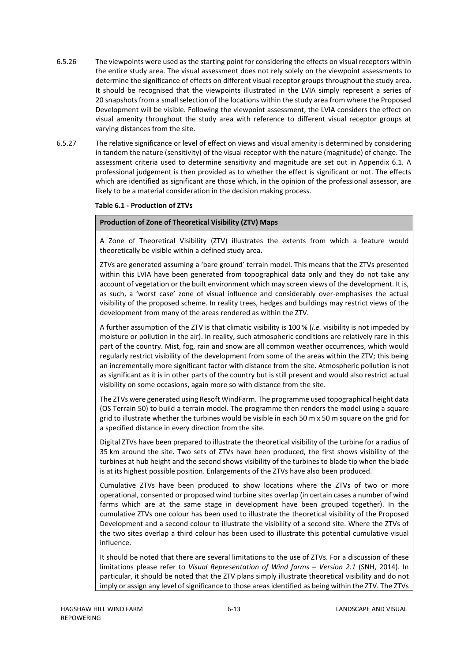- 6.5.26 The viewpoints were used as the starting point for considering the effects on visual receptors within the entire study area. The visual assessment does not rely solely on the viewpoint assessments to determine the significance of effects on different visual receptor groups throughout the study area. It should be recognised that the viewpoints illustrated in the LVIA simply represent a series of 20 snapshots from a small selection of the locations within the study area from where the Proposed Development will be visible. Following the viewpoint assessment, the LVIA considers the effect on visual amenity throughout the study area with reference to different visual receptor groups at varying distances from the site.
- 6.5.27 The relative significance or level of effect on views and visual amenity is determined by considering in tandem the nature (sensitivity) of the visual receptor with the nature (magnitude) of change. The assessment criteria used to determine sensitivity and magnitude are set out in Appendix 6.1. A professional judgement is then provided as to whether the effect is significant or not. The effects which are identified as significant are those which, in the opinion of the professional assessor, are likely to be a material consideration in the decision making process.

### **Table 6.1 - Production of ZTVs**

### **Production of Zone of Theoretical Visibility (ZTV) Maps**

A Zone of Theoretical Visibility (ZTV) illustrates the extents from which a feature would theoretically be visible within a defined study area.

ZTVs are generated assuming a 'bare ground' terrain model. This means that the ZTVs presented within this LVIA have been generated from topographical data only and they do not take any account of vegetation or the built environment which may screen views of the development. It is, as such, a 'worst case' zone of visual influence and considerably over-emphasises the actual visibility of the proposed scheme. In reality trees, hedges and buildings may restrict views of the development from many of the areas rendered as within the ZTV.

A further assumption of the ZTV is that climatic visibility is 100 % (*i.e.* visibility is not impeded by moisture or pollution in the air). In reality, such atmospheric conditions are relatively rare in this part of the country. Mist, fog, rain and snow are all common weather occurrences, which would regularly restrict visibility of the development from some of the areas within the ZTV; this being an incrementally more significant factor with distance from the site. Atmospheric pollution is not as significant as it is in other parts of the country but is still present and would also restrict actual visibility on some occasions, again more so with distance from the site.

The ZTVs were generated using Resoft WindFarm. The programme used topographical height data (OS Terrain 50) to build a terrain model. The programme then renders the model using a square grid to illustrate whether the turbines would be visible in each 50 m x 50 m square on the grid for a specified distance in every direction from the site.

Digital ZTVs have been prepared to illustrate the theoretical visibility of the turbine for a radius of 35 km around the site. Two sets of ZTVs have been produced, the first shows visibility of the turbines at hub height and the second shows visibility of the turbines to blade tip when the blade is at its highest possible position. Enlargements of the ZTVs have also been produced.

Cumulative ZTVs have been produced to show locations where the ZTVs of two or more operational, consented or proposed wind turbine sites overlap (in certain cases a number of wind farms which are at the same stage in development have been grouped together). In the cumulative ZTVs one colour has been used to illustrate the theoretical visibility of the Proposed Development and a second colour to illustrate the visibility of a second site. Where the ZTVs of the two sites overlap a third colour has been used to illustrate this potential cumulative visual influence.

It should be noted that there are several limitations to the use of ZTVs. For a discussion of these limitations please refer to *Visual Representation of Wind farms – Version 2.1* (SNH, 2014). In particular, it should be noted that the ZTV plans simply illustrate theoretical visibility and do not imply or assign any level of significance to those areas identified as being within the ZTV. The ZTVs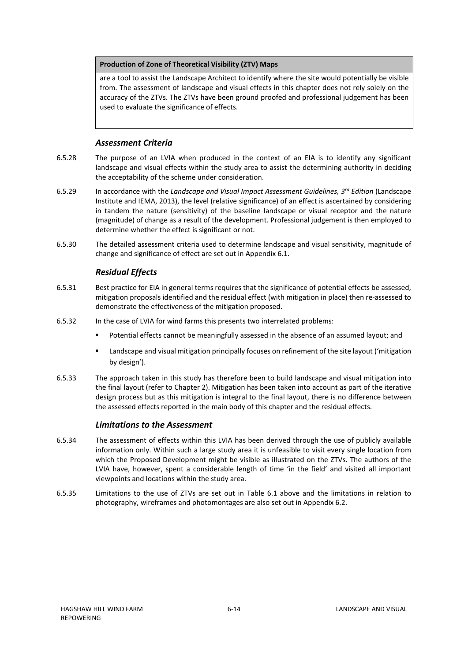# **Production of Zone of Theoretical Visibility (ZTV) Maps**

are a tool to assist the Landscape Architect to identify where the site would potentially be visible from. The assessment of landscape and visual effects in this chapter does not rely solely on the accuracy of the ZTVs. The ZTVs have been ground proofed and professional judgement has been used to evaluate the significance of effects.

# *Assessment Criteria*

- 6.5.28 The purpose of an LVIA when produced in the context of an EIA is to identify any significant landscape and visual effects within the study area to assist the determining authority in deciding the acceptability of the scheme under consideration.
- 6.5.29 In accordance with the *Landscape and Visual Impact Assessment Guidelines, 3rd Edition* (Landscape Institute and IEMA, 2013), the level (relative significance) of an effect is ascertained by considering in tandem the nature (sensitivity) of the baseline landscape or visual receptor and the nature (magnitude) of change as a result of the development. Professional judgement is then employed to determine whether the effect is significant or not.
- 6.5.30 The detailed assessment criteria used to determine landscape and visual sensitivity, magnitude of change and significance of effect are set out in Appendix 6.1.

# *Residual Effects*

- 6.5.31 Best practice for EIA in general terms requires that the significance of potential effects be assessed, mitigation proposals identified and the residual effect (with mitigation in place) then re-assessed to demonstrate the effectiveness of the mitigation proposed.
- 6.5.32 In the case of LVIA for wind farms this presents two interrelated problems:
	- Potential effects cannot be meaningfully assessed in the absence of an assumed layout; and
	- Landscape and visual mitigation principally focuses on refinement of the site layout ('mitigation by design').
- 6.5.33 The approach taken in this study has therefore been to build landscape and visual mitigation into the final layout (refer to Chapter 2). Mitigation has been taken into account as part of the iterative design process but as this mitigation is integral to the final layout, there is no difference between the assessed effects reported in the main body of this chapter and the residual effects.

# *Limitations to the Assessment*

- 6.5.34 The assessment of effects within this LVIA has been derived through the use of publicly available information only. Within such a large study area it is unfeasible to visit every single location from which the Proposed Development might be visible as illustrated on the ZTVs. The authors of the LVIA have, however, spent a considerable length of time 'in the field' and visited all important viewpoints and locations within the study area.
- 6.5.35 Limitations to the use of ZTVs are set out in Table 6.1 above and the limitations in relation to photography, wireframes and photomontages are also set out in Appendix 6.2.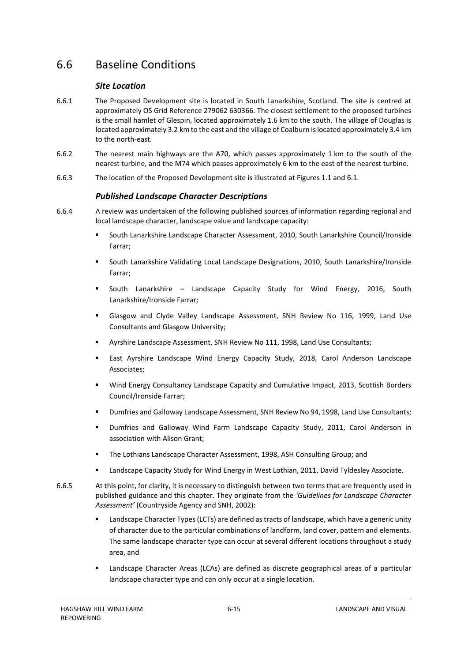# <span id="page-16-0"></span>6.6 Baseline Conditions

# *Site Location*

- 6.6.1 The Proposed Development site is located in South Lanarkshire, Scotland. The site is centred at approximately OS Grid Reference 279062 630366. The closest settlement to the proposed turbines is the small hamlet of Glespin, located approximately 1.6 km to the south. The village of Douglas is located approximately 3.2 km to the east and the village of Coalburn is located approximately 3.4 km to the north-east.
- 6.6.2 The nearest main highways are the A70, which passes approximately 1 km to the south of the nearest turbine, and the M74 which passes approximately 6 km to the east of the nearest turbine.
- 6.6.3 The location of the Proposed Development site is illustrated at Figures 1.1 and 6.1.

# *Published Landscape Character Descriptions*

- 6.6.4 A review was undertaken of the following published sources of information regarding regional and local landscape character, landscape value and landscape capacity:
	- South Lanarkshire Landscape Character Assessment, 2010, South Lanarkshire Council/Ironside Farrar;
	- South Lanarkshire Validating Local Landscape Designations, 2010, South Lanarkshire/Ironside Farrar;
	- South Lanarkshire Landscape Capacity Study for Wind Energy, 2016, South Lanarkshire/Ironside Farrar;
	- Glasgow and Clyde Valley Landscape Assessment, SNH Review No 116, 1999, Land Use Consultants and Glasgow University;
	- Ayrshire Landscape Assessment, SNH Review No 111, 1998, Land Use Consultants;
	- East Ayrshire Landscape Wind Energy Capacity Study, 2018, Carol Anderson Landscape Associates;
	- Wind Energy Consultancy Landscape Capacity and Cumulative Impact, 2013, Scottish Borders Council/Ironside Farrar;
	- Dumfries and Galloway Landscape Assessment, SNH Review No 94, 1998, Land Use Consultants;
	- Dumfries and Galloway Wind Farm Landscape Capacity Study, 2011, Carol Anderson in association with Alison Grant;
	- The Lothians Landscape Character Assessment, 1998, ASH Consulting Group; and
	- Landscape Capacity Study for Wind Energy in West Lothian, 2011, David Tyldesley Associate.
- 6.6.5 At this point, for clarity, it is necessary to distinguish between two terms that are frequently used in published guidance and this chapter. They originate from the *'Guidelines for Landscape Character Assessment'* (Countryside Agency and SNH, 2002):
	- Landscape Character Types (LCTs) are defined as tracts of landscape, which have a generic unity of character due to the particular combinations of landform, land cover, pattern and elements. The same landscape character type can occur at several different locations throughout a study area, and
	- Landscape Character Areas (LCAs) are defined as discrete geographical areas of a particular landscape character type and can only occur at a single location.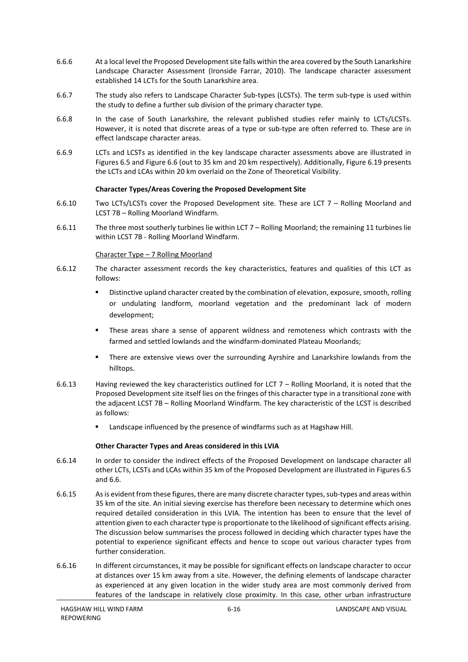- 6.6.6 At a local level the Proposed Development site falls within the area covered by the South Lanarkshire Landscape Character Assessment (Ironside Farrar, 2010). The landscape character assessment established 14 LCTs for the South Lanarkshire area.
- 6.6.7 The study also refers to Landscape Character Sub-types (LCSTs). The term sub-type is used within the study to define a further sub division of the primary character type.
- 6.6.8 In the case of South Lanarkshire, the relevant published studies refer mainly to LCTs/LCSTs. However, it is noted that discrete areas of a type or sub-type are often referred to. These are in effect landscape character areas.
- 6.6.9 LCTs and LCSTs as identified in the key landscape character assessments above are illustrated in Figures 6.5 and Figure 6.6 (out to 35 km and 20 km respectively). Additionally, Figure 6.19 presents the LCTs and LCAs within 20 km overlaid on the Zone of Theoretical Visibility.

### **Character Types/Areas Covering the Proposed Development Site**

- 6.6.10 Two LCTs/LCSTs cover the Proposed Development site. These are LCT 7 Rolling Moorland and LCST 7B – Rolling Moorland Windfarm.
- 6.6.11 The three most southerly turbines lie within LCT 7 Rolling Moorland; the remaining 11 turbines lie within LCST 7B - Rolling Moorland Windfarm.

### Character Type – 7 Rolling Moorland

- 6.6.12 The character assessment records the key characteristics, features and qualities of this LCT as follows:
	- **EXEDENT LIFE 1** Distinctive upland character created by the combination of elevation, exposure, smooth, rolling or undulating landform, moorland vegetation and the predominant lack of modern development;
	- These areas share a sense of apparent wildness and remoteness which contrasts with the farmed and settled lowlands and the windfarm-dominated Plateau Moorlands;
	- There are extensive views over the surrounding Ayrshire and Lanarkshire lowlands from the hilltops.
- 6.6.13 Having reviewed the key characteristics outlined for LCT 7 Rolling Moorland, it is noted that the Proposed Development site itself lies on the fringes of this character type in a transitional zone with the adjacent LCST 7B – Rolling Moorland Windfarm. The key characteristic of the LCST is described as follows:
	- Landscape influenced by the presence of windfarms such as at Hagshaw Hill.

#### **Other Character Types and Areas considered in this LVIA**

- 6.6.14 In order to consider the indirect effects of the Proposed Development on landscape character all other LCTs, LCSTs and LCAs within 35 km of the Proposed Development are illustrated in Figures 6.5 and 6.6.
- 6.6.15 As is evident from these figures, there are many discrete character types, sub-types and areas within 35 km of the site. An initial sieving exercise has therefore been necessary to determine which ones required detailed consideration in this LVIA. The intention has been to ensure that the level of attention given to each character type is proportionate to the likelihood of significant effects arising. The discussion below summarises the process followed in deciding which character types have the potential to experience significant effects and hence to scope out various character types from further consideration.
- 6.6.16 In different circumstances, it may be possible for significant effects on landscape character to occur at distances over 15 km away from a site. However, the defining elements of landscape character as experienced at any given location in the wider study area are most commonly derived from features of the landscape in relatively close proximity. In this case, other urban infrastructure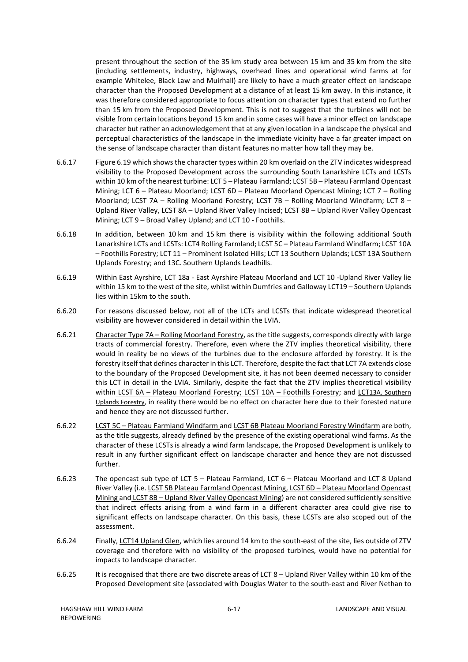present throughout the section of the 35 km study area between 15 km and 35 km from the site (including settlements, industry, highways, overhead lines and operational wind farms at for example Whitelee, Black Law and Muirhall) are likely to have a much greater effect on landscape character than the Proposed Development at a distance of at least 15 km away. In this instance, it was therefore considered appropriate to focus attention on character types that extend no further than 15 km from the Proposed Development. This is not to suggest that the turbines will not be visible from certain locations beyond 15 km and in some cases will have a minor effect on landscape character but rather an acknowledgement that at any given location in a landscape the physical and perceptual characteristics of the landscape in the immediate vicinity have a far greater impact on the sense of landscape character than distant features no matter how tall they may be.

- 6.6.17 Figure 6.19 which shows the character types within 20 km overlaid on the ZTV indicates widespread visibility to the Proposed Development across the surrounding South Lanarkshire LCTs and LCSTs within 10 km of the nearest turbine: LCT 5 – Plateau Farmland; LCST 5B – Plateau Farmland Opencast Mining; LCT 6 – Plateau Moorland; LCST 6D – Plateau Moorland Opencast Mining; LCT 7 – Rolling Moorland; LCST 7A – Rolling Moorland Forestry; LCST 7B – Rolling Moorland Windfarm; LCT 8 – Upland River Valley, LCST 8A – Upland River Valley Incised; LCST 8B – Upland River Valley Opencast Mining; LCT 9 – Broad Valley Upland; and LCT 10 - Foothills.
- 6.6.18 In addition, between 10 km and 15 km there is visibility within the following additional South Lanarkshire LCTs and LCSTs: LCT4 Rolling Farmland; LCST 5C – Plateau Farmland Windfarm; LCST 10A – Foothills Forestry; LCT 11 – Prominent Isolated Hills; LCT 13 Southern Uplands; LCST 13A Southern Uplands Forestry; and 13C. Southern Uplands Leadhills.
- 6.6.19 Within East Ayrshire, LCT 18a East Ayrshire Plateau Moorland and LCT 10 -Upland River Valley lie within 15 km to the west of the site, whilst within Dumfries and Galloway LCT19 – Southern Uplands lies within 15km to the south.
- 6.6.20 For reasons discussed below, not all of the LCTs and LCSTs that indicate widespread theoretical visibility are however considered in detail within the LVIA.
- 6.6.21 Character Type 7A Rolling Moorland Forestry, as the title suggests, corresponds directly with large tracts of commercial forestry. Therefore, even where the ZTV implies theoretical visibility, there would in reality be no views of the turbines due to the enclosure afforded by forestry. It is the forestry itself that defines character in this LCT. Therefore, despite the fact that LCT 7A extends close to the boundary of the Proposed Development site, it has not been deemed necessary to consider this LCT in detail in the LVIA. Similarly, despite the fact that the ZTV implies theoretical visibility within LCST 6A – Plateau Moorland Forestry; LCST 10A – Foothills Forestry; and LCT13A. Southern Uplands Forestry, in reality there would be no effect on character here due to their forested nature and hence they are not discussed further.
- 6.6.22 LCST 5C Plateau Farmland Windfarm and LCST 6B Plateau Moorland Forestry Windfarm are both, as the title suggests, already defined by the presence of the existing operational wind farms. As the character of these LCSTs is already a wind farm landscape, the Proposed Development is unlikely to result in any further significant effect on landscape character and hence they are not discussed further.
- 6.6.23 The opencast sub type of LCT 5 Plateau Farmland, LCT 6 Plateau Moorland and LCT 8 Upland River Valley (i.e. LCST 5B Plateau Farmland Opencast Mining, LCST 6D – Plateau Moorland Opencast Mining and LCST 8B - Upland River Valley Opencast Mining) are not considered sufficiently sensitive that indirect effects arising from a wind farm in a different character area could give rise to significant effects on landscape character. On this basis, these LCSTs are also scoped out of the assessment.
- 6.6.24 Finally, LCT14 Upland Glen, which lies around 14 km to the south-east of the site, lies outside of ZTV coverage and therefore with no visibility of the proposed turbines, would have no potential for impacts to landscape character.
- 6.6.25 It is recognised that there are two discrete areas of LCT 8 Upland River Valley within 10 km of the Proposed Development site (associated with Douglas Water to the south-east and River Nethan to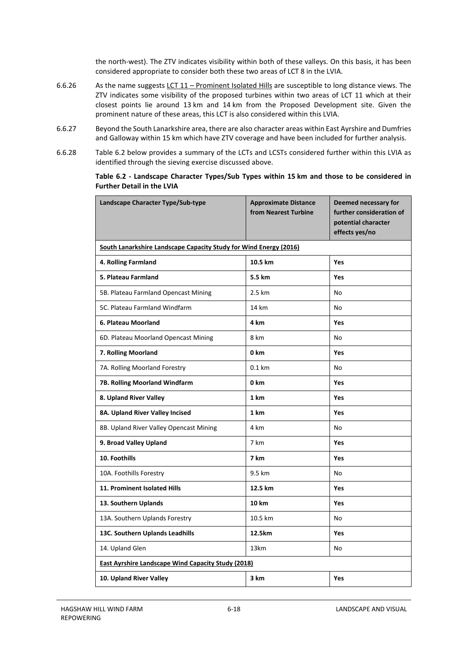the north-west). The ZTV indicates visibility within both of these valleys. On this basis, it has been considered appropriate to consider both these two areas of LCT 8 in the LVIA.

- 6.6.26 As the name suggests LCT 11 Prominent Isolated Hills are susceptible to long distance views. The ZTV indicates some visibility of the proposed turbines within two areas of LCT 11 which at their closest points lie around 13 km and 14 km from the Proposed Development site. Given the prominent nature of these areas, this LCT is also considered within this LVIA.
- 6.6.27 Beyond the South Lanarkshire area, there are also character areas within East Ayrshire and Dumfries and Galloway within 15 km which have ZTV coverage and have been included for further analysis.
- 6.6.28 Table 6.2 below provides a summary of the LCTs and LCSTs considered further within this LVIA as identified through the sieving exercise discussed above.

| Table 6.2 - Landscape Character Types/Sub Types within 15 km and those to be considered in |  |  |  |  |  |
|--------------------------------------------------------------------------------------------|--|--|--|--|--|
| <b>Further Detail in the LVIA</b>                                                          |  |  |  |  |  |

| Landscape Character Type/Sub-type                                 | <b>Approximate Distance</b><br>from Nearest Turbine | Deemed necessary for<br>further consideration of<br>potential character<br>effects yes/no |  |  |  |  |
|-------------------------------------------------------------------|-----------------------------------------------------|-------------------------------------------------------------------------------------------|--|--|--|--|
| South Lanarkshire Landscape Capacity Study for Wind Energy (2016) |                                                     |                                                                                           |  |  |  |  |
| 4. Rolling Farmland                                               | 10.5 km                                             | Yes                                                                                       |  |  |  |  |
| 5. Plateau Farmland                                               | 5.5 km                                              | Yes                                                                                       |  |  |  |  |
| 5B. Plateau Farmland Opencast Mining                              | 2.5 km                                              | <b>No</b>                                                                                 |  |  |  |  |
| 5C. Plateau Farmland Windfarm                                     | 14 km                                               | No                                                                                        |  |  |  |  |
| 6. Plateau Moorland                                               | 4 km                                                | <b>Yes</b>                                                                                |  |  |  |  |
| 6D. Plateau Moorland Opencast Mining                              | 8 km                                                | No                                                                                        |  |  |  |  |
| 7. Rolling Moorland                                               | 0 km                                                | Yes                                                                                       |  |  |  |  |
| 7A. Rolling Moorland Forestry                                     | $0.1 \text{ km}$                                    | No                                                                                        |  |  |  |  |
| 7B. Rolling Moorland Windfarm                                     | 0 km                                                | Yes                                                                                       |  |  |  |  |
| 8. Upland River Valley                                            | 1 km                                                | Yes                                                                                       |  |  |  |  |
| 8A. Upland River Valley Incised                                   | 1 km                                                | Yes                                                                                       |  |  |  |  |
| 8B. Upland River Valley Opencast Mining                           | 4 km                                                | <b>No</b>                                                                                 |  |  |  |  |
| 9. Broad Valley Upland                                            | 7 km                                                | Yes                                                                                       |  |  |  |  |
| 10. Foothills                                                     | 7 km                                                | Yes                                                                                       |  |  |  |  |
| 10A. Foothills Forestry                                           | 9.5 km                                              | <b>No</b>                                                                                 |  |  |  |  |
| 11. Prominent Isolated Hills                                      | 12.5 km                                             | Yes                                                                                       |  |  |  |  |
| 13. Southern Uplands                                              | 10 km                                               | Yes                                                                                       |  |  |  |  |
| 13A. Southern Uplands Forestry                                    | 10.5 km                                             | No.                                                                                       |  |  |  |  |
| 13C. Southern Uplands Leadhills                                   | 12.5km                                              | Yes                                                                                       |  |  |  |  |
| 14. Upland Glen                                                   | 13km                                                | <b>No</b>                                                                                 |  |  |  |  |
| East Ayrshire Landscape Wind Capacity Study (2018)                |                                                     |                                                                                           |  |  |  |  |
| 10. Upland River Valley                                           | 3 km                                                | Yes                                                                                       |  |  |  |  |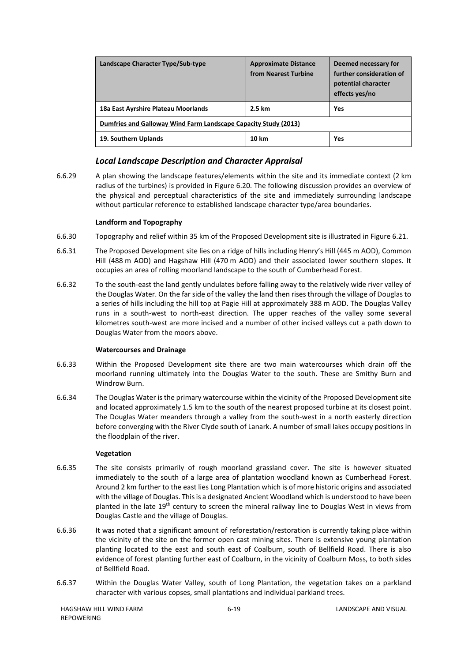| Landscape Character Type/Sub-type                               | <b>Approximate Distance</b><br>from Nearest Turbine | Deemed necessary for<br>further consideration of<br>potential character<br>effects yes/no |  |  |  |  |
|-----------------------------------------------------------------|-----------------------------------------------------|-------------------------------------------------------------------------------------------|--|--|--|--|
| 18a East Ayrshire Plateau Moorlands                             | 2.5 km                                              | Yes                                                                                       |  |  |  |  |
| Dumfries and Galloway Wind Farm Landscape Capacity Study (2013) |                                                     |                                                                                           |  |  |  |  |
| 19. Southern Uplands                                            | 10 km                                               | Yes                                                                                       |  |  |  |  |

# *Local Landscape Description and Character Appraisal*

6.6.29 A plan showing the landscape features/elements within the site and its immediate context (2 km radius of the turbines) is provided in Figure 6.20. The following discussion provides an overview of the physical and perceptual characteristics of the site and immediately surrounding landscape without particular reference to established landscape character type/area boundaries.

# **Landform and Topography**

- 6.6.30 Topography and relief within 35 km of the Proposed Development site is illustrated in Figure 6.21.
- 6.6.31 The Proposed Development site lies on a ridge of hills including Henry's Hill (445 m AOD), Common Hill (488 m AOD) and Hagshaw Hill (470 m AOD) and their associated lower southern slopes. It occupies an area of rolling moorland landscape to the south of Cumberhead Forest.
- 6.6.32 To the south-east the land gently undulates before falling away to the relatively wide river valley of the Douglas Water. On the far side of the valley the land then rises through the village of Douglas to a series of hills including the hill top at Pagie Hill at approximately 388 m AOD. The Douglas Valley runs in a south-west to north-east direction. The upper reaches of the valley some several kilometres south-west are more incised and a number of other incised valleys cut a path down to Douglas Water from the moors above.

#### **Watercourses and Drainage**

- 6.6.33 Within the Proposed Development site there are two main watercourses which drain off the moorland running ultimately into the Douglas Water to the south. These are Smithy Burn and Windrow Burn.
- 6.6.34 The Douglas Water is the primary watercourse within the vicinity of the Proposed Development site and located approximately 1.5 km to the south of the nearest proposed turbine at its closest point. The Douglas Water meanders through a valley from the south-west in a north easterly direction before converging with the River Clyde south of Lanark. A number of small lakes occupy positions in the floodplain of the river.

# **Vegetation**

- 6.6.35 The site consists primarily of rough moorland grassland cover. The site is however situated immediately to the south of a large area of plantation woodland known as Cumberhead Forest. Around 2 km further to the east lies Long Plantation which is of more historic origins and associated with the village of Douglas. This is a designated Ancient Woodland which is understood to have been planted in the late 19<sup>th</sup> century to screen the mineral railway line to Douglas West in views from Douglas Castle and the village of Douglas.
- 6.6.36 It was noted that a significant amount of reforestation/restoration is currently taking place within the vicinity of the site on the former open cast mining sites. There is extensive young plantation planting located to the east and south east of Coalburn, south of Bellfield Road. There is also evidence of forest planting further east of Coalburn, in the vicinity of Coalburn Moss, to both sides of Bellfield Road.
- 6.6.37 Within the Douglas Water Valley, south of Long Plantation, the vegetation takes on a parkland character with various copses, small plantations and individual parkland trees.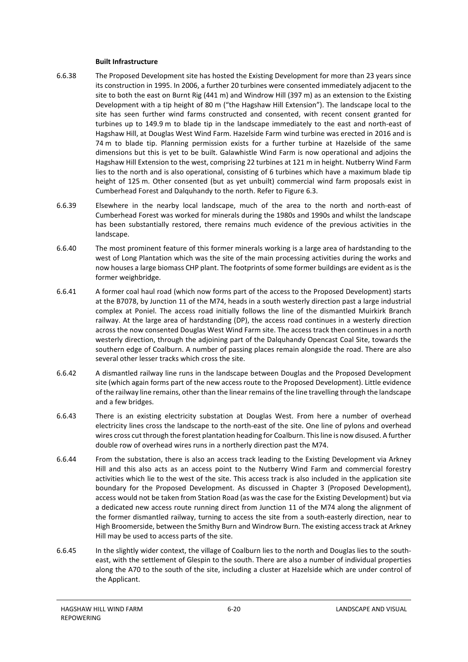#### **Built Infrastructure**

- 6.6.38 The Proposed Development site has hosted the Existing Development for more than 23 years since its construction in 1995. In 2006, a further 20 turbines were consented immediately adjacent to the site to both the east on Burnt Rig (441 m) and Windrow Hill (397 m) as an extension to the Existing Development with a tip height of 80 m ("the Hagshaw Hill Extension"). The landscape local to the site has seen further wind farms constructed and consented, with recent consent granted for turbines up to 149.9 m to blade tip in the landscape immediately to the east and north-east of Hagshaw Hill, at Douglas West Wind Farm. Hazelside Farm wind turbine was erected in 2016 and is 74 m to blade tip. Planning permission exists for a further turbine at Hazelside of the same dimensions but this is yet to be built. Galawhistle Wind Farm is now operational and adjoins the Hagshaw Hill Extension to the west, comprising 22 turbines at 121 m in height. Nutberry Wind Farm lies to the north and is also operational, consisting of 6 turbines which have a maximum blade tip height of 125 m. Other consented (but as yet unbuilt) commercial wind farm proposals exist in Cumberhead Forest and Dalquhandy to the north. Refer to Figure 6.3.
- 6.6.39 Elsewhere in the nearby local landscape, much of the area to the north and north-east of Cumberhead Forest was worked for minerals during the 1980s and 1990s and whilst the landscape has been substantially restored, there remains much evidence of the previous activities in the landscape.
- 6.6.40 The most prominent feature of this former minerals working is a large area of hardstanding to the west of Long Plantation which was the site of the main processing activities during the works and now houses a large biomass CHP plant. The footprints of some former buildings are evident as is the former weighbridge.
- 6.6.41 A former coal haul road (which now forms part of the access to the Proposed Development) starts at the B7078, by Junction 11 of the M74, heads in a south westerly direction past a large industrial complex at Poniel. The access road initially follows the line of the dismantled Muirkirk Branch railway. At the large area of hardstanding (DP), the access road continues in a westerly direction across the now consented Douglas West Wind Farm site. The access track then continues in a north westerly direction, through the adjoining part of the Dalquhandy Opencast Coal Site, towards the southern edge of Coalburn. A number of passing places remain alongside the road. There are also several other lesser tracks which cross the site.
- 6.6.42 A dismantled railway line runs in the landscape between Douglas and the Proposed Development site (which again forms part of the new access route to the Proposed Development). Little evidence of the railway line remains, other than the linear remains of the line travelling through the landscape and a few bridges.
- 6.6.43 There is an existing electricity substation at Douglas West. From here a number of overhead electricity lines cross the landscape to the north-east of the site. One line of pylons and overhead wires cross cut through the forest plantation heading for Coalburn. This line is now disused. A further double row of overhead wires runs in a northerly direction past the M74.
- 6.6.44 From the substation, there is also an access track leading to the Existing Development via Arkney Hill and this also acts as an access point to the Nutberry Wind Farm and commercial forestry activities which lie to the west of the site. This access track is also included in the application site boundary for the Proposed Development. As discussed in Chapter 3 (Proposed Development), access would not be taken from Station Road (as was the case for the Existing Development) but via a dedicated new access route running direct from Junction 11 of the M74 along the alignment of the former dismantled railway, turning to access the site from a south-easterly direction, near to High Broomerside, between the Smithy Burn and Windrow Burn. The existing access track at Arkney Hill may be used to access parts of the site.
- 6.6.45 In the slightly wider context, the village of Coalburn lies to the north and Douglas lies to the southeast, with the settlement of Glespin to the south. There are also a number of individual properties along the A70 to the south of the site, including a cluster at Hazelside which are under control of the Applicant.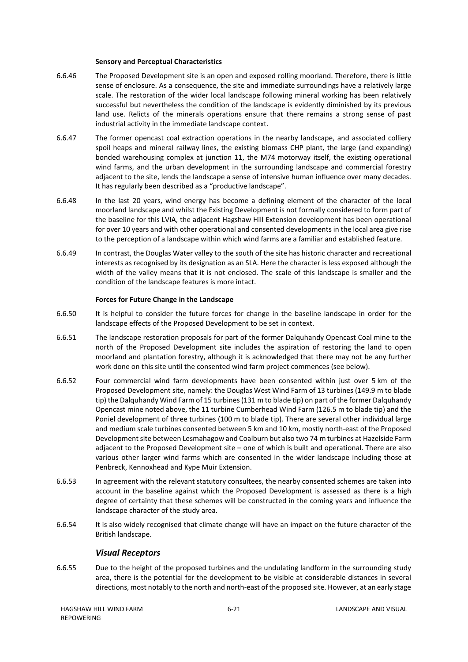#### **Sensory and Perceptual Characteristics**

- 6.6.46 The Proposed Development site is an open and exposed rolling moorland. Therefore, there is little sense of enclosure. As a consequence, the site and immediate surroundings have a relatively large scale. The restoration of the wider local landscape following mineral working has been relatively successful but nevertheless the condition of the landscape is evidently diminished by its previous land use. Relicts of the minerals operations ensure that there remains a strong sense of past industrial activity in the immediate landscape context.
- 6.6.47 The former opencast coal extraction operations in the nearby landscape, and associated colliery spoil heaps and mineral railway lines, the existing biomass CHP plant, the large (and expanding) bonded warehousing complex at junction 11, the M74 motorway itself, the existing operational wind farms, and the urban development in the surrounding landscape and commercial forestry adjacent to the site, lends the landscape a sense of intensive human influence over many decades. It has regularly been described as a "productive landscape".
- 6.6.48 In the last 20 years, wind energy has become a defining element of the character of the local moorland landscape and whilst the Existing Development is not formally considered to form part of the baseline for this LVIA, the adjacent Hagshaw Hill Extension development has been operational for over 10 years and with other operational and consented developments in the local area give rise to the perception of a landscape within which wind farms are a familiar and established feature.
- 6.6.49 In contrast, the Douglas Water valley to the south of the site has historic character and recreational interests as recognised by its designation as an SLA. Here the character is less exposed although the width of the valley means that it is not enclosed. The scale of this landscape is smaller and the condition of the landscape features is more intact.

#### **Forces for Future Change in the Landscape**

- 6.6.50 It is helpful to consider the future forces for change in the baseline landscape in order for the landscape effects of the Proposed Development to be set in context.
- 6.6.51 The landscape restoration proposals for part of the former Dalquhandy Opencast Coal mine to the north of the Proposed Development site includes the aspiration of restoring the land to open moorland and plantation forestry, although it is acknowledged that there may not be any further work done on this site until the consented wind farm project commences (see below).
- 6.6.52 Four commercial wind farm developments have been consented within just over 5 km of the Proposed Development site, namely: the Douglas West Wind Farm of 13 turbines (149.9 m to blade tip) the Dalquhandy Wind Farm of 15 turbines (131 m to blade tip) on part of the former Dalquhandy Opencast mine noted above, the 11 turbine Cumberhead Wind Farm (126.5 m to blade tip) and the Poniel development of three turbines (100 m to blade tip). There are several other individual large and medium scale turbines consented between 5 km and 10 km, mostly north-east of the Proposed Development site between Lesmahagow and Coalburn but also two 74 m turbines at Hazelside Farm adjacent to the Proposed Development site – one of which is built and operational. There are also various other larger wind farms which are consented in the wider landscape including those at Penbreck, Kennoxhead and Kype Muir Extension.
- 6.6.53 In agreement with the relevant statutory consultees, the nearby consented schemes are taken into account in the baseline against which the Proposed Development is assessed as there is a high degree of certainty that these schemes will be constructed in the coming years and influence the landscape character of the study area.
- 6.6.54 It is also widely recognised that climate change will have an impact on the future character of the British landscape.

# *Visual Receptors*

6.6.55 Due to the height of the proposed turbines and the undulating landform in the surrounding study area, there is the potential for the development to be visible at considerable distances in several directions, most notably to the north and north-east of the proposed site. However, at an early stage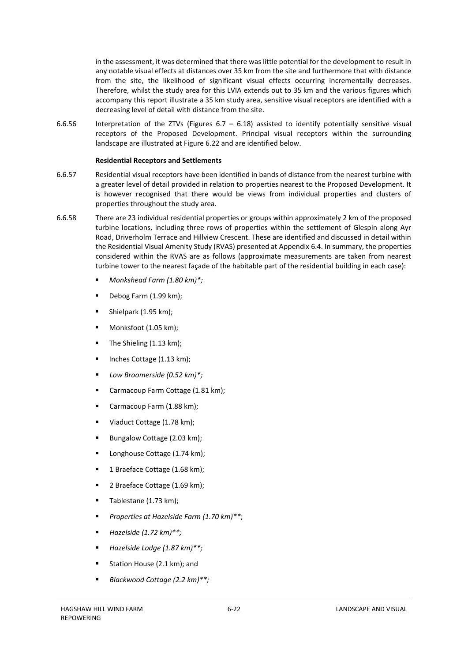in the assessment, it was determined that there was little potential for the development to result in any notable visual effects at distances over 35 km from the site and furthermore that with distance from the site, the likelihood of significant visual effects occurring incrementally decreases. Therefore, whilst the study area for this LVIA extends out to 35 km and the various figures which accompany this report illustrate a 35 km study area, sensitive visual receptors are identified with a decreasing level of detail with distance from the site.

6.6.56 Interpretation of the ZTVs (Figures  $6.7 - 6.18$ ) assisted to identify potentially sensitive visual receptors of the Proposed Development. Principal visual receptors within the surrounding landscape are illustrated at Figure 6.22 and are identified below.

### **Residential Receptors and Settlements**

- 6.6.57 Residential visual receptors have been identified in bands of distance from the nearest turbine with a greater level of detail provided in relation to properties nearest to the Proposed Development. It is however recognised that there would be views from individual properties and clusters of properties throughout the study area.
- 6.6.58 There are 23 individual residential properties or groups within approximately 2 km of the proposed turbine locations, including three rows of properties within the settlement of Glespin along Ayr Road, Driverholm Terrace and Hillview Crescent. These are identified and discussed in detail within the Residential Visual Amenity Study (RVAS) presented at Appendix 6.4. In summary, the properties considered within the RVAS are as follows (approximate measurements are taken from nearest turbine tower to the nearest façade of the habitable part of the residential building in each case):
	- *Monkshead Farm (1.80 km)\*;*
	- Debog Farm (1.99 km);
	- Shielpark (1.95 km);
	- **Monksfoot (1.05 km);**
	- $\blacksquare$  The Shieling (1.13 km);
	- $\blacksquare$  Inches Cottage (1.13 km);
	- *Low Broomerside (0.52 km)\*;*
	- Carmacoup Farm Cottage (1.81 km);
	- Carmacoup Farm (1.88 km);
	- Viaduct Cottage (1.78 km);
	- Bungalow Cottage (2.03 km);
	- **Longhouse Cottage (1.74 km);**
	- 1 Braeface Cottage (1.68 km);
	- 2 Braeface Cottage (1.69 km);
	- Tablestane (1.73 km);
	- *Properties at Hazelside Farm (1.70 km)\*\**;
	- *Hazelside (1.72 km)\*\*;*
	- *Hazelside Lodge (1.87 km)\*\*;*
	- Station House (2.1 km); and
	- *Blackwood Cottage (2.2 km)\*\*;*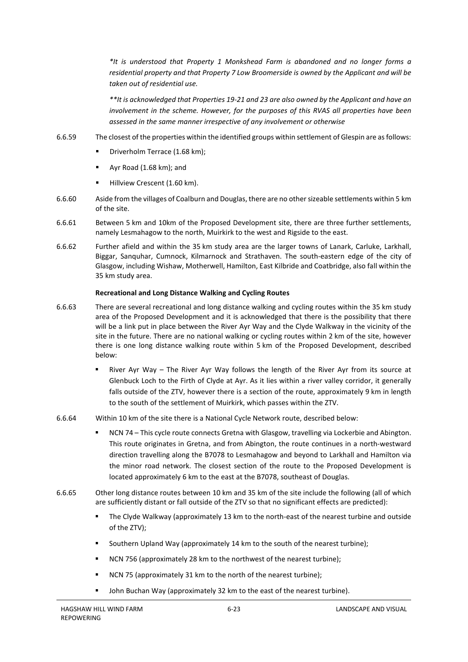*\*It is understood that Property 1 Monkshead Farm is abandoned and no longer forms a residential property and that Property 7 Low Broomerside is owned by the Applicant and will be taken out of residential use.*

*\*\*It is acknowledged that Properties 19-21 and 23 are also owned by the Applicant and have an involvement in the scheme. However, for the purposes of this RVAS all properties have been assessed in the same manner irrespective of any involvement or otherwise*

- 6.6.59 The closest of the properties within the identified groups within settlement of Glespin are as follows:
	- **Driverholm Terrace (1.68 km);**
	- Ayr Road (1.68 km); and
	- Hillview Crescent (1.60 km).
- 6.6.60 Aside from the villages of Coalburn and Douglas, there are no other sizeable settlements within 5 km of the site.
- 6.6.61 Between 5 km and 10km of the Proposed Development site, there are three further settlements, namely Lesmahagow to the north, Muirkirk to the west and Rigside to the east.
- 6.6.62 Further afield and within the 35 km study area are the larger towns of Lanark, Carluke, Larkhall, Biggar, Sanquhar, Cumnock, Kilmarnock and Strathaven. The south-eastern edge of the city of Glasgow, including Wishaw, Motherwell, Hamilton, East Kilbride and Coatbridge, also fall within the 35 km study area.

#### **Recreational and Long Distance Walking and Cycling Routes**

- 6.6.63 There are several recreational and long distance walking and cycling routes within the 35 km study area of the Proposed Development and it is acknowledged that there is the possibility that there will be a link put in place between the River Ayr Way and the Clyde Walkway in the vicinity of the site in the future. There are no national walking or cycling routes within 2 km of the site, however there is one long distance walking route within 5 km of the Proposed Development, described below:
	- River Ayr Way The River Ayr Way follows the length of the River Ayr from its source at Glenbuck Loch to the Firth of Clyde at Ayr. As it lies within a river valley corridor, it generally falls outside of the ZTV, however there is a section of the route, approximately 9 km in length to the south of the settlement of Muirkirk, which passes within the ZTV.
- 6.6.64 Within 10 km of the site there is a National Cycle Network route, described below:
	- NCN 74 This cycle route connects Gretna with Glasgow, travelling via Lockerbie and Abington. This route originates in Gretna, and from Abington, the route continues in a north-westward direction travelling along the B7078 to Lesmahagow and beyond to Larkhall and Hamilton via the minor road network. The closest section of the route to the Proposed Development is located approximately 6 km to the east at the B7078, southeast of Douglas.
- 6.6.65 Other long distance routes between 10 km and 35 km of the site include the following (all of which are sufficiently distant or fall outside of the ZTV so that no significant effects are predicted):
	- The Clyde Walkway (approximately 13 km to the north-east of the nearest turbine and outside of the ZTV);
	- Southern Upland Way (approximately 14 km to the south of the nearest turbine);
	- NCN 756 (approximately 28 km to the northwest of the nearest turbine);
	- NCN 75 (approximately 31 km to the north of the nearest turbine);
	- John Buchan Way (approximately 32 km to the east of the nearest turbine).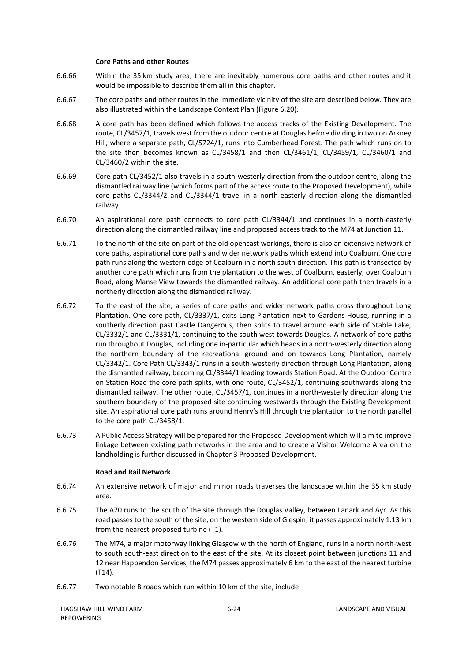#### **Core Paths and other Routes**

- 6.6.66 Within the 35 km study area, there are inevitably numerous core paths and other routes and it would be impossible to describe them all in this chapter.
- 6.6.67 The core paths and other routes in the immediate vicinity of the site are described below. They are also illustrated within the Landscape Context Plan (Figure 6.20).
- 6.6.68 A core path has been defined which follows the access tracks of the Existing Development. The route, CL/3457/1, travels west from the outdoor centre at Douglas before dividing in two on Arkney Hill, where a separate path, CL/5724/1, runs into Cumberhead Forest. The path which runs on to the site then becomes known as CL/3458/1 and then CL/3461/1, CL/3459/1, CL/3460/1 and CL/3460/2 within the site.
- 6.6.69 Core path CL/3452/1 also travels in a south-westerly direction from the outdoor centre, along the dismantled railway line (which forms part of the access route to the Proposed Development), while core paths CL/3344/2 and CL/3344/1 travel in a north-easterly direction along the dismantled railway.
- 6.6.70 An aspirational core path connects to core path CL/3344/1 and continues in a north-easterly direction along the dismantled railway line and proposed access track to the M74 at Junction 11.
- 6.6.71 To the north of the site on part of the old opencast workings, there is also an extensive network of core paths, aspirational core paths and wider network paths which extend into Coalburn. One core path runs along the western edge of Coalburn in a north south direction. This path is transected by another core path which runs from the plantation to the west of Coalburn, easterly, over Coalburn Road, along Manse View towards the dismantled railway. An additional core path then travels in a northerly direction along the dismantled railway.
- 6.6.72 To the east of the site, a series of core paths and wider network paths cross throughout Long Plantation. One core path, CL/3337/1, exits Long Plantation next to Gardens House, running in a southerly direction past Castle Dangerous, then splits to travel around each side of Stable Lake, CL/3332/1 and CL/3331/1, continuing to the south west towards Douglas. A network of core paths run throughout Douglas, including one in-particular which heads in a north-westerly direction along the northern boundary of the recreational ground and on towards Long Plantation, namely CL/3342/1. Core Path CL/3343/1 runs in a south-westerly direction through Long Plantation, along the dismantled railway, becoming CL/3344/1 leading towards Station Road. At the Outdoor Centre on Station Road the core path splits, with one route, CL/3452/1, continuing southwards along the dismantled railway. The other route, CL/3457/1, continues in a north-westerly direction along the southern boundary of the proposed site continuing westwards through the Existing Development site. An aspirational core path runs around Henry's Hill through the plantation to the north parallel to the core path CL/3458/1.
- 6.6.73 A Public Access Strategy will be prepared for the Proposed Development which will aim to improve linkage between existing path networks in the area and to create a Visitor Welcome Area on the landholding is further discussed in Chapter 3 Proposed Development.

#### **Road and Rail Network**

- 6.6.74 An extensive network of major and minor roads traverses the landscape within the 35 km study area.
- 6.6.75 The A70 runs to the south of the site through the Douglas Valley, between Lanark and Ayr. As this road passes to the south of the site, on the western side of Glespin, it passes approximately 1.13 km from the nearest proposed turbine (T1).
- 6.6.76 The M74, a major motorway linking Glasgow with the north of England, runs in a north north-west to south south-east direction to the east of the site. At its closest point between junctions 11 and 12 near Happendon Services, the M74 passes approximately 6 km to the east of the nearest turbine (T14).
- 6.6.77 Two notable B roads which run within 10 km of the site, include: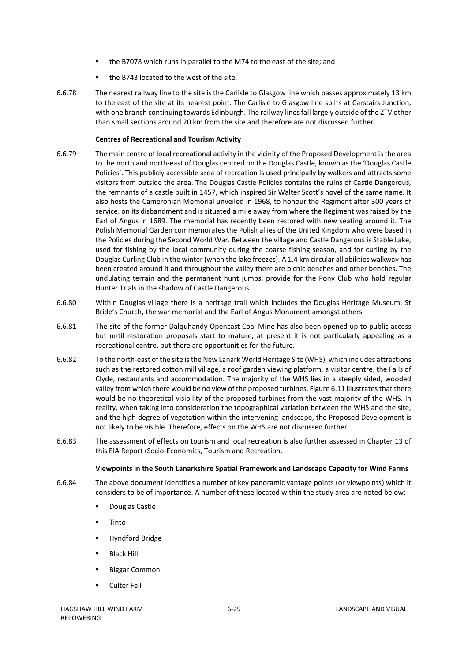- the B7078 which runs in parallel to the M74 to the east of the site; and
- the B743 located to the west of the site.
- 6.6.78 The nearest railway line to the site is the Carlisle to Glasgow line which passes approximately 13 km to the east of the site at its nearest point. The Carlisle to Glasgow line splits at Carstairs Junction, with one branch continuing towards Edinburgh. The railway lines fall largely outside of the ZTV other than small sections around 20 km from the site and therefore are not discussed further.

#### **Centres of Recreational and Tourism Activity**

- 6.6.79 The main centre of local recreational activity in the vicinity of the Proposed Development is the area to the north and north-east of Douglas centred on the Douglas Castle, known as the 'Douglas Castle Policies'. This publicly accessible area of recreation is used principally by walkers and attracts some visitors from outside the area. The Douglas Castle Policies contains the ruins of Castle Dangerous, the remnants of a castle built in 1457, which inspired Sir Walter Scott's novel of the same name. It also hosts the Cameronian Memorial unveiled in 1968, to honour the Regiment after 300 years of service, on its disbandment and is situated a mile away from where the Regiment was raised by the Earl of Angus in 1689. The memorial has recently been restored with new seating around it. The Polish Memorial Garden commemorates the Polish allies of the United Kingdom who were based in the Policies during the Second World War. Between the village and Castle Dangerous is Stable Lake, used for fishing by the local community during the coarse fishing season, and for curling by the Douglas Curling Club in the winter (when the lake freezes). A 1.4 km circular all abilities walkway has been created around it and throughout the valley there are picnic benches and other benches. The undulating terrain and the permanent hunt jumps, provide for the Pony Club who hold regular Hunter Trials in the shadow of Castle Dangerous.
- 6.6.80 Within Douglas village there is a heritage trail which includes the Douglas Heritage Museum, St Bride's Church, the war memorial and the Earl of Angus Monument amongst others.
- 6.6.81 The site of the former Dalquhandy Opencast Coal Mine has also been opened up to public access but until restoration proposals start to mature, at present it is not particularly appealing as a recreational centre, but there are opportunities for the future.
- 6.6.82 To the north-east of the site is the New Lanark World Heritage Site (WHS), which includes attractions such as the restored cotton mill village, a roof garden viewing platform, a visitor centre, the Falls of Clyde, restaurants and accommodation. The majority of the WHS lies in a steeply sided, wooded valley from which there would be no view of the proposed turbines. Figure 6.11 illustrates that there would be no theoretical visibility of the proposed turbines from the vast majority of the WHS. In reality, when taking into consideration the topographical variation between the WHS and the site, and the high degree of vegetation within the intervening landscape, the Proposed Development is not likely to be visible. Therefore, effects on the WHS are not discussed further.
- 6.6.83 The assessment of effects on tourism and local recreation is also further assessed in Chapter 13 of this EIA Report (Socio-Economics, Tourism and Recreation.

#### **Viewpoints in the South Lanarkshire Spatial Framework and Landscape Capacity for Wind Farms**

- 6.6.84 The above document identifies a number of key panoramic vantage points (or viewpoints) which it considers to be of importance. A number of these located within the study area are noted below:
	- **Douglas Castle**
	- **Tinto**
	- **Hyndford Bridge**
	- **Black Hill**
	- Biggar Common
	- Culter Fell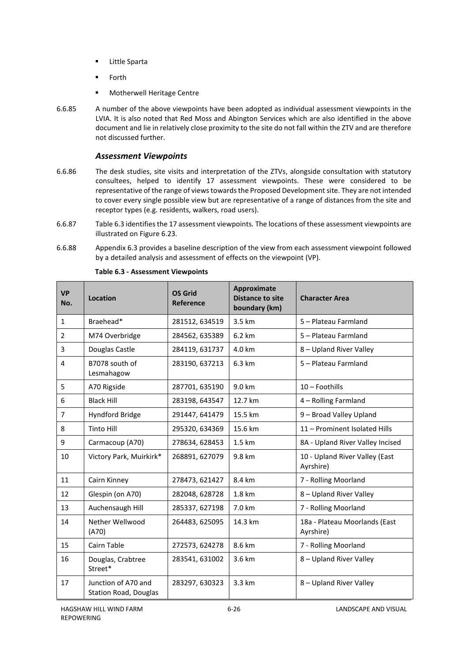- **Little Sparta**
- Forth
- **Motherwell Heritage Centre**
- 6.6.85 A number of the above viewpoints have been adopted as individual assessment viewpoints in the LVIA. It is also noted that Red Moss and Abington Services which are also identified in the above document and lie in relatively close proximity to the site do not fall within the ZTV and are therefore not discussed further.

# *Assessment Viewpoints*

- 6.6.86 The desk studies, site visits and interpretation of the ZTVs, alongside consultation with statutory consultees, helped to identify 17 assessment viewpoints. These were considered to be representative of the range of views towards the Proposed Development site. They are not intended to cover every single possible view but are representative of a range of distances from the site and receptor types (e.g. residents, walkers, road users).
- 6.6.87 Table 6.3 identifies the 17 assessment viewpoints. The locations of these assessment viewpoints are illustrated on Figure 6.23.
- 6.6.88 Appendix 6.3 provides a baseline description of the view from each assessment viewpoint followed by a detailed analysis and assessment of effects on the viewpoint (VP).

| <b>VP</b><br>No. | Location                                            | <b>OS Grid</b><br><b>Reference</b> | Approximate<br><b>Distance to site</b><br>boundary (km) | <b>Character Area</b>                       |
|------------------|-----------------------------------------------------|------------------------------------|---------------------------------------------------------|---------------------------------------------|
| 1                | Braehead*                                           | 281512, 634519                     | 3.5 km                                                  | 5 - Plateau Farmland                        |
| $\overline{2}$   | M74 Overbridge                                      | 284562, 635389                     | 6.2 km                                                  | 5 - Plateau Farmland                        |
| 3                | Douglas Castle                                      | 284119, 631737                     | 4.0 km                                                  | 8 - Upland River Valley                     |
| 4                | B7078 south of<br>Lesmahagow                        | 283190, 637213                     | 6.3 km                                                  | 5 - Plateau Farmland                        |
| 5                | A70 Rigside                                         | 287701, 635190                     | 9.0 km                                                  | $10$ – Foothills                            |
| 6                | <b>Black Hill</b>                                   | 283198, 643547                     | 12.7 km                                                 | 4 - Rolling Farmland                        |
| $\overline{7}$   | <b>Hyndford Bridge</b>                              | 291447, 641479                     | 15.5 km                                                 | 9 - Broad Valley Upland                     |
| 8                | <b>Tinto Hill</b>                                   | 295320, 634369                     | 15.6 km                                                 | 11 - Prominent Isolated Hills               |
| 9                | Carmacoup (A70)                                     | 278634, 628453                     | 1.5 km                                                  | 8A - Upland River Valley Incised            |
| 10               | Victory Park, Muirkirk*                             | 268891, 627079                     | 9.8 km                                                  | 10 - Upland River Valley (East<br>Ayrshire) |
| 11               | Cairn Kinney                                        | 278473, 621427                     | 8.4 km                                                  | 7 - Rolling Moorland                        |
| 12               | Glespin (on A70)                                    | 282048, 628728                     | 1.8 km                                                  | 8 - Upland River Valley                     |
| 13               | Auchensaugh Hill                                    | 285337, 627198                     | 7.0 km                                                  | 7 - Rolling Moorland                        |
| 14               | Nether Wellwood<br>(A70)                            | 264483, 625095                     | 14.3 km                                                 | 18a - Plateau Moorlands (East<br>Ayrshire)  |
| 15               | Cairn Table                                         | 272573, 624278                     | 8.6 km                                                  | 7 - Rolling Moorland                        |
| 16               | Douglas, Crabtree<br>Street*                        | 283541, 631002                     | 3.6 km                                                  | 8 - Upland River Valley                     |
| 17               | Junction of A70 and<br><b>Station Road, Douglas</b> | 283297, 630323                     | 3.3 km                                                  | 8 - Upland River Valley                     |

**Table 6.3 - Assessment Viewpoints**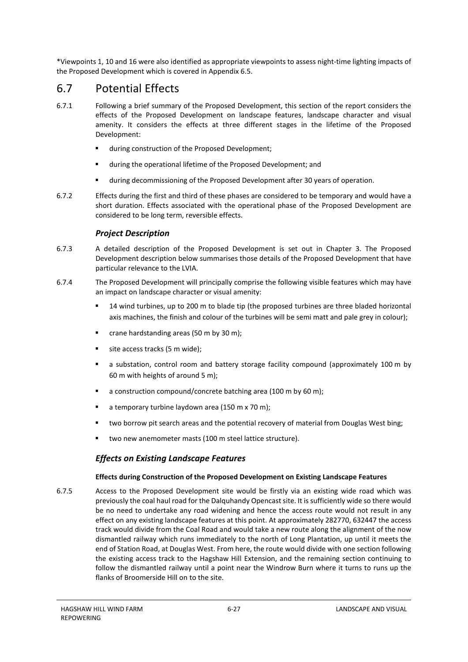\*Viewpoints 1, 10 and 16 were also identified as appropriate viewpoints to assess night-time lighting impacts of the Proposed Development which is covered in Appendix 6.5.

# <span id="page-28-0"></span>6.7 Potential Effects

- 6.7.1 Following a brief summary of the Proposed Development, this section of the report considers the effects of the Proposed Development on landscape features, landscape character and visual amenity. It considers the effects at three different stages in the lifetime of the Proposed Development:
	- **u** during construction of the Proposed Development;
	- during the operational lifetime of the Proposed Development; and
	- during decommissioning of the Proposed Development after 30 years of operation.
- 6.7.2 Effects during the first and third of these phases are considered to be temporary and would have a short duration. Effects associated with the operational phase of the Proposed Development are considered to be long term, reversible effects.

# *Project Description*

- 6.7.3 A detailed description of the Proposed Development is set out in Chapter 3. The Proposed Development description below summarises those details of the Proposed Development that have particular relevance to the LVIA.
- 6.7.4 The Proposed Development will principally comprise the following visible features which may have an impact on landscape character or visual amenity:
	- 14 wind turbines, up to 200 m to blade tip (the proposed turbines are three bladed horizontal axis machines, the finish and colour of the turbines will be semi matt and pale grey in colour);
	- crane hardstanding areas (50 m by 30 m);
	- site access tracks (5 m wide);
	- a substation, control room and battery storage facility compound (approximately 100 m by 60 m with heights of around 5 m);
	- a construction compound/concrete batching area (100 m by 60 m);
	- a temporary turbine laydown area (150 m x 70 m);
	- **\*** two borrow pit search areas and the potential recovery of material from Douglas West bing;
	- two new anemometer masts (100 m steel lattice structure).

# *Effects on Existing Landscape Features*

# **Effects during Construction of the Proposed Development on Existing Landscape Features**

6.7.5 Access to the Proposed Development site would be firstly via an existing wide road which was previously the coal haul road for the Dalquhandy Opencast site. It is sufficiently wide so there would be no need to undertake any road widening and hence the access route would not result in any effect on any existing landscape features at this point. At approximately 282770, 632447 the access track would divide from the Coal Road and would take a new route along the alignment of the now dismantled railway which runs immediately to the north of Long Plantation, up until it meets the end of Station Road, at Douglas West. From here, the route would divide with one section following the existing access track to the Hagshaw Hill Extension, and the remaining section continuing to follow the dismantled railway until a point near the Windrow Burn where it turns to runs up the flanks of Broomerside Hill on to the site.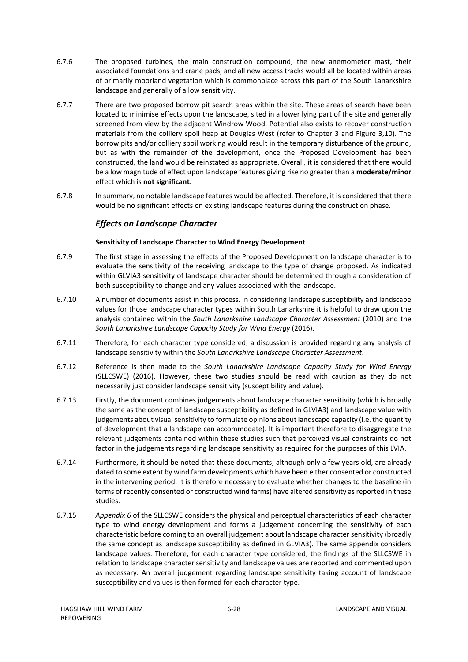- 6.7.6 The proposed turbines, the main construction compound, the new anemometer mast, their associated foundations and crane pads, and all new access tracks would all be located within areas of primarily moorland vegetation which is commonplace across this part of the South Lanarkshire landscape and generally of a low sensitivity.
- 6.7.7 There are two proposed borrow pit search areas within the site. These areas of search have been located to minimise effects upon the landscape, sited in a lower lying part of the site and generally screened from view by the adjacent Windrow Wood. Potential also exists to recover construction materials from the colliery spoil heap at Douglas West (refer to Chapter 3 and Figure 3,10). The borrow pits and/or colliery spoil working would result in the temporary disturbance of the ground, but as with the remainder of the development, once the Proposed Development has been constructed, the land would be reinstated as appropriate. Overall, it is considered that there would be a low magnitude of effect upon landscape features giving rise no greater than a **moderate/minor** effect which is **not significant**.
- 6.7.8 In summary, no notable landscape features would be affected. Therefore, it is considered that there would be no significant effects on existing landscape features during the construction phase.

# *Effects on Landscape Character*

# **Sensitivity of Landscape Character to Wind Energy Development**

- 6.7.9 The first stage in assessing the effects of the Proposed Development on landscape character is to evaluate the sensitivity of the receiving landscape to the type of change proposed. As indicated within GLVIA3 sensitivity of landscape character should be determined through a consideration of both susceptibility to change and any values associated with the landscape.
- 6.7.10 A number of documents assist in this process. In considering landscape susceptibility and landscape values for those landscape character types within South Lanarkshire it is helpful to draw upon the analysis contained within the *South Lanarkshire Landscape Character Assessment* (2010) and the *South Lanarkshire Landscape Capacity Study for Wind Energy* (2016).
- 6.7.11 Therefore, for each character type considered, a discussion is provided regarding any analysis of landscape sensitivity within the *South Lanarkshire Landscape Character Assessment*.
- 6.7.12 Reference is then made to the *South Lanarkshire Landscape Capacity Study for Wind Energy*  (SLLCSWE) (2016). However, these two studies should be read with caution as they do not necessarily just consider landscape sensitivity (susceptibility and value).
- 6.7.13 Firstly, the document combines judgements about landscape character sensitivity (which is broadly the same as the concept of landscape susceptibility as defined in GLVIA3) and landscape value with judgements about visual sensitivity to formulate opinions about landscape capacity (i.e. the quantity of development that a landscape can accommodate). It is important therefore to disaggregate the relevant judgements contained within these studies such that perceived visual constraints do not factor in the judgements regarding landscape sensitivity as required for the purposes of this LVIA.
- 6.7.14 Furthermore, it should be noted that these documents, although only a few years old, are already dated to some extent by wind farm developments which have been either consented or constructed in the intervening period. It is therefore necessary to evaluate whether changes to the baseline (in terms of recently consented or constructed wind farms) have altered sensitivity as reported in these studies.
- 6.7.15 *Appendix 6* of the SLLCSWE considers the physical and perceptual characteristics of each character type to wind energy development and forms a judgement concerning the sensitivity of each characteristic before coming to an overall judgement about landscape character sensitivity (broadly the same concept as landscape susceptibility as defined in GLVIA3). The same appendix considers landscape values. Therefore, for each character type considered, the findings of the SLLCSWE in relation to landscape character sensitivity and landscape values are reported and commented upon as necessary. An overall judgement regarding landscape sensitivity taking account of landscape susceptibility and values is then formed for each character type.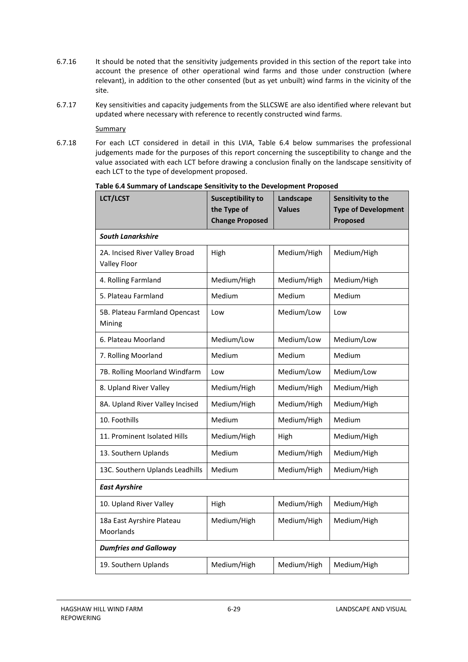- 6.7.16 It should be noted that the sensitivity judgements provided in this section of the report take into account the presence of other operational wind farms and those under construction (where relevant), in addition to the other consented (but as yet unbuilt) wind farms in the vicinity of the site.
- 6.7.17 Key sensitivities and capacity judgements from the SLLCSWE are also identified where relevant but updated where necessary with reference to recently constructed wind farms.

**Summary** 

6.7.18 For each LCT considered in detail in this LVIA, Table 6.4 below summarises the professional judgements made for the purposes of this report concerning the susceptibility to change and the value associated with each LCT before drawing a conclusion finally on the landscape sensitivity of each LCT to the type of development proposed.

| <b>LCT/LCST</b>                                | <b>Susceptibility to</b><br>the Type of<br><b>Change Proposed</b> | Landscape<br><b>Values</b> | Sensitivity to the<br><b>Type of Development</b><br>Proposed |  |  |  |  |
|------------------------------------------------|-------------------------------------------------------------------|----------------------------|--------------------------------------------------------------|--|--|--|--|
| South Lanarkshire                              |                                                                   |                            |                                                              |  |  |  |  |
| 2A. Incised River Valley Broad<br>Valley Floor | High                                                              | Medium/High                | Medium/High                                                  |  |  |  |  |
| 4. Rolling Farmland                            | Medium/High                                                       | Medium/High                | Medium/High                                                  |  |  |  |  |
| 5. Plateau Farmland                            | Medium                                                            | Medium                     | Medium                                                       |  |  |  |  |
| 5B. Plateau Farmland Opencast<br>Mining        | Low                                                               | Medium/Low                 | Low                                                          |  |  |  |  |
| 6. Plateau Moorland                            | Medium/Low                                                        | Medium/Low                 | Medium/Low                                                   |  |  |  |  |
| 7. Rolling Moorland                            | Medium                                                            | Medium                     | Medium                                                       |  |  |  |  |
| 7B. Rolling Moorland Windfarm                  | Low                                                               | Medium/Low                 | Medium/Low                                                   |  |  |  |  |
| 8. Upland River Valley                         | Medium/High                                                       | Medium/High                | Medium/High                                                  |  |  |  |  |
| 8A. Upland River Valley Incised                | Medium/High                                                       | Medium/High                | Medium/High                                                  |  |  |  |  |
| 10. Foothills                                  | Medium                                                            | Medium/High                | Medium                                                       |  |  |  |  |
| 11. Prominent Isolated Hills                   | Medium/High                                                       | High                       | Medium/High                                                  |  |  |  |  |
| 13. Southern Uplands                           | Medium                                                            | Medium/High                | Medium/High                                                  |  |  |  |  |
| 13C. Southern Uplands Leadhills                | Medium                                                            | Medium/High                | Medium/High                                                  |  |  |  |  |
| <b>East Ayrshire</b>                           |                                                                   |                            |                                                              |  |  |  |  |
| 10. Upland River Valley                        | High                                                              | Medium/High                | Medium/High                                                  |  |  |  |  |
| 18a East Ayrshire Plateau<br>Moorlands         | Medium/High                                                       | Medium/High                | Medium/High                                                  |  |  |  |  |
| <b>Dumfries and Galloway</b>                   |                                                                   |                            |                                                              |  |  |  |  |
| 19. Southern Uplands                           | Medium/High                                                       | Medium/High                | Medium/High                                                  |  |  |  |  |

**Table 6.4 Summary of Landscape Sensitivity to the Development Proposed**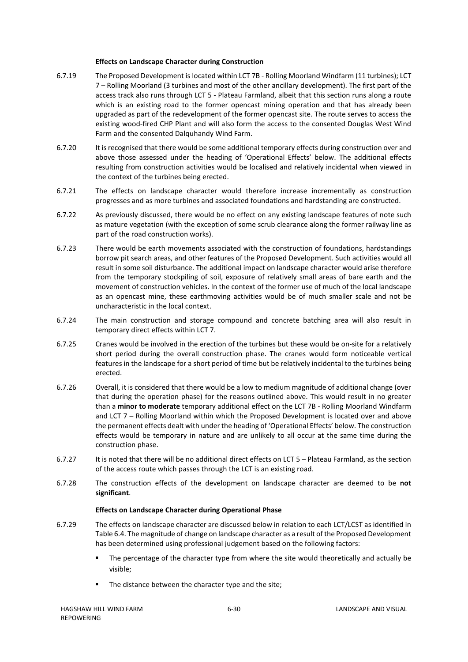#### **Effects on Landscape Character during Construction**

- 6.7.19 The Proposed Development is located within LCT 7B Rolling Moorland Windfarm (11 turbines); LCT 7 – Rolling Moorland (3 turbines and most of the other ancillary development). The first part of the access track also runs through LCT 5 - Plateau Farmland, albeit that this section runs along a route which is an existing road to the former opencast mining operation and that has already been upgraded as part of the redevelopment of the former opencast site. The route serves to access the existing wood-fired CHP Plant and will also form the access to the consented Douglas West Wind Farm and the consented Dalquhandy Wind Farm.
- 6.7.20 It is recognised that there would be some additional temporary effects during construction over and above those assessed under the heading of 'Operational Effects' below. The additional effects resulting from construction activities would be localised and relatively incidental when viewed in the context of the turbines being erected.
- 6.7.21 The effects on landscape character would therefore increase incrementally as construction progresses and as more turbines and associated foundations and hardstanding are constructed.
- 6.7.22 As previously discussed, there would be no effect on any existing landscape features of note such as mature vegetation (with the exception of some scrub clearance along the former railway line as part of the road construction works).
- 6.7.23 There would be earth movements associated with the construction of foundations, hardstandings borrow pit search areas, and other features of the Proposed Development. Such activities would all result in some soil disturbance. The additional impact on landscape character would arise therefore from the temporary stockpiling of soil, exposure of relatively small areas of bare earth and the movement of construction vehicles. In the context of the former use of much of the local landscape as an opencast mine, these earthmoving activities would be of much smaller scale and not be uncharacteristic in the local context.
- 6.7.24 The main construction and storage compound and concrete batching area will also result in temporary direct effects within LCT 7.
- 6.7.25 Cranes would be involved in the erection of the turbines but these would be on-site for a relatively short period during the overall construction phase. The cranes would form noticeable vertical features in the landscape for a short period of time but be relatively incidental to the turbines being erected.
- 6.7.26 Overall, it is considered that there would be a low to medium magnitude of additional change (over that during the operation phase) for the reasons outlined above. This would result in no greater than a **minor to moderate** temporary additional effect on the LCT 7B - Rolling Moorland Windfarm and LCT 7 – Rolling Moorland within which the Proposed Development is located over and above the permanent effects dealt with under the heading of 'Operational Effects' below. The construction effects would be temporary in nature and are unlikely to all occur at the same time during the construction phase.
- 6.7.27 It is noted that there will be no additional direct effects on LCT 5 Plateau Farmland, as the section of the access route which passes through the LCT is an existing road.
- 6.7.28 The construction effects of the development on landscape character are deemed to be **not significant**.

# **Effects on Landscape Character during Operational Phase**

- 6.7.29 The effects on landscape character are discussed below in relation to each LCT/LCST as identified in Table 6.4. The magnitude of change on landscape character as a result of the Proposed Development has been determined using professional judgement based on the following factors:
	- The percentage of the character type from where the site would theoretically and actually be visible;
	- The distance between the character type and the site;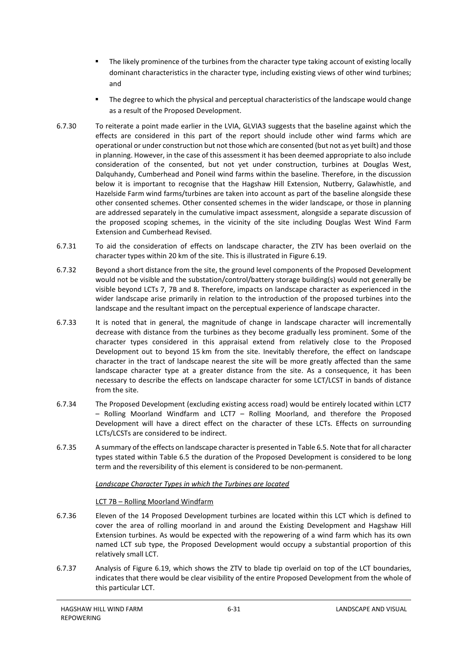- The likely prominence of the turbines from the character type taking account of existing locally dominant characteristics in the character type, including existing views of other wind turbines; and
- The degree to which the physical and perceptual characteristics of the landscape would change as a result of the Proposed Development.
- 6.7.30 To reiterate a point made earlier in the LVIA, GLVIA3 suggests that the baseline against which the effects are considered in this part of the report should include other wind farms which are operational or under construction but not those which are consented (but not as yet built) and those in planning. However, in the case of this assessment it has been deemed appropriate to also include consideration of the consented, but not yet under construction, turbines at Douglas West, Dalquhandy, Cumberhead and Poneil wind farms within the baseline. Therefore, in the discussion below it is important to recognise that the Hagshaw Hill Extension, Nutberry, Galawhistle, and Hazelside Farm wind farms/turbines are taken into account as part of the baseline alongside these other consented schemes. Other consented schemes in the wider landscape, or those in planning are addressed separately in the cumulative impact assessment, alongside a separate discussion of the proposed scoping schemes, in the vicinity of the site including Douglas West Wind Farm Extension and Cumberhead Revised.
- 6.7.31 To aid the consideration of effects on landscape character, the ZTV has been overlaid on the character types within 20 km of the site. This is illustrated in Figure 6.19.
- 6.7.32 Beyond a short distance from the site, the ground level components of the Proposed Development would not be visible and the substation/control/battery storage building(s) would not generally be visible beyond LCTs 7, 7B and 8. Therefore, impacts on landscape character as experienced in the wider landscape arise primarily in relation to the introduction of the proposed turbines into the landscape and the resultant impact on the perceptual experience of landscape character.
- 6.7.33 It is noted that in general, the magnitude of change in landscape character will incrementally decrease with distance from the turbines as they become gradually less prominent. Some of the character types considered in this appraisal extend from relatively close to the Proposed Development out to beyond 15 km from the site. Inevitably therefore, the effect on landscape character in the tract of landscape nearest the site will be more greatly affected than the same landscape character type at a greater distance from the site. As a consequence, it has been necessary to describe the effects on landscape character for some LCT/LCST in bands of distance from the site.
- 6.7.34 The Proposed Development (excluding existing access road) would be entirely located within LCT7 – Rolling Moorland Windfarm and LCT7 – Rolling Moorland, and therefore the Proposed Development will have a direct effect on the character of these LCTs. Effects on surrounding LCTs/LCSTs are considered to be indirect.
- 6.7.35 A summary of the effects on landscape character is presented in Table 6.5. Note that for all character types stated within Table 6.5 the duration of the Proposed Development is considered to be long term and the reversibility of this element is considered to be non-permanent.

# *Landscape Character Types in which the Turbines are located*

# LCT 7B – Rolling Moorland Windfarm

- 6.7.36 Eleven of the 14 Proposed Development turbines are located within this LCT which is defined to cover the area of rolling moorland in and around the Existing Development and Hagshaw Hill Extension turbines. As would be expected with the repowering of a wind farm which has its own named LCT sub type, the Proposed Development would occupy a substantial proportion of this relatively small LCT.
- 6.7.37 Analysis of Figure 6.19, which shows the ZTV to blade tip overlaid on top of the LCT boundaries, indicates that there would be clear visibility of the entire Proposed Development from the whole of this particular LCT.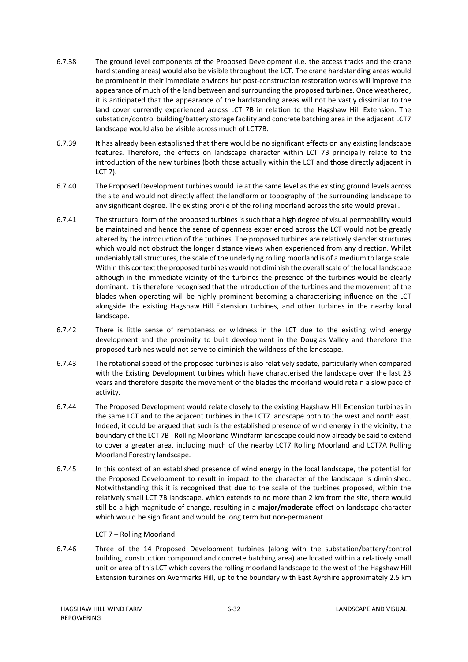- 6.7.38 The ground level components of the Proposed Development (i.e. the access tracks and the crane hard standing areas) would also be visible throughout the LCT. The crane hardstanding areas would be prominent in their immediate environs but post-construction restoration works will improve the appearance of much of the land between and surrounding the proposed turbines. Once weathered, it is anticipated that the appearance of the hardstanding areas will not be vastly dissimilar to the land cover currently experienced across LCT 7B in relation to the Hagshaw Hill Extension. The substation/control building/battery storage facility and concrete batching area in the adjacent LCT7 landscape would also be visible across much of LCT7B.
- 6.7.39 It has already been established that there would be no significant effects on any existing landscape features. Therefore, the effects on landscape character within LCT 7B principally relate to the introduction of the new turbines (both those actually within the LCT and those directly adjacent in LCT 7).
- 6.7.40 The Proposed Development turbines would lie at the same level as the existing ground levels across the site and would not directly affect the landform or topography of the surrounding landscape to any significant degree. The existing profile of the rolling moorland across the site would prevail.
- 6.7.41 The structural form of the proposed turbines is such that a high degree of visual permeability would be maintained and hence the sense of openness experienced across the LCT would not be greatly altered by the introduction of the turbines. The proposed turbines are relatively slender structures which would not obstruct the longer distance views when experienced from any direction. Whilst undeniably tall structures, the scale of the underlying rolling moorland is of a medium to large scale. Within this context the proposed turbines would not diminish the overall scale of the local landscape although in the immediate vicinity of the turbines the presence of the turbines would be clearly dominant. It is therefore recognised that the introduction of the turbines and the movement of the blades when operating will be highly prominent becoming a characterising influence on the LCT alongside the existing Hagshaw Hill Extension turbines, and other turbines in the nearby local landscape.
- 6.7.42 There is little sense of remoteness or wildness in the LCT due to the existing wind energy development and the proximity to built development in the Douglas Valley and therefore the proposed turbines would not serve to diminish the wildness of the landscape.
- 6.7.43 The rotational speed of the proposed turbines is also relatively sedate, particularly when compared with the Existing Development turbines which have characterised the landscape over the last 23 years and therefore despite the movement of the blades the moorland would retain a slow pace of activity.
- 6.7.44 The Proposed Development would relate closely to the existing Hagshaw Hill Extension turbines in the same LCT and to the adjacent turbines in the LCT7 landscape both to the west and north east. Indeed, it could be argued that such is the established presence of wind energy in the vicinity, the boundary of the LCT 7B - Rolling Moorland Windfarm landscape could now already be said to extend to cover a greater area, including much of the nearby LCT7 Rolling Moorland and LCT7A Rolling Moorland Forestry landscape.
- 6.7.45 In this context of an established presence of wind energy in the local landscape, the potential for the Proposed Development to result in impact to the character of the landscape is diminished. Notwithstanding this it is recognised that due to the scale of the turbines proposed, within the relatively small LCT 7B landscape, which extends to no more than 2 km from the site, there would still be a high magnitude of change, resulting in a **major/moderate** effect on landscape character which would be significant and would be long term but non-permanent.

# LCT 7 – Rolling Moorland

6.7.46 Three of the 14 Proposed Development turbines (along with the substation/battery/control building, construction compound and concrete batching area) are located within a relatively small unit or area of this LCT which covers the rolling moorland landscape to the west of the Hagshaw Hill Extension turbines on Avermarks Hill, up to the boundary with East Ayrshire approximately 2.5 km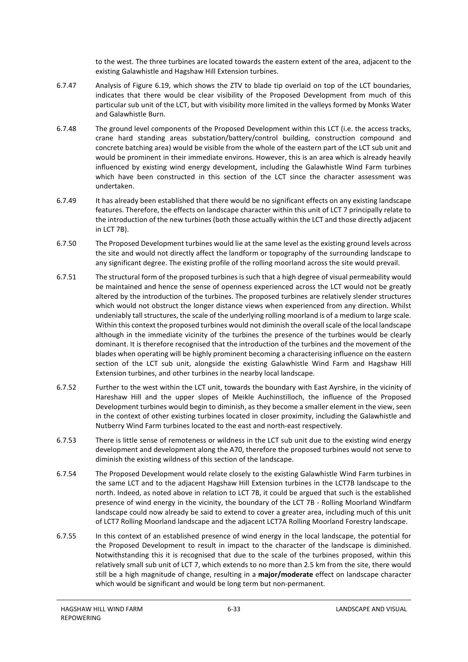to the west. The three turbines are located towards the eastern extent of the area, adjacent to the existing Galawhistle and Hagshaw Hill Extension turbines.

- 6.7.47 Analysis of Figure 6.19, which shows the ZTV to blade tip overlaid on top of the LCT boundaries, indicates that there would be clear visibility of the Proposed Development from much of this particular sub unit of the LCT, but with visibility more limited in the valleys formed by Monks Water and Galawhistle Burn.
- 6.7.48 The ground level components of the Proposed Development within this LCT (i.e. the access tracks, crane hard standing areas substation/battery/control building, construction compound and concrete batching area) would be visible from the whole of the eastern part of the LCT sub unit and would be prominent in their immediate environs. However, this is an area which is already heavily influenced by existing wind energy development, including the Galawhistle Wind Farm turbines which have been constructed in this section of the LCT since the character assessment was undertaken.
- 6.7.49 It has already been established that there would be no significant effects on any existing landscape features. Therefore, the effects on landscape character within this unit of LCT 7 principally relate to the introduction of the new turbines (both those actually within the LCT and those directly adjacent in LCT 7B).
- 6.7.50 The Proposed Development turbines would lie at the same level as the existing ground levels across the site and would not directly affect the landform or topography of the surrounding landscape to any significant degree. The existing profile of the rolling moorland across the site would prevail.
- 6.7.51 The structural form of the proposed turbines is such that a high degree of visual permeability would be maintained and hence the sense of openness experienced across the LCT would not be greatly altered by the introduction of the turbines. The proposed turbines are relatively slender structures which would not obstruct the longer distance views when experienced from any direction. Whilst undeniably tall structures, the scale of the underlying rolling moorland is of a medium to large scale. Within this context the proposed turbines would not diminish the overall scale of the local landscape although in the immediate vicinity of the turbines the presence of the turbines would be clearly dominant. It is therefore recognised that the introduction of the turbines and the movement of the blades when operating will be highly prominent becoming a characterising influence on the eastern section of the LCT sub unit, alongside the existing Galawhistle Wind Farm and Hagshaw Hill Extension turbines, and other turbines in the nearby local landscape.
- 6.7.52 Further to the west within the LCT unit, towards the boundary with East Ayrshire, in the vicinity of Hareshaw Hill and the upper slopes of Meikle Auchinstilloch, the influence of the Proposed Development turbines would begin to diminish, as they become a smaller element in the view, seen in the context of other existing turbines located in closer proximity, including the Galawhistle and Nutberry Wind Farm turbines located to the east and north-east respectively.
- 6.7.53 There is little sense of remoteness or wildness in the LCT sub unit due to the existing wind energy development and development along the A70, therefore the proposed turbines would not serve to diminish the existing wildness of this section of the landscape.
- 6.7.54 The Proposed Development would relate closely to the existing Galawhistle Wind Farm turbines in the same LCT and to the adjacent Hagshaw Hill Extension turbines in the LCT7B landscape to the north. Indeed, as noted above in relation to LCT 7B, it could be argued that such is the established presence of wind energy in the vicinity, the boundary of the LCT 7B - Rolling Moorland Windfarm landscape could now already be said to extend to cover a greater area, including much of this unit of LCT7 Rolling Moorland landscape and the adjacent LCT7A Rolling Moorland Forestry landscape.
- 6.7.55 In this context of an established presence of wind energy in the local landscape, the potential for the Proposed Development to result in impact to the character of the landscape is diminished. Notwithstanding this it is recognised that due to the scale of the turbines proposed, within this relatively small sub unit of LCT 7, which extends to no more than 2.5 km from the site, there would still be a high magnitude of change, resulting in a **major/moderate** effect on landscape character which would be significant and would be long term but non-permanent.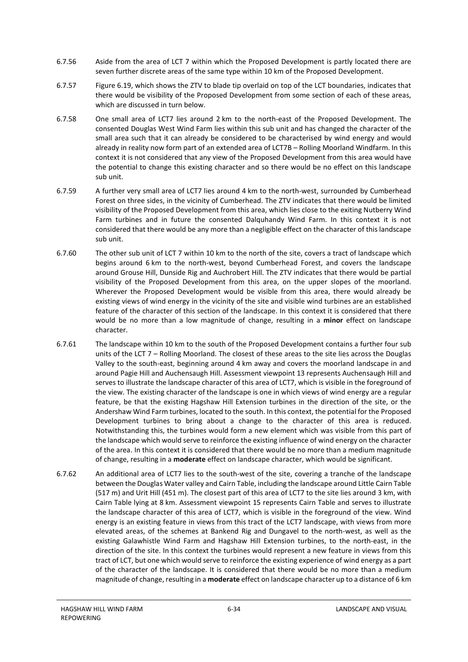- 6.7.56 Aside from the area of LCT 7 within which the Proposed Development is partly located there are seven further discrete areas of the same type within 10 km of the Proposed Development.
- 6.7.57 Figure 6.19, which shows the ZTV to blade tip overlaid on top of the LCT boundaries, indicates that there would be visibility of the Proposed Development from some section of each of these areas, which are discussed in turn below.
- 6.7.58 One small area of LCT7 lies around 2 km to the north-east of the Proposed Development. The consented Douglas West Wind Farm lies within this sub unit and has changed the character of the small area such that it can already be considered to be characterised by wind energy and would already in reality now form part of an extended area of LCT7B – Rolling Moorland Windfarm. In this context it is not considered that any view of the Proposed Development from this area would have the potential to change this existing character and so there would be no effect on this landscape sub unit.
- 6.7.59 A further very small area of LCT7 lies around 4 km to the north-west, surrounded by Cumberhead Forest on three sides, in the vicinity of Cumberhead. The ZTV indicates that there would be limited visibility of the Proposed Development from this area, which lies close to the exiting Nutberry Wind Farm turbines and in future the consented Dalquhandy Wind Farm. In this context it is not considered that there would be any more than a negligible effect on the character of this landscape sub unit.
- 6.7.60 The other sub unit of LCT 7 within 10 km to the north of the site, covers a tract of landscape which begins around 6 km to the north-west, beyond Cumberhead Forest, and covers the landscape around Grouse Hill, Dunside Rig and Auchrobert Hill. The ZTV indicates that there would be partial visibility of the Proposed Development from this area, on the upper slopes of the moorland. Wherever the Proposed Development would be visible from this area, there would already be existing views of wind energy in the vicinity of the site and visible wind turbines are an established feature of the character of this section of the landscape. In this context it is considered that there would be no more than a low magnitude of change, resulting in a **minor** effect on landscape character.
- 6.7.61 The landscape within 10 km to the south of the Proposed Development contains a further four sub units of the LCT 7 – Rolling Moorland. The closest of these areas to the site lies across the Douglas Valley to the south-east, beginning around 4 km away and covers the moorland landscape in and around Pagie Hill and Auchensaugh Hill. Assessment viewpoint 13 represents Auchensaugh Hill and serves to illustrate the landscape character of this area of LCT7, which is visible in the foreground of the view. The existing character of the landscape is one in which views of wind energy are a regular feature, be that the existing Hagshaw Hill Extension turbines in the direction of the site, or the Andershaw Wind Farm turbines, located to the south. In this context, the potential for the Proposed Development turbines to bring about a change to the character of this area is reduced. Notwithstanding this, the turbines would form a new element which was visible from this part of the landscape which would serve to reinforce the existing influence of wind energy on the character of the area. In this context it is considered that there would be no more than a medium magnitude of change, resulting in a **moderate** effect on landscape character, which would be significant.
- 6.7.62 An additional area of LCT7 lies to the south-west of the site, covering a tranche of the landscape between the Douglas Water valley and Cairn Table, including the landscape around Little Cairn Table (517 m) and Urit Hill (451 m). The closest part of this area of LCT7 to the site lies around 3 km, with Cairn Table lying at 8 km. Assessment viewpoint 15 represents Cairn Table and serves to illustrate the landscape character of this area of LCT7, which is visible in the foreground of the view. Wind energy is an existing feature in views from this tract of the LCT7 landscape, with views from more elevated areas, of the schemes at Bankend Rig and Dungavel to the north-west, as well as the existing Galawhistle Wind Farm and Hagshaw Hill Extension turbines, to the north-east, in the direction of the site. In this context the turbines would represent a new feature in views from this tract of LCT, but one which would serve to reinforce the existing experience of wind energy as a part of the character of the landscape. It is considered that there would be no more than a medium magnitude of change, resulting in a **moderate** effect on landscape character up to a distance of 6 km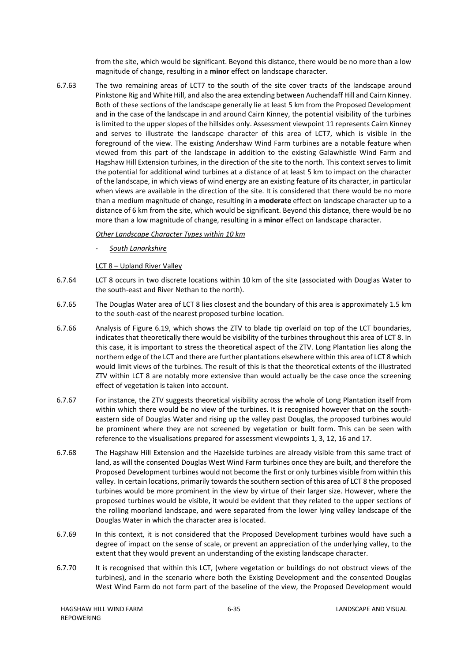from the site, which would be significant. Beyond this distance, there would be no more than a low magnitude of change, resulting in a **minor** effect on landscape character.

6.7.63 The two remaining areas of LCT7 to the south of the site cover tracts of the landscape around Pinkstone Rig and White Hill, and also the area extending between Auchendaff Hill and Cairn Kinney. Both of these sections of the landscape generally lie at least 5 km from the Proposed Development and in the case of the landscape in and around Cairn Kinney, the potential visibility of the turbines is limited to the upper slopes of the hillsides only. Assessment viewpoint 11 represents Cairn Kinney and serves to illustrate the landscape character of this area of LCT7, which is visible in the foreground of the view. The existing Andershaw Wind Farm turbines are a notable feature when viewed from this part of the landscape in addition to the existing Galawhistle Wind Farm and Hagshaw Hill Extension turbines, in the direction of the site to the north. This context serves to limit the potential for additional wind turbines at a distance of at least 5 km to impact on the character of the landscape, in which views of wind energy are an existing feature of its character, in particular when views are available in the direction of the site. It is considered that there would be no more than a medium magnitude of change, resulting in a **moderate** effect on landscape character up to a distance of 6 km from the site, which would be significant. Beyond this distance, there would be no more than a low magnitude of change, resulting in a **minor** effect on landscape character.

*Other Landscape Character Types within 10 km*

- *South Lanarkshire*

LCT 8 – Upland River Valley

- 6.7.64 LCT 8 occurs in two discrete locations within 10 km of the site (associated with Douglas Water to the south-east and River Nethan to the north).
- 6.7.65 The Douglas Water area of LCT 8 lies closest and the boundary of this area is approximately 1.5 km to the south-east of the nearest proposed turbine location.
- 6.7.66 Analysis of Figure 6.19, which shows the ZTV to blade tip overlaid on top of the LCT boundaries, indicates that theoretically there would be visibility of the turbines throughout this area of LCT 8. In this case, it is important to stress the theoretical aspect of the ZTV. Long Plantation lies along the northern edge of the LCT and there are further plantations elsewhere within this area of LCT 8 which would limit views of the turbines. The result of this is that the theoretical extents of the illustrated ZTV within LCT 8 are notably more extensive than would actually be the case once the screening effect of vegetation is taken into account.
- 6.7.67 For instance, the ZTV suggests theoretical visibility across the whole of Long Plantation itself from within which there would be no view of the turbines. It is recognised however that on the southeastern side of Douglas Water and rising up the valley past Douglas, the proposed turbines would be prominent where they are not screened by vegetation or built form. This can be seen with reference to the visualisations prepared for assessment viewpoints 1, 3, 12, 16 and 17.
- 6.7.68 The Hagshaw Hill Extension and the Hazelside turbines are already visible from this same tract of land, as will the consented Douglas West Wind Farm turbines once they are built, and therefore the Proposed Development turbines would not become the first or only turbines visible from within this valley. In certain locations, primarily towards the southern section of this area of LCT 8 the proposed turbines would be more prominent in the view by virtue of their larger size. However, where the proposed turbines would be visible, it would be evident that they related to the upper sections of the rolling moorland landscape, and were separated from the lower lying valley landscape of the Douglas Water in which the character area is located.
- 6.7.69 In this context, it is not considered that the Proposed Development turbines would have such a degree of impact on the sense of scale, or prevent an appreciation of the underlying valley, to the extent that they would prevent an understanding of the existing landscape character.
- 6.7.70 It is recognised that within this LCT, (where vegetation or buildings do not obstruct views of the turbines), and in the scenario where both the Existing Development and the consented Douglas West Wind Farm do not form part of the baseline of the view, the Proposed Development would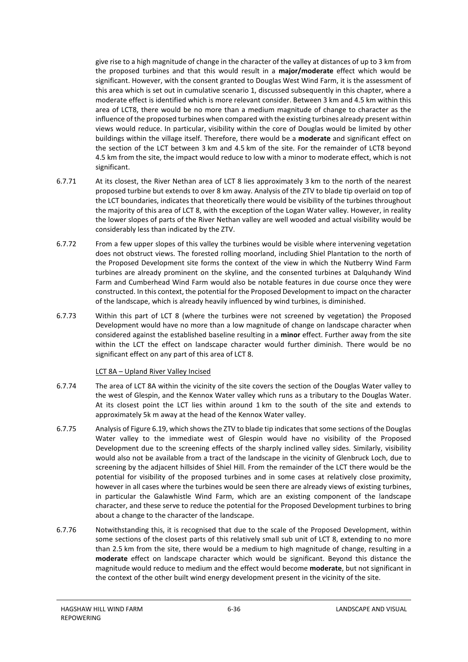give rise to a high magnitude of change in the character of the valley at distances of up to 3 km from the proposed turbines and that this would result in a **major/moderate** effect which would be significant. However, with the consent granted to Douglas West Wind Farm, it is the assessment of this area which is set out in cumulative scenario 1, discussed subsequently in this chapter, where a moderate effect is identified which is more relevant consider. Between 3 km and 4.5 km within this area of LCT8, there would be no more than a medium magnitude of change to character as the influence of the proposed turbines when compared with the existing turbines already present within views would reduce. In particular, visibility within the core of Douglas would be limited by other buildings within the village itself. Therefore, there would be a **moderate** and significant effect on the section of the LCT between 3 km and 4.5 km of the site. For the remainder of LCT8 beyond 4.5 km from the site, the impact would reduce to low with a minor to moderate effect, which is not significant.

- 6.7.71 At its closest, the River Nethan area of LCT 8 lies approximately 3 km to the north of the nearest proposed turbine but extends to over 8 km away. Analysis of the ZTV to blade tip overlaid on top of the LCT boundaries, indicates that theoretically there would be visibility of the turbines throughout the majority of this area of LCT 8, with the exception of the Logan Water valley. However, in reality the lower slopes of parts of the River Nethan valley are well wooded and actual visibility would be considerably less than indicated by the ZTV.
- 6.7.72 From a few upper slopes of this valley the turbines would be visible where intervening vegetation does not obstruct views. The forested rolling moorland, including Shiel Plantation to the north of the Proposed Development site forms the context of the view in which the Nutberry Wind Farm turbines are already prominent on the skyline, and the consented turbines at Dalquhandy Wind Farm and Cumberhead Wind Farm would also be notable features in due course once they were constructed. In this context, the potential for the Proposed Development to impact on the character of the landscape, which is already heavily influenced by wind turbines, is diminished.
- 6.7.73 Within this part of LCT 8 (where the turbines were not screened by vegetation) the Proposed Development would have no more than a low magnitude of change on landscape character when considered against the established baseline resulting in a **minor** effect. Further away from the site within the LCT the effect on landscape character would further diminish. There would be no significant effect on any part of this area of LCT 8.

## LCT 8A – Upland River Valley Incised

- 6.7.74 The area of LCT 8A within the vicinity of the site covers the section of the Douglas Water valley to the west of Glespin, and the Kennox Water valley which runs as a tributary to the Douglas Water. At its closest point the LCT lies within around 1 km to the south of the site and extends to approximately 5k m away at the head of the Kennox Water valley.
- 6.7.75 Analysis of Figure 6.19, which shows the ZTV to blade tip indicates that some sections of the Douglas Water valley to the immediate west of Glespin would have no visibility of the Proposed Development due to the screening effects of the sharply inclined valley sides. Similarly, visibility would also not be available from a tract of the landscape in the vicinity of Glenbruck Loch, due to screening by the adjacent hillsides of Shiel Hill. From the remainder of the LCT there would be the potential for visibility of the proposed turbines and in some cases at relatively close proximity, however in all cases where the turbines would be seen there are already views of existing turbines, in particular the Galawhistle Wind Farm, which are an existing component of the landscape character, and these serve to reduce the potential for the Proposed Development turbines to bring about a change to the character of the landscape.
- 6.7.76 Notwithstanding this, it is recognised that due to the scale of the Proposed Development, within some sections of the closest parts of this relatively small sub unit of LCT 8, extending to no more than 2.5 km from the site, there would be a medium to high magnitude of change, resulting in a **moderate** effect on landscape character which would be significant. Beyond this distance the magnitude would reduce to medium and the effect would become **moderate**, but not significant in the context of the other built wind energy development present in the vicinity of the site.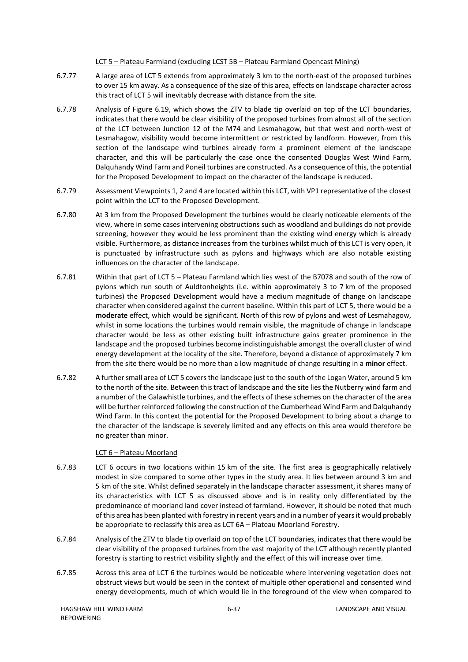#### LCT 5 – Plateau Farmland (excluding LCST 5B – Plateau Farmland Opencast Mining)

- 6.7.77 A large area of LCT 5 extends from approximately 3 km to the north-east of the proposed turbines to over 15 km away. As a consequence of the size of this area, effects on landscape character across this tract of LCT 5 will inevitably decrease with distance from the site.
- 6.7.78 Analysis of Figure 6.19, which shows the ZTV to blade tip overlaid on top of the LCT boundaries, indicates that there would be clear visibility of the proposed turbines from almost all of the section of the LCT between Junction 12 of the M74 and Lesmahagow, but that west and north-west of Lesmahagow, visibility would become intermittent or restricted by landform. However, from this section of the landscape wind turbines already form a prominent element of the landscape character, and this will be particularly the case once the consented Douglas West Wind Farm, Dalquhandy Wind Farm and Poneil turbines are constructed. As a consequence of this, the potential for the Proposed Development to impact on the character of the landscape is reduced.
- 6.7.79 Assessment Viewpoints 1, 2 and 4 are located within this LCT, with VP1 representative of the closest point within the LCT to the Proposed Development.
- 6.7.80 At 3 km from the Proposed Development the turbines would be clearly noticeable elements of the view, where in some cases intervening obstructions such as woodland and buildings do not provide screening, however they would be less prominent than the existing wind energy which is already visible. Furthermore, as distance increases from the turbines whilst much of this LCT is very open, it is punctuated by infrastructure such as pylons and highways which are also notable existing influences on the character of the landscape.
- 6.7.81 Within that part of LCT 5 Plateau Farmland which lies west of the B7078 and south of the row of pylons which run south of Auldtonheights (i.e. within approximately 3 to 7 km of the proposed turbines) the Proposed Development would have a medium magnitude of change on landscape character when considered against the current baseline. Within this part of LCT 5, there would be a **moderate** effect, which would be significant. North of this row of pylons and west of Lesmahagow, whilst in some locations the turbines would remain visible, the magnitude of change in landscape character would be less as other existing built infrastructure gains greater prominence in the landscape and the proposed turbines become indistinguishable amongst the overall cluster of wind energy development at the locality of the site. Therefore, beyond a distance of approximately 7 km from the site there would be no more than a low magnitude of change resulting in a **minor** effect.
- 6.7.82 A further small area of LCT 5 covers the landscape just to the south of the Logan Water, around 5 km to the north of the site. Between this tract of landscape and the site liesthe Nutberry wind farm and a number of the Galawhistle turbines, and the effects of these schemes on the character of the area will be further reinforced following the construction of the Cumberhead Wind Farm and Dalquhandy Wind Farm. In this context the potential for the Proposed Development to bring about a change to the character of the landscape is severely limited and any effects on this area would therefore be no greater than minor.

## LCT 6 – Plateau Moorland

- 6.7.83 LCT 6 occurs in two locations within 15 km of the site. The first area is geographically relatively modest in size compared to some other types in the study area. It lies between around 3 km and 5 km of the site. Whilst defined separately in the landscape character assessment, it shares many of its characteristics with LCT 5 as discussed above and is in reality only differentiated by the predominance of moorland land cover instead of farmland. However, it should be noted that much of this area has been planted with forestry in recent years and in a number of years it would probably be appropriate to reclassify this area as LCT 6A – Plateau Moorland Forestry.
- 6.7.84 Analysis of the ZTV to blade tip overlaid on top of the LCT boundaries, indicates that there would be clear visibility of the proposed turbines from the vast majority of the LCT although recently planted forestry is starting to restrict visibility slightly and the effect of this will increase over time.
- 6.7.85 Across this area of LCT 6 the turbines would be noticeable where intervening vegetation does not obstruct views but would be seen in the context of multiple other operational and consented wind energy developments, much of which would lie in the foreground of the view when compared to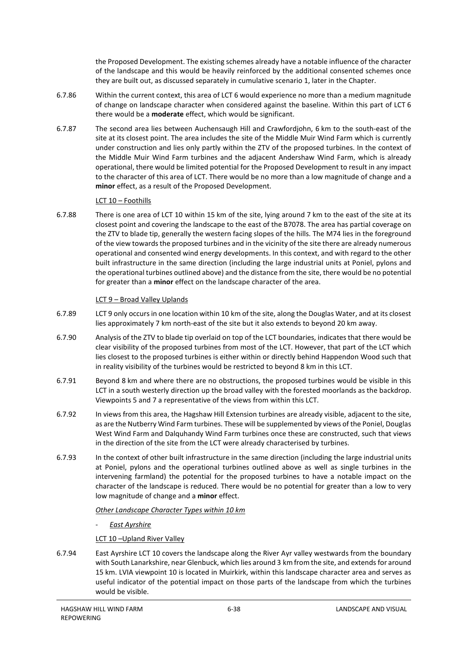the Proposed Development. The existing schemes already have a notable influence of the character of the landscape and this would be heavily reinforced by the additional consented schemes once they are built out, as discussed separately in cumulative scenario 1, later in the Chapter.

- 6.7.86 Within the current context, this area of LCT 6 would experience no more than a medium magnitude of change on landscape character when considered against the baseline. Within this part of LCT 6 there would be a **moderate** effect, which would be significant.
- 6.7.87 The second area lies between Auchensaugh Hill and Crawfordjohn, 6 km to the south-east of the site at its closest point. The area includes the site of the Middle Muir Wind Farm which is currently under construction and lies only partly within the ZTV of the proposed turbines. In the context of the Middle Muir Wind Farm turbines and the adjacent Andershaw Wind Farm, which is already operational, there would be limited potential for the Proposed Development to result in any impact to the character of this area of LCT. There would be no more than a low magnitude of change and a **minor** effect, as a result of the Proposed Development.

# LCT 10 – Foothills

6.7.88 There is one area of LCT 10 within 15 km of the site, lying around 7 km to the east of the site at its closest point and covering the landscape to the east of the B7078. The area has partial coverage on the ZTV to blade tip, generally the western facing slopes of the hills. The M74 lies in the foreground of the view towards the proposed turbines and in the vicinity of the site there are already numerous operational and consented wind energy developments. In this context, and with regard to the other built infrastructure in the same direction (including the large industrial units at Poniel, pylons and the operational turbines outlined above) and the distance from the site, there would be no potential for greater than a **minor** effect on the landscape character of the area.

# LCT 9 – Broad Valley Uplands

- 6.7.89 LCT 9 only occurs in one location within 10 km of the site, along the Douglas Water, and at its closest lies approximately 7 km north-east of the site but it also extends to beyond 20 km away.
- 6.7.90 Analysis of the ZTV to blade tip overlaid on top of the LCT boundaries, indicates that there would be clear visibility of the proposed turbines from most of the LCT. However, that part of the LCT which lies closest to the proposed turbines is either within or directly behind Happendon Wood such that in reality visibility of the turbines would be restricted to beyond 8 km in this LCT.
- 6.7.91 Beyond 8 km and where there are no obstructions, the proposed turbines would be visible in this LCT in a south westerly direction up the broad valley with the forested moorlands as the backdrop. Viewpoints 5 and 7 a representative of the views from within this LCT.
- 6.7.92 In views from this area, the Hagshaw Hill Extension turbines are already visible, adjacent to the site, as are the Nutberry Wind Farm turbines. These will be supplemented by views of the Poniel, Douglas West Wind Farm and Dalquhandy Wind Farm turbines once these are constructed, such that views in the direction of the site from the LCT were already characterised by turbines.
- 6.7.93 In the context of other built infrastructure in the same direction (including the large industrial units at Poniel, pylons and the operational turbines outlined above as well as single turbines in the intervening farmland) the potential for the proposed turbines to have a notable impact on the character of the landscape is reduced. There would be no potential for greater than a low to very low magnitude of change and a **minor** effect.

## *Other Landscape Character Types within 10 km*

- *East Ayrshire*

# LCT 10 –Upland River Valley

6.7.94 East Ayrshire LCT 10 covers the landscape along the River Ayr valley westwards from the boundary with South Lanarkshire, near Glenbuck, which lies around 3 km from the site, and extends for around 15 km. LVIA viewpoint 10 is located in Muirkirk, within this landscape character area and serves as useful indicator of the potential impact on those parts of the landscape from which the turbines would be visible.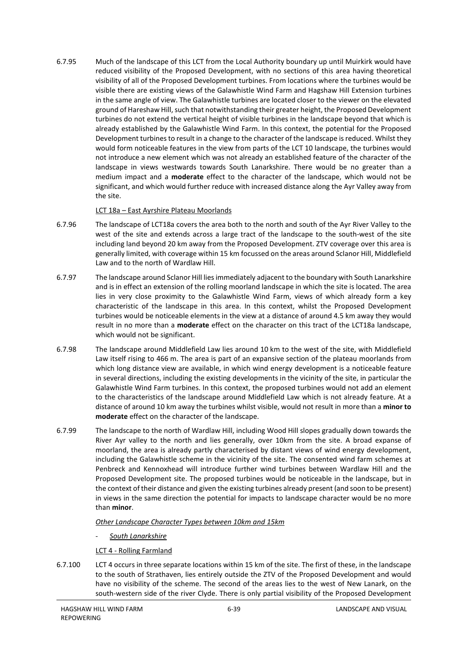6.7.95 Much of the landscape of this LCT from the Local Authority boundary up until Muirkirk would have reduced visibility of the Proposed Development, with no sections of this area having theoretical visibility of all of the Proposed Development turbines. From locations where the turbines would be visible there are existing views of the Galawhistle Wind Farm and Hagshaw Hill Extension turbines in the same angle of view. The Galawhistle turbines are located closer to the viewer on the elevated ground of Hareshaw Hill, such that notwithstanding their greater height, the Proposed Development turbines do not extend the vertical height of visible turbines in the landscape beyond that which is already established by the Galawhistle Wind Farm. In this context, the potential for the Proposed Development turbines to result in a change to the character of the landscape is reduced. Whilst they would form noticeable features in the view from parts of the LCT 10 landscape, the turbines would not introduce a new element which was not already an established feature of the character of the landscape in views westwards towards South Lanarkshire. There would be no greater than a medium impact and a **moderate** effect to the character of the landscape, which would not be significant, and which would further reduce with increased distance along the Ayr Valley away from the site.

## LCT 18a – East Ayrshire Plateau Moorlands

- 6.7.96 The landscape of LCT18a covers the area both to the north and south of the Ayr River Valley to the west of the site and extends across a large tract of the landscape to the south-west of the site including land beyond 20 km away from the Proposed Development. ZTV coverage over this area is generally limited, with coverage within 15 km focussed on the areas around Sclanor Hill, Middlefield Law and to the north of Wardlaw Hill.
- 6.7.97 The landscape around Sclanor Hill lies immediately adjacent to the boundary with South Lanarkshire and is in effect an extension of the rolling moorland landscape in which the site is located. The area lies in very close proximity to the Galawhistle Wind Farm, views of which already form a key characteristic of the landscape in this area. In this context, whilst the Proposed Development turbines would be noticeable elements in the view at a distance of around 4.5 km away they would result in no more than a **moderate** effect on the character on this tract of the LCT18a landscape, which would not be significant.
- 6.7.98 The landscape around Middlefield Law lies around 10 km to the west of the site, with Middlefield Law itself rising to 466 m. The area is part of an expansive section of the plateau moorlands from which long distance view are available, in which wind energy development is a noticeable feature in several directions, including the existing developments in the vicinity of the site, in particular the Galawhistle Wind Farm turbines. In this context, the proposed turbines would not add an element to the characteristics of the landscape around Middlefield Law which is not already feature. At a distance of around 10 km away the turbines whilst visible, would not result in more than a **minor to moderate** effect on the character of the landscape.
- 6.7.99 The landscape to the north of Wardlaw Hill, including Wood Hill slopes gradually down towards the River Ayr valley to the north and lies generally, over 10km from the site. A broad expanse of moorland, the area is already partly characterised by distant views of wind energy development, including the Galawhistle scheme in the vicinity of the site. The consented wind farm schemes at Penbreck and Kennoxhead will introduce further wind turbines between Wardlaw Hill and the Proposed Development site. The proposed turbines would be noticeable in the landscape, but in the context of their distance and given the existing turbines already present (and soon to be present) in views in the same direction the potential for impacts to landscape character would be no more than **minor**.

## *Other Landscape Character Types between 10km and 15km*

## - *South Lanarkshire*

## LCT 4 - Rolling Farmland

6.7.100 LCT 4 occurs in three separate locations within 15 km of the site. The first of these, in the landscape to the south of Strathaven, lies entirely outside the ZTV of the Proposed Development and would have no visibility of the scheme. The second of the areas lies to the west of New Lanark, on the south-western side of the river Clyde. There is only partial visibility of the Proposed Development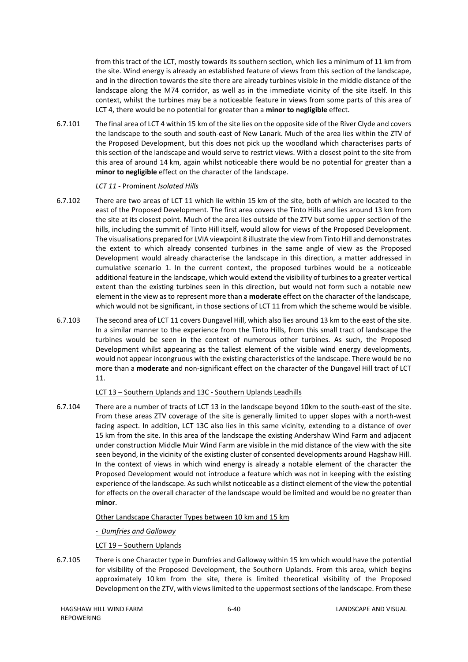from this tract of the LCT, mostly towards its southern section, which lies a minimum of 11 km from the site. Wind energy is already an established feature of views from this section of the landscape, and in the direction towards the site there are already turbines visible in the middle distance of the landscape along the M74 corridor, as well as in the immediate vicinity of the site itself. In this context, whilst the turbines may be a noticeable feature in views from some parts of this area of LCT 4, there would be no potential for greater than a **minor to negligible** effect.

6.7.101 The final area of LCT 4 within 15 km of the site lies on the opposite side of the River Clyde and covers the landscape to the south and south-east of New Lanark. Much of the area lies within the ZTV of the Proposed Development, but this does not pick up the woodland which characterises parts of this section of the landscape and would serve to restrict views. With a closest point to the site from this area of around 14 km, again whilst noticeable there would be no potential for greater than a **minor to negligible** effect on the character of the landscape.

#### *LCT 11 -* Prominent *Isolated Hills*

- 6.7.102 There are two areas of LCT 11 which lie within 15 km of the site, both of which are located to the east of the Proposed Development. The first area covers the Tinto Hills and lies around 13 km from the site at its closest point. Much of the area lies outside of the ZTV but some upper section of the hills, including the summit of Tinto Hill itself, would allow for views of the Proposed Development. The visualisations prepared for LVIA viewpoint 8 illustrate the view from Tinto Hill and demonstrates the extent to which already consented turbines in the same angle of view as the Proposed Development would already characterise the landscape in this direction, a matter addressed in cumulative scenario 1. In the current context, the proposed turbines would be a noticeable additional feature in the landscape, which would extend the visibility of turbines to a greater vertical extent than the existing turbines seen in this direction, but would not form such a notable new element in the view as to represent more than a **moderate** effect on the character of the landscape, which would not be significant, in those sections of LCT 11 from which the scheme would be visible.
- 6.7.103 The second area of LCT 11 covers Dungavel Hill, which also lies around 13 km to the east of the site. In a similar manner to the experience from the Tinto Hills, from this small tract of landscape the turbines would be seen in the context of numerous other turbines. As such, the Proposed Development whilst appearing as the tallest element of the visible wind energy developments, would not appear incongruous with the existing characteristics of the landscape. There would be no more than a **moderate** and non-significant effect on the character of the Dungavel Hill tract of LCT 11.

## LCT 13 – Southern Uplands and 13C - Southern Uplands Leadhills

6.7.104 There are a number of tracts of LCT 13 in the landscape beyond 10km to the south-east of the site. From these areas ZTV coverage of the site is generally limited to upper slopes with a north-west facing aspect. In addition, LCT 13C also lies in this same vicinity, extending to a distance of over 15 km from the site. In this area of the landscape the existing Andershaw Wind Farm and adjacent under construction Middle Muir Wind Farm are visible in the mid distance of the view with the site seen beyond, in the vicinity of the existing cluster of consented developments around Hagshaw Hill. In the context of views in which wind energy is already a notable element of the character the Proposed Development would not introduce a feature which was not in keeping with the existing experience of the landscape. As such whilst noticeable as a distinct element of the view the potential for effects on the overall character of the landscape would be limited and would be no greater than **minor**.

## Other Landscape Character Types between 10 km and 15 km

*- Dumfries and Galloway*

## LCT 19 – Southern Uplands

6.7.105 There is one Character type in Dumfries and Galloway within 15 km which would have the potential for visibility of the Proposed Development, the Southern Uplands. From this area, which begins approximately 10 km from the site, there is limited theoretical visibility of the Proposed Development on the ZTV, with views limited to the uppermost sections of the landscape. From these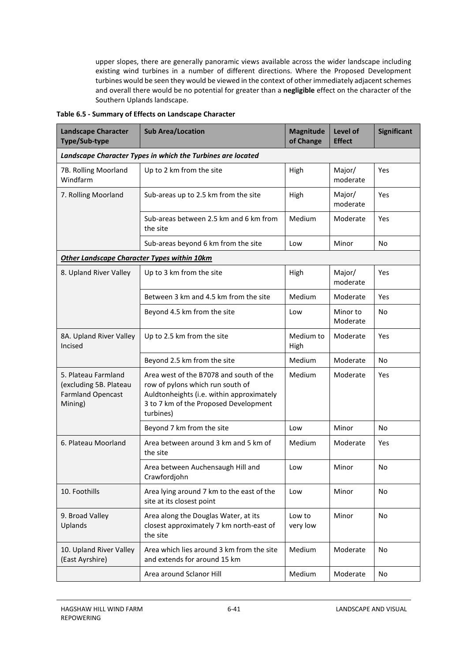upper slopes, there are generally panoramic views available across the wider landscape including existing wind turbines in a number of different directions. Where the Proposed Development turbines would be seen they would be viewed in the context of other immediately adjacent schemes and overall there would be no potential for greater than a **negligible** effect on the character of the Southern Uplands landscape.

| <b>Landscape Character</b><br>Type/Sub-type                                          | <b>Sub Area/Location</b>                                                                                                                                                                 | <b>Magnitude</b><br>of Change | Level of<br><b>Effect</b> | Significant |
|--------------------------------------------------------------------------------------|------------------------------------------------------------------------------------------------------------------------------------------------------------------------------------------|-------------------------------|---------------------------|-------------|
|                                                                                      | Landscape Character Types in which the Turbines are located                                                                                                                              |                               |                           |             |
| 7B. Rolling Moorland<br>Windfarm                                                     | Up to 2 km from the site                                                                                                                                                                 | High                          | Major/<br>moderate        | Yes         |
| 7. Rolling Moorland                                                                  | Sub-areas up to 2.5 km from the site                                                                                                                                                     | High                          | Major/<br>moderate        | Yes         |
|                                                                                      | Medium<br>Sub-areas between 2.5 km and 6 km from<br>the site                                                                                                                             |                               | Moderate                  | Yes         |
|                                                                                      | Sub-areas beyond 6 km from the site                                                                                                                                                      | Low                           | Minor                     | <b>No</b>   |
| <b>Other Landscape Character Types within 10km</b>                                   |                                                                                                                                                                                          |                               |                           |             |
| 8. Upland River Valley                                                               | Up to 3 km from the site                                                                                                                                                                 | High                          | Major/<br>moderate        | Yes         |
|                                                                                      | Between 3 km and 4.5 km from the site                                                                                                                                                    | Medium                        | Moderate                  | Yes         |
|                                                                                      | Beyond 4.5 km from the site                                                                                                                                                              | Low                           | Minor to<br>Moderate      | No          |
| 8A. Upland River Valley<br>Incised                                                   | Up to 2.5 km from the site                                                                                                                                                               | Medium to<br>High             | Moderate                  | Yes         |
|                                                                                      | Beyond 2.5 km from the site                                                                                                                                                              | Medium                        | Moderate                  | <b>No</b>   |
| 5. Plateau Farmland<br>(excluding 5B. Plateau<br><b>Farmland Opencast</b><br>Mining) | Area west of the B7078 and south of the<br>Medium<br>row of pylons which run south of<br>Auldtonheights (i.e. within approximately<br>3 to 7 km of the Proposed Development<br>turbines) |                               | Moderate                  | Yes         |
|                                                                                      | Beyond 7 km from the site                                                                                                                                                                | Low                           | Minor                     | <b>No</b>   |
| 6. Plateau Moorland                                                                  | Area between around 3 km and 5 km of<br>the site                                                                                                                                         | Medium                        | Moderate                  | Yes         |
|                                                                                      | Area between Auchensaugh Hill and<br>Crawfordjohn                                                                                                                                        | Low                           | Minor                     | <b>No</b>   |
| 10. Foothills                                                                        | Area lying around 7 km to the east of the<br>site at its closest point                                                                                                                   | Low                           | Minor                     | No.         |
| 9. Broad Valley<br>Uplands                                                           | Area along the Douglas Water, at its<br>closest approximately 7 km north-east of<br>the site                                                                                             | Low to<br>very low            | Minor                     | No.         |
| 10. Upland River Valley<br>(East Ayrshire)                                           | Area which lies around 3 km from the site<br>and extends for around 15 km                                                                                                                | Medium                        | Moderate                  | <b>No</b>   |
|                                                                                      | Area around Sclanor Hill                                                                                                                                                                 | Medium                        | Moderate                  | No          |

**Table 6.5 - Summary of Effects on Landscape Character**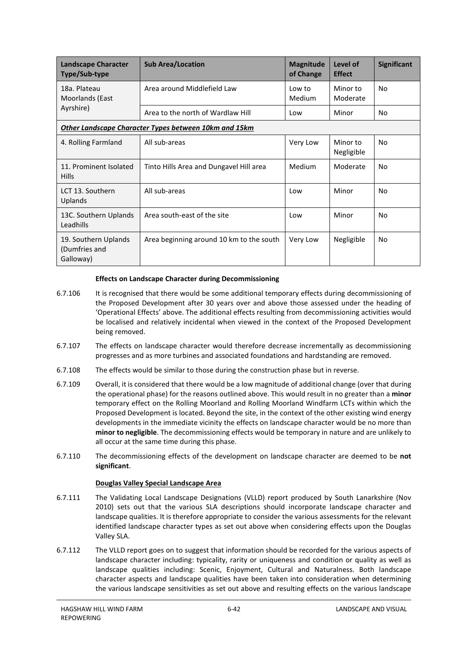| Landscape Character<br>Type/Sub-type                  | <b>Sub Area/Location</b>                 | <b>Magnitude</b><br>of Change | Level of<br><b>Effect</b> | <b>Significant</b> |  |
|-------------------------------------------------------|------------------------------------------|-------------------------------|---------------------------|--------------------|--|
| 18a. Plateau<br>Moorlands (East<br>Ayrshire)          | Area around Middlefield Law              | Low to<br>Medium              | Minor to<br>Moderate      | <b>No</b>          |  |
|                                                       | Area to the north of Wardlaw Hill        | Low                           | Minor                     | No                 |  |
| Other Landscape Character Types between 10km and 15km |                                          |                               |                           |                    |  |
| 4. Rolling Farmland                                   | All sub-areas                            | Very Low                      | Minor to<br>Negligible    | <b>No</b>          |  |
| 11. Prominent Isolated<br><b>Hills</b>                | Tinto Hills Area and Dungavel Hill area  | Medium                        | Moderate                  | <b>No</b>          |  |
| LCT 13. Southern<br>Uplands                           | All sub-areas                            | Low                           | Minor                     | No                 |  |
| 13C. Southern Uplands<br>Leadhills                    | Area south-east of the site              | Low                           | Minor                     | No                 |  |
| 19. Southern Uplands<br>(Dumfries and<br>Galloway)    | Area beginning around 10 km to the south | Very Low                      | Negligible                | No.                |  |

## **Effects on Landscape Character during Decommissioning**

- 6.7.106 It is recognised that there would be some additional temporary effects during decommissioning of the Proposed Development after 30 years over and above those assessed under the heading of 'Operational Effects' above. The additional effects resulting from decommissioning activities would be localised and relatively incidental when viewed in the context of the Proposed Development being removed.
- 6.7.107 The effects on landscape character would therefore decrease incrementally as decommissioning progresses and as more turbines and associated foundations and hardstanding are removed.
- 6.7.108 The effects would be similar to those during the construction phase but in reverse.
- 6.7.109 Overall, it is considered that there would be a low magnitude of additional change (over that during the operational phase) for the reasons outlined above. This would result in no greater than a **minor** temporary effect on the Rolling Moorland and Rolling Moorland Windfarm LCTs within which the Proposed Development is located. Beyond the site, in the context of the other existing wind energy developments in the immediate vicinity the effects on landscape character would be no more than **minor to negligible**. The decommissioning effects would be temporary in nature and are unlikely to all occur at the same time during this phase.
- 6.7.110 The decommissioning effects of the development on landscape character are deemed to be **not significant**.

#### **Douglas Valley Special Landscape Area**

- 6.7.111 The Validating Local Landscape Designations (VLLD) report produced by South Lanarkshire (Nov 2010) sets out that the various SLA descriptions should incorporate landscape character and landscape qualities. It is therefore appropriate to consider the various assessments for the relevant identified landscape character types as set out above when considering effects upon the Douglas Valley SLA.
- 6.7.112 The VLLD report goes on to suggest that information should be recorded for the various aspects of landscape character including: typicality, rarity or uniqueness and condition or quality as well as landscape qualities including: Scenic, Enjoyment, Cultural and Naturalness. Both landscape character aspects and landscape qualities have been taken into consideration when determining the various landscape sensitivities as set out above and resulting effects on the various landscape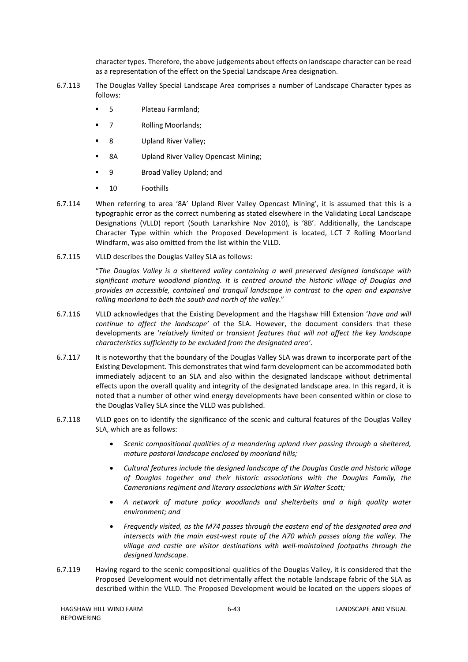character types. Therefore, the above judgements about effects on landscape character can be read as a representation of the effect on the Special Landscape Area designation.

- 6.7.113 The Douglas Valley Special Landscape Area comprises a number of Landscape Character types as follows:
	- 5 Plateau Farmland;
	- 7 Rolling Moorlands;
	- 8 Upland River Valley;
	- 8A Upland River Valley Opencast Mining;
	- 9 Broad Valley Upland; and
	- 10 Foothills
- 6.7.114 When referring to area '8A' Upland River Valley Opencast Mining', it is assumed that this is a typographic error as the correct numbering as stated elsewhere in the Validating Local Landscape Designations (VLLD) report (South Lanarkshire Nov 2010), is '8B'. Additionally, the Landscape Character Type within which the Proposed Development is located, LCT 7 Rolling Moorland Windfarm, was also omitted from the list within the VLLD.
- 6.7.115 VLLD describes the Douglas Valley SLA as follows:

"*The Douglas Valley is a sheltered valley containing a well preserved designed landscape with significant mature woodland planting. It is centred around the historic village of Douglas and provides an accessible, contained and tranquil landscape in contrast to the open and expansive rolling moorland to both the south and north of the valley*."

- 6.7.116 VLLD acknowledges that the Existing Development and the Hagshaw Hill Extension '*have and will continue to affect the landscape'* of the SLA. However, the document considers that these developments are '*relatively limited or transient features that will not affect the key landscape characteristics sufficiently to be excluded from the designated area'*.
- 6.7.117 It is noteworthy that the boundary of the Douglas Valley SLA was drawn to incorporate part of the Existing Development. This demonstrates that wind farm development can be accommodated both immediately adjacent to an SLA and also within the designated landscape without detrimental effects upon the overall quality and integrity of the designated landscape area. In this regard, it is noted that a number of other wind energy developments have been consented within or close to the Douglas Valley SLA since the VLLD was published.
- 6.7.118 VLLD goes on to identify the significance of the scenic and cultural features of the Douglas Valley SLA, which are as follows:
	- *Scenic compositional qualities of a meandering upland river passing through a sheltered, mature pastoral landscape enclosed by moorland hills;*
	- *Cultural features include the designed landscape of the Douglas Castle and historic village of Douglas together and their historic associations with the Douglas Family, the Cameronians regiment and literary associations with Sir Walter Scott;*
	- *A network of mature policy woodlands and shelterbelts and a high quality water environment; and*
	- *Frequently visited, as the M74 passes through the eastern end of the designated area and intersects with the main east-west route of the A70 which passes along the valley. The village and castle are visitor destinations with well-maintained footpaths through the designed landscape*.
- 6.7.119 Having regard to the scenic compositional qualities of the Douglas Valley, it is considered that the Proposed Development would not detrimentally affect the notable landscape fabric of the SLA as described within the VLLD. The Proposed Development would be located on the uppers slopes of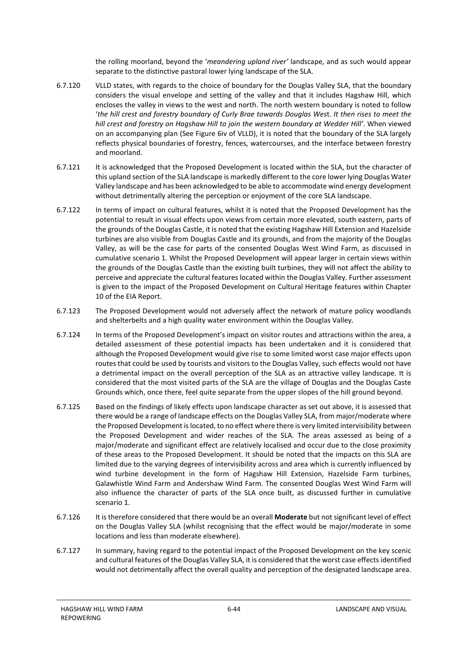the rolling moorland, beyond the '*meandering upland river'* landscape, and as such would appear separate to the distinctive pastoral lower lying landscape of the SLA.

- 6.7.120 VLLD states, with regards to the choice of boundary for the Douglas Valley SLA, that the boundary considers the visual envelope and setting of the valley and that it includes Hagshaw Hill, which encloses the valley in views to the west and north. The north western boundary is noted to follow '*the hill crest and forestry boundary of Curly Brae towards Douglas Wes*t. *It then rises to meet the hill crest and forestry on Hagshaw Hill to join the western boundary at Wedder Hill'*. When viewed on an accompanying plan (See Figure 6iv of VLLD), it is noted that the boundary of the SLA largely reflects physical boundaries of forestry, fences, watercourses, and the interface between forestry and moorland.
- 6.7.121 It is acknowledged that the Proposed Development is located within the SLA, but the character of this upland section of the SLA landscape is markedly different to the core lower lying Douglas Water Valley landscape and has been acknowledged to be able to accommodate wind energy development without detrimentally altering the perception or enjoyment of the core SLA landscape.
- 6.7.122 In terms of impact on cultural features, whilst it is noted that the Proposed Development has the potential to result in visual effects upon views from certain more elevated, south eastern, parts of the grounds of the Douglas Castle, it is noted that the existing Hagshaw Hill Extension and Hazelside turbines are also visible from Douglas Castle and its grounds, and from the majority of the Douglas Valley, as will be the case for parts of the consented Douglas West Wind Farm, as discussed in cumulative scenario 1. Whilst the Proposed Development will appear larger in certain views within the grounds of the Douglas Castle than the existing built turbines, they will not affect the ability to perceive and appreciate the cultural features located within the Douglas Valley. Further assessment is given to the impact of the Proposed Development on Cultural Heritage features within Chapter 10 of the EIA Report.
- 6.7.123 The Proposed Development would not adversely affect the network of mature policy woodlands and shelterbelts and a high quality water environment within the Douglas Valley.
- 6.7.124 In terms of the Proposed Development's impact on visitor routes and attractions within the area, a detailed assessment of these potential impacts has been undertaken and it is considered that although the Proposed Development would give rise to some limited worst case major effects upon routes that could be used by tourists and visitors to the Douglas Valley, such effects would not have a detrimental impact on the overall perception of the SLA as an attractive valley landscape. It is considered that the most visited parts of the SLA are the village of Douglas and the Douglas Caste Grounds which, once there, feel quite separate from the upper slopes of the hill ground beyond.
- 6.7.125 Based on the findings of likely effects upon landscape character as set out above, it is assessed that there would be a range of landscape effects on the Douglas Valley SLA, from major/moderate where the Proposed Development is located, to no effect where there is very limited intervisibility between the Proposed Development and wider reaches of the SLA. The areas assessed as being of a major/moderate and significant effect are relatively localised and occur due to the close proximity of these areas to the Proposed Development. It should be noted that the impacts on this SLA are limited due to the varying degrees of intervisibility across and area which is currently influenced by wind turbine development in the form of Hagshaw Hill Extension, Hazelside Farm turbines, Galawhistle Wind Farm and Andershaw Wind Farm. The consented Douglas West Wind Farm will also influence the character of parts of the SLA once built, as discussed further in cumulative scenario 1.
- 6.7.126 It is therefore considered that there would be an overall **Moderate** but not significant level of effect on the Douglas Valley SLA (whilst recognising that the effect would be major/moderate in some locations and less than moderate elsewhere).
- 6.7.127 In summary, having regard to the potential impact of the Proposed Development on the key scenic and cultural features of the Douglas Valley SLA, it is considered that the worst case effects identified would not detrimentally affect the overall quality and perception of the designated landscape area.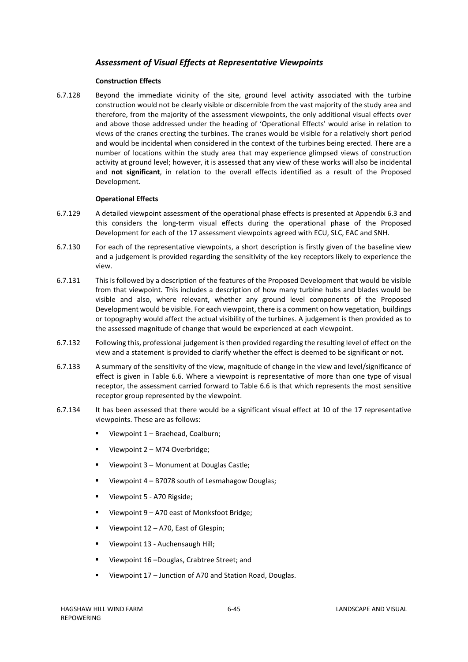# *Assessment of Visual Effects at Representative Viewpoints*

#### **Construction Effects**

6.7.128 Beyond the immediate vicinity of the site, ground level activity associated with the turbine construction would not be clearly visible or discernible from the vast majority of the study area and therefore, from the majority of the assessment viewpoints, the only additional visual effects over and above those addressed under the heading of 'Operational Effects' would arise in relation to views of the cranes erecting the turbines. The cranes would be visible for a relatively short period and would be incidental when considered in the context of the turbines being erected. There are a number of locations within the study area that may experience glimpsed views of construction activity at ground level; however, it is assessed that any view of these works will also be incidental and **not significant**, in relation to the overall effects identified as a result of the Proposed Development.

#### **Operational Effects**

- 6.7.129 A detailed viewpoint assessment of the operational phase effects is presented at Appendix 6.3 and this considers the long-term visual effects during the operational phase of the Proposed Development for each of the 17 assessment viewpoints agreed with ECU, SLC, EAC and SNH.
- 6.7.130 For each of the representative viewpoints, a short description is firstly given of the baseline view and a judgement is provided regarding the sensitivity of the key receptors likely to experience the view.
- 6.7.131 This is followed by a description of the features of the Proposed Development that would be visible from that viewpoint. This includes a description of how many turbine hubs and blades would be visible and also, where relevant, whether any ground level components of the Proposed Development would be visible. For each viewpoint, there is a comment on how vegetation, buildings or topography would affect the actual visibility of the turbines. A judgement is then provided as to the assessed magnitude of change that would be experienced at each viewpoint.
- 6.7.132 Following this, professional judgement is then provided regarding the resulting level of effect on the view and a statement is provided to clarify whether the effect is deemed to be significant or not.
- 6.7.133 A summary of the sensitivity of the view, magnitude of change in the view and level/significance of effect is given in Table 6.6. Where a viewpoint is representative of more than one type of visual receptor, the assessment carried forward to Table 6.6 is that which represents the most sensitive receptor group represented by the viewpoint.
- 6.7.134 It has been assessed that there would be a significant visual effect at 10 of the 17 representative viewpoints. These are as follows:
	- Viewpoint 1 Braehead, Coalburn;
	- Viewpoint 2 M74 Overbridge;
	- Viewpoint 3 Monument at Douglas Castle;
	- Viewpoint 4 B7078 south of Lesmahagow Douglas;
	- Viewpoint 5 A70 Rigside;
	- Viewpoint 9 A70 east of Monksfoot Bridge;
	- Viewpoint 12 A70, East of Glespin;
	- **Viewpoint 13 Auchensaugh Hill;**
	- **U** Viewpoint 16 –Douglas, Crabtree Street; and
	- Viewpoint 17 Junction of A70 and Station Road, Douglas.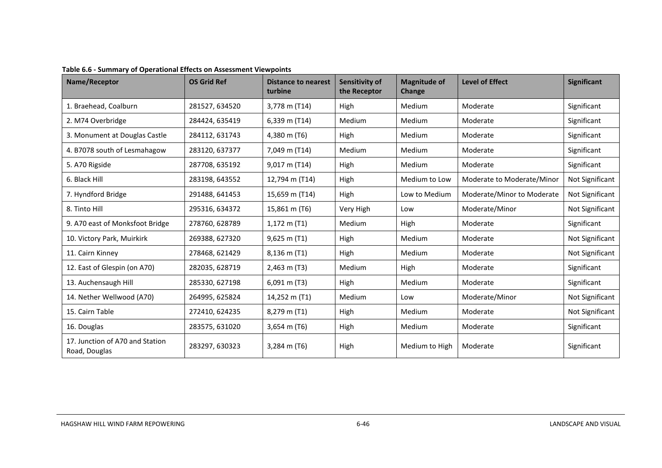| Name/Receptor                                    | <b>OS Grid Ref</b> | <b>Distance to nearest</b><br>turbine | Sensitivity of<br>the Receptor | <b>Magnitude of</b><br>Change | <b>Level of Effect</b>     | <b>Significant</b> |
|--------------------------------------------------|--------------------|---------------------------------------|--------------------------------|-------------------------------|----------------------------|--------------------|
| 1. Braehead, Coalburn                            | 281527, 634520     | 3,778 m (T14)                         | High                           | Medium                        | Moderate                   | Significant        |
| 2. M74 Overbridge                                | 284424, 635419     | $6,339$ m (T14)                       | Medium                         | Medium                        | Moderate                   | Significant        |
| 3. Monument at Douglas Castle                    | 284112, 631743     | $4,380 \text{ m}$ (T6)                | High                           | <b>Medium</b>                 | Moderate                   | Significant        |
| 4. B7078 south of Lesmahagow                     | 283120, 637377     | 7,049 m (T14)                         | Medium                         | Medium                        | Moderate                   | Significant        |
| 5. A70 Rigside                                   | 287708, 635192     | 9,017 m (T14)                         | High                           | Medium                        | Moderate                   | Significant        |
| 6. Black Hill                                    | 283198, 643552     | 12,794 m (T14)                        | High                           | Medium to Low                 | Moderate to Moderate/Minor | Not Significant    |
| 7. Hyndford Bridge                               | 291488, 641453     | 15,659 m (T14)                        | High                           | Low to Medium                 | Moderate/Minor to Moderate | Not Significant    |
| 8. Tinto Hill                                    | 295316, 634372     | 15,861 m (T6)                         | Very High                      | Low                           | Moderate/Minor             | Not Significant    |
| 9. A70 east of Monksfoot Bridge                  | 278760, 628789     | $1,172 \text{ m (T1)}$                | Medium                         | High                          | Moderate                   | Significant        |
| 10. Victory Park, Muirkirk                       | 269388, 627320     | $9,625$ m (T1)                        | High                           | Medium                        | Moderate                   | Not Significant    |
| 11. Cairn Kinney                                 | 278468, 621429     | $8,136$ m (T1)                        | High                           | Medium                        | Moderate                   | Not Significant    |
| 12. East of Glespin (on A70)                     | 282035, 628719     | 2,463 m (T3)                          | Medium                         | High                          | Moderate                   | Significant        |
| 13. Auchensaugh Hill                             | 285330, 627198     | $6,091 \text{ m}$ (T3)                | High                           | Medium                        | Moderate                   | Significant        |
| 14. Nether Wellwood (A70)                        | 264995, 625824     | 14,252 m (T1)                         | Medium                         | Low                           | Moderate/Minor             | Not Significant    |
| 15. Cairn Table                                  | 272410, 624235     | 8,279 m (T1)                          | High                           | Medium                        | Moderate                   | Not Significant    |
| 16. Douglas                                      | 283575, 631020     | $3,654 \text{ m}$ (T6)                | High                           | Medium                        | Moderate                   | Significant        |
| 17. Junction of A70 and Station<br>Road, Douglas | 283297, 630323     | 3,284 m (T6)                          | High                           | Medium to High                | Moderate                   | Significant        |

**Table 6.6 - Summary of Operational Effects on Assessment Viewpoints**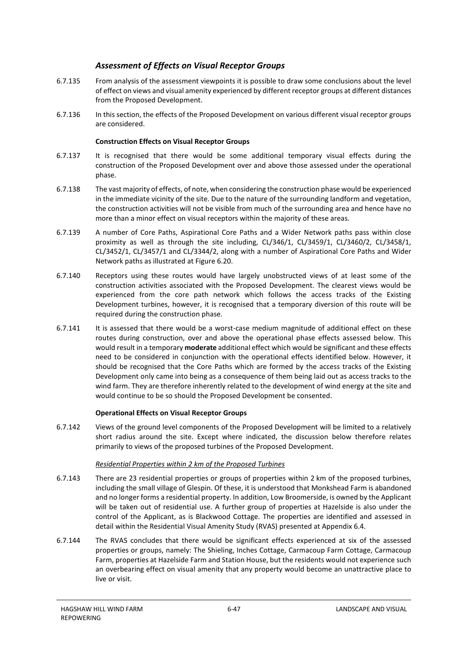# *Assessment of Effects on Visual Receptor Groups*

- 6.7.135 From analysis of the assessment viewpoints it is possible to draw some conclusions about the level of effect on views and visual amenity experienced by different receptor groups at different distances from the Proposed Development.
- 6.7.136 In this section, the effects of the Proposed Development on various different visual receptor groups are considered.

# **Construction Effects on Visual Receptor Groups**

- 6.7.137 It is recognised that there would be some additional temporary visual effects during the construction of the Proposed Development over and above those assessed under the operational phase.
- 6.7.138 The vast majority of effects, of note, when considering the construction phase would be experienced in the immediate vicinity of the site. Due to the nature of the surrounding landform and vegetation, the construction activities will not be visible from much of the surrounding area and hence have no more than a minor effect on visual receptors within the majority of these areas.
- 6.7.139 A number of Core Paths, Aspirational Core Paths and a Wider Network paths pass within close proximity as well as through the site including, CL/346/1, CL/3459/1, CL/3460/2, CL/3458/1, CL/3452/1, CL/3457/1 and CL/3344/2, along with a number of Aspirational Core Paths and Wider Network paths as illustrated at Figure 6.20.
- 6.7.140 Receptors using these routes would have largely unobstructed views of at least some of the construction activities associated with the Proposed Development. The clearest views would be experienced from the core path network which follows the access tracks of the Existing Development turbines, however, it is recognised that a temporary diversion of this route will be required during the construction phase.
- 6.7.141 It is assessed that there would be a worst-case medium magnitude of additional effect on these routes during construction, over and above the operational phase effects assessed below. This would result in a temporary **moderate** additional effect which would be significant and these effects need to be considered in conjunction with the operational effects identified below. However, it should be recognised that the Core Paths which are formed by the access tracks of the Existing Development only came into being as a consequence of them being laid out as access tracks to the wind farm. They are therefore inherently related to the development of wind energy at the site and would continue to be so should the Proposed Development be consented.

## **Operational Effects on Visual Receptor Groups**

6.7.142 Views of the ground level components of the Proposed Development will be limited to a relatively short radius around the site. Except where indicated, the discussion below therefore relates primarily to views of the proposed turbines of the Proposed Development.

# *Residential Properties within 2 km of the Proposed Turbines*

- 6.7.143 There are 23 residential properties or groups of properties within 2 km of the proposed turbines, including the small village of Glespin. Of these, it is understood that Monkshead Farm is abandoned and no longer forms a residential property. In addition, Low Broomerside, is owned by the Applicant will be taken out of residential use. A further group of properties at Hazelside is also under the control of the Applicant, as is Blackwood Cottage. The properties are identified and assessed in detail within the Residential Visual Amenity Study (RVAS) presented at Appendix 6.4.
- 6.7.144 The RVAS concludes that there would be significant effects experienced at six of the assessed properties or groups, namely: The Shieling, Inches Cottage, Carmacoup Farm Cottage, Carmacoup Farm, properties at Hazelside Farm and Station House, but the residents would not experience such an overbearing effect on visual amenity that any property would become an unattractive place to live or visit.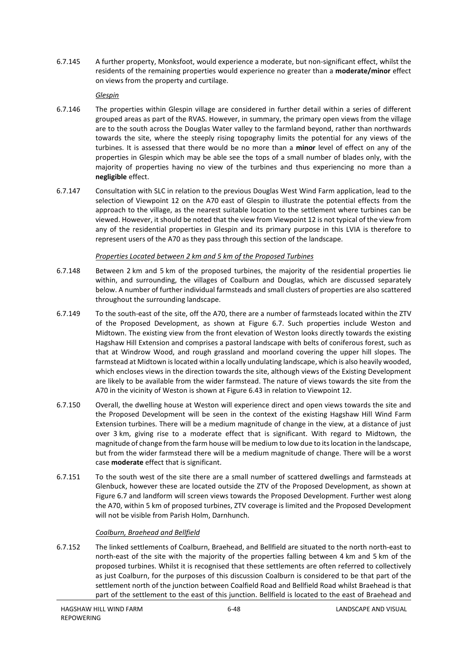6.7.145 A further property, Monksfoot, would experience a moderate, but non-significant effect, whilst the residents of the remaining properties would experience no greater than a **moderate/minor** effect on views from the property and curtilage.

## *Glespin*

- 6.7.146 The properties within Glespin village are considered in further detail within a series of different grouped areas as part of the RVAS. However, in summary, the primary open views from the village are to the south across the Douglas Water valley to the farmland beyond, rather than northwards towards the site, where the steeply rising topography limits the potential for any views of the turbines. It is assessed that there would be no more than a **minor** level of effect on any of the properties in Glespin which may be able see the tops of a small number of blades only, with the majority of properties having no view of the turbines and thus experiencing no more than a **negligible** effect.
- 6.7.147 Consultation with SLC in relation to the previous Douglas West Wind Farm application, lead to the selection of Viewpoint 12 on the A70 east of Glespin to illustrate the potential effects from the approach to the village, as the nearest suitable location to the settlement where turbines can be viewed. However, it should be noted that the view from Viewpoint 12 is not typical of the view from any of the residential properties in Glespin and its primary purpose in this LVIA is therefore to represent users of the A70 as they pass through this section of the landscape.

#### *Properties Located between 2 km and 5 km of the Proposed Turbines*

- 6.7.148 Between 2 km and 5 km of the proposed turbines, the majority of the residential properties lie within, and surrounding, the villages of Coalburn and Douglas, which are discussed separately below. A number of further individual farmsteads and small clusters of properties are also scattered throughout the surrounding landscape.
- 6.7.149 To the south-east of the site, off the A70, there are a number of farmsteads located within the ZTV of the Proposed Development, as shown at Figure 6.7. Such properties include Weston and Midtown. The existing view from the front elevation of Weston looks directly towards the existing Hagshaw Hill Extension and comprises a pastoral landscape with belts of coniferous forest, such as that at Windrow Wood, and rough grassland and moorland covering the upper hill slopes. The farmstead at Midtown is located within a locally undulating landscape, which is also heavily wooded, which encloses views in the direction towards the site, although views of the Existing Development are likely to be available from the wider farmstead. The nature of views towards the site from the A70 in the vicinity of Weston is shown at Figure 6.43 in relation to Viewpoint 12.
- 6.7.150 Overall, the dwelling house at Weston will experience direct and open views towards the site and the Proposed Development will be seen in the context of the existing Hagshaw Hill Wind Farm Extension turbines. There will be a medium magnitude of change in the view, at a distance of just over 3 km, giving rise to a moderate effect that is significant. With regard to Midtown, the magnitude of change from the farm house will be medium to low due to its location in the landscape, but from the wider farmstead there will be a medium magnitude of change. There will be a worst case **moderate** effect that is significant.
- 6.7.151 To the south west of the site there are a small number of scattered dwellings and farmsteads at Glenbuck, however these are located outside the ZTV of the Proposed Development, as shown at Figure 6.7 and landform will screen views towards the Proposed Development. Further west along the A70, within 5 km of proposed turbines, ZTV coverage is limited and the Proposed Development will not be visible from Parish Holm, Darnhunch.

## *Coalburn, Braehead and Bellfield*

6.7.152 The linked settlements of Coalburn, Braehead, and Bellfield are situated to the north north-east to north-east of the site with the majority of the properties falling between 4 km and 5 km of the proposed turbines. Whilst it is recognised that these settlements are often referred to collectively as just Coalburn, for the purposes of this discussion Coalburn is considered to be that part of the settlement north of the junction between Coalfield Road and Bellfield Road whilst Braehead is that part of the settlement to the east of this junction. Bellfield is located to the east of Braehead and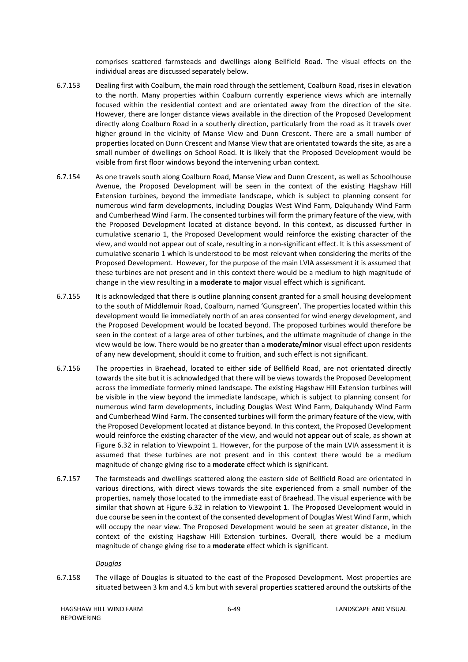comprises scattered farmsteads and dwellings along Bellfield Road. The visual effects on the individual areas are discussed separately below.

- 6.7.153 Dealing first with Coalburn, the main road through the settlement, Coalburn Road, rises in elevation to the north. Many properties within Coalburn currently experience views which are internally focused within the residential context and are orientated away from the direction of the site. However, there are longer distance views available in the direction of the Proposed Development directly along Coalburn Road in a southerly direction, particularly from the road as it travels over higher ground in the vicinity of Manse View and Dunn Crescent. There are a small number of properties located on Dunn Crescent and Manse View that are orientated towards the site, as are a small number of dwellings on School Road. It is likely that the Proposed Development would be visible from first floor windows beyond the intervening urban context.
- 6.7.154 As one travels south along Coalburn Road, Manse View and Dunn Crescent, as well as Schoolhouse Avenue, the Proposed Development will be seen in the context of the existing Hagshaw Hill Extension turbines, beyond the immediate landscape, which is subject to planning consent for numerous wind farm developments, including Douglas West Wind Farm, Dalquhandy Wind Farm and Cumberhead Wind Farm. The consented turbines will form the primary feature of the view, with the Proposed Development located at distance beyond. In this context, as discussed further in cumulative scenario 1, the Proposed Development would reinforce the existing character of the view, and would not appear out of scale, resulting in a non-significant effect. It is this assessment of cumulative scenario 1 which is understood to be most relevant when considering the merits of the Proposed Development. However, for the purpose of the main LVIA assessment it is assumed that these turbines are not present and in this context there would be a medium to high magnitude of change in the view resulting in a **moderate** to **major** visual effect which is significant.
- 6.7.155 It is acknowledged that there is outline planning consent granted for a small housing development to the south of Middlemuir Road, Coalburn, named 'Gunsgreen'. The properties located within this development would lie immediately north of an area consented for wind energy development, and the Proposed Development would be located beyond. The proposed turbines would therefore be seen in the context of a large area of other turbines, and the ultimate magnitude of change in the view would be low. There would be no greater than a **moderate/minor** visual effect upon residents of any new development, should it come to fruition, and such effect is not significant.
- 6.7.156 The properties in Braehead, located to either side of Bellfield Road, are not orientated directly towards the site but it is acknowledged that there will be views towards the Proposed Development across the immediate formerly mined landscape. The existing Hagshaw Hill Extension turbines will be visible in the view beyond the immediate landscape, which is subject to planning consent for numerous wind farm developments, including Douglas West Wind Farm, Dalquhandy Wind Farm and Cumberhead Wind Farm. The consented turbines will form the primary feature of the view, with the Proposed Development located at distance beyond. In this context, the Proposed Development would reinforce the existing character of the view, and would not appear out of scale, as shown at Figure 6.32 in relation to Viewpoint 1. However, for the purpose of the main LVIA assessment it is assumed that these turbines are not present and in this context there would be a medium magnitude of change giving rise to a **moderate** effect which is significant.
- 6.7.157 The farmsteads and dwellings scattered along the eastern side of Bellfield Road are orientated in various directions, with direct views towards the site experienced from a small number of the properties, namely those located to the immediate east of Braehead. The visual experience with be similar that shown at Figure 6.32 in relation to Viewpoint 1. The Proposed Development would in due course be seen in the context of the consented development of Douglas West Wind Farm, which will occupy the near view. The Proposed Development would be seen at greater distance, in the context of the existing Hagshaw Hill Extension turbines. Overall, there would be a medium magnitude of change giving rise to a **moderate** effect which is significant.

## *Douglas*

6.7.158 The village of Douglas is situated to the east of the Proposed Development. Most properties are situated between 3 km and 4.5 km but with several properties scattered around the outskirts of the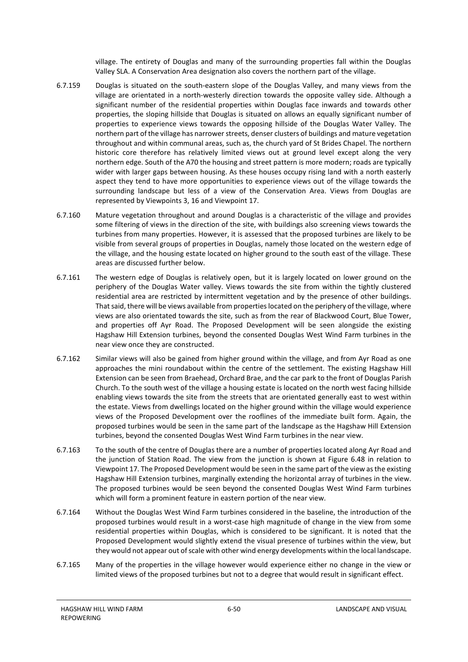village. The entirety of Douglas and many of the surrounding properties fall within the Douglas Valley SLA. A Conservation Area designation also covers the northern part of the village.

- 6.7.159 Douglas is situated on the south-eastern slope of the Douglas Valley, and many views from the village are orientated in a north-westerly direction towards the opposite valley side. Although a significant number of the residential properties within Douglas face inwards and towards other properties, the sloping hillside that Douglas is situated on allows an equally significant number of properties to experience views towards the opposing hillside of the Douglas Water Valley. The northern part of the village has narrower streets, denser clusters of buildings and mature vegetation throughout and within communal areas, such as, the church yard of St Brides Chapel. The northern historic core therefore has relatively limited views out at ground level except along the very northern edge. South of the A70 the housing and street pattern is more modern; roads are typically wider with larger gaps between housing. As these houses occupy rising land with a north easterly aspect they tend to have more opportunities to experience views out of the village towards the surrounding landscape but less of a view of the Conservation Area. Views from Douglas are represented by Viewpoints 3, 16 and Viewpoint 17.
- 6.7.160 Mature vegetation throughout and around Douglas is a characteristic of the village and provides some filtering of views in the direction of the site, with buildings also screening views towards the turbines from many properties. However, it is assessed that the proposed turbines are likely to be visible from several groups of properties in Douglas, namely those located on the western edge of the village, and the housing estate located on higher ground to the south east of the village. These areas are discussed further below.
- 6.7.161 The western edge of Douglas is relatively open, but it is largely located on lower ground on the periphery of the Douglas Water valley. Views towards the site from within the tightly clustered residential area are restricted by intermittent vegetation and by the presence of other buildings. That said, there will be views available from properties located on the periphery of the village, where views are also orientated towards the site, such as from the rear of Blackwood Court, Blue Tower, and properties off Ayr Road. The Proposed Development will be seen alongside the existing Hagshaw Hill Extension turbines, beyond the consented Douglas West Wind Farm turbines in the near view once they are constructed.
- 6.7.162 Similar views will also be gained from higher ground within the village, and from Ayr Road as one approaches the mini roundabout within the centre of the settlement. The existing Hagshaw Hill Extension can be seen from Braehead, Orchard Brae, and the car park to the front of Douglas Parish Church. To the south west of the village a housing estate is located on the north west facing hillside enabling views towards the site from the streets that are orientated generally east to west within the estate. Views from dwellings located on the higher ground within the village would experience views of the Proposed Development over the rooflines of the immediate built form. Again, the proposed turbines would be seen in the same part of the landscape as the Hagshaw Hill Extension turbines, beyond the consented Douglas West Wind Farm turbines in the near view.
- 6.7.163 To the south of the centre of Douglas there are a number of properties located along Ayr Road and the junction of Station Road. The view from the junction is shown at Figure 6.48 in relation to Viewpoint 17. The Proposed Development would be seen in the same part of the view as the existing Hagshaw Hill Extension turbines, marginally extending the horizontal array of turbines in the view. The proposed turbines would be seen beyond the consented Douglas West Wind Farm turbines which will form a prominent feature in eastern portion of the near view.
- 6.7.164 Without the Douglas West Wind Farm turbines considered in the baseline, the introduction of the proposed turbines would result in a worst-case high magnitude of change in the view from some residential properties within Douglas, which is considered to be significant. It is noted that the Proposed Development would slightly extend the visual presence of turbines within the view, but they would not appear out of scale with other wind energy developments within the local landscape.
- 6.7.165 Many of the properties in the village however would experience either no change in the view or limited views of the proposed turbines but not to a degree that would result in significant effect.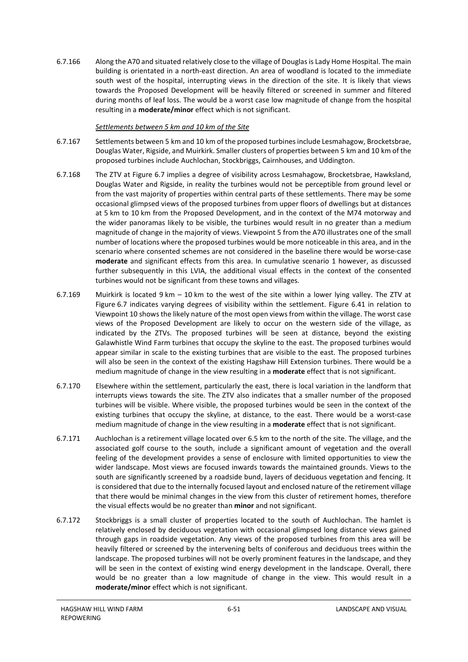6.7.166 Along the A70 and situated relatively close to the village of Douglas is Lady Home Hospital. The main building is orientated in a north-east direction. An area of woodland is located to the immediate south west of the hospital, interrupting views in the direction of the site. It is likely that views towards the Proposed Development will be heavily filtered or screened in summer and filtered during months of leaf loss. The would be a worst case low magnitude of change from the hospital resulting in a **moderate/minor** effect which is not significant.

#### *Settlements between 5 km and 10 km of the Site*

- 6.7.167 Settlements between 5 km and 10 km of the proposed turbines include Lesmahagow, Brocketsbrae, Douglas Water, Rigside, and Muirkirk. Smaller clusters of properties between 5 km and 10 km of the proposed turbines include Auchlochan, Stockbriggs, Cairnhouses, and Uddington.
- 6.7.168 The ZTV at Figure 6.7 implies a degree of visibility across Lesmahagow, Brocketsbrae, Hawksland, Douglas Water and Rigside, in reality the turbines would not be perceptible from ground level or from the vast majority of properties within central parts of these settlements. There may be some occasional glimpsed views of the proposed turbines from upper floors of dwellings but at distances at 5 km to 10 km from the Proposed Development, and in the context of the M74 motorway and the wider panoramas likely to be visible, the turbines would result in no greater than a medium magnitude of change in the majority of views. Viewpoint 5 from the A70 illustrates one of the small number of locations where the proposed turbines would be more noticeable in this area, and in the scenario where consented schemes are not considered in the baseline there would be worse-case **moderate** and significant effects from this area. In cumulative scenario 1 however, as discussed further subsequently in this LVIA, the additional visual effects in the context of the consented turbines would not be significant from these towns and villages.
- 6.7.169 Muirkirk is located 9 km 10 km to the west of the site within a lower lying valley. The ZTV at Figure 6.7 indicates varying degrees of visibility within the settlement. Figure 6.41 in relation to Viewpoint 10 shows the likely nature of the most open views from within the village. The worst case views of the Proposed Development are likely to occur on the western side of the village, as indicated by the ZTVs. The proposed turbines will be seen at distance, beyond the existing Galawhistle Wind Farm turbines that occupy the skyline to the east. The proposed turbines would appear similar in scale to the existing turbines that are visible to the east. The proposed turbines will also be seen in the context of the existing Hagshaw Hill Extension turbines. There would be a medium magnitude of change in the view resulting in a **moderate** effect that is not significant.
- 6.7.170 Elsewhere within the settlement, particularly the east, there is local variation in the landform that interrupts views towards the site. The ZTV also indicates that a smaller number of the proposed turbines will be visible. Where visible, the proposed turbines would be seen in the context of the existing turbines that occupy the skyline, at distance, to the east. There would be a worst-case medium magnitude of change in the view resulting in a **moderate** effect that is not significant.
- 6.7.171 Auchlochan is a retirement village located over 6.5 km to the north of the site. The village, and the associated golf course to the south, include a significant amount of vegetation and the overall feeling of the development provides a sense of enclosure with limited opportunities to view the wider landscape. Most views are focused inwards towards the maintained grounds. Views to the south are significantly screened by a roadside bund, layers of deciduous vegetation and fencing. It is considered that due to the internally focused layout and enclosed nature of the retirement village that there would be minimal changes in the view from this cluster of retirement homes, therefore the visual effects would be no greater than **minor** and not significant.
- 6.7.172 Stockbriggs is a small cluster of properties located to the south of Auchlochan. The hamlet is relatively enclosed by deciduous vegetation with occasional glimpsed long distance views gained through gaps in roadside vegetation. Any views of the proposed turbines from this area will be heavily filtered or screened by the intervening belts of coniferous and deciduous trees within the landscape. The proposed turbines will not be overly prominent features in the landscape, and they will be seen in the context of existing wind energy development in the landscape. Overall, there would be no greater than a low magnitude of change in the view. This would result in a **moderate/minor** effect which is not significant.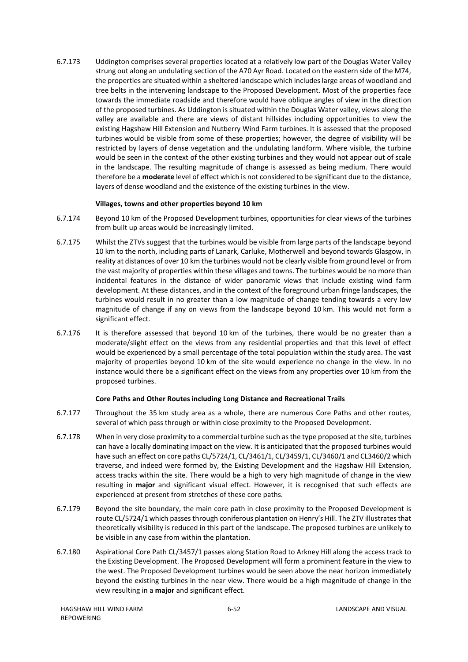6.7.173 Uddington comprises several properties located at a relatively low part of the Douglas Water Valley strung out along an undulating section of the A70 Ayr Road. Located on the eastern side of the M74, the properties are situated within a sheltered landscape which includes large areas of woodland and tree belts in the intervening landscape to the Proposed Development. Most of the properties face towards the immediate roadside and therefore would have oblique angles of view in the direction of the proposed turbines. As Uddington is situated within the Douglas Water valley, views along the valley are available and there are views of distant hillsides including opportunities to view the existing Hagshaw Hill Extension and Nutberry Wind Farm turbines. It is assessed that the proposed turbines would be visible from some of these properties; however, the degree of visibility will be restricted by layers of dense vegetation and the undulating landform. Where visible, the turbine would be seen in the context of the other existing turbines and they would not appear out of scale in the landscape. The resulting magnitude of change is assessed as being medium. There would therefore be a **moderate** level of effect which is not considered to be significant due to the distance, layers of dense woodland and the existence of the existing turbines in the view.

## **Villages, towns and other properties beyond 10 km**

- 6.7.174 Beyond 10 km of the Proposed Development turbines, opportunities for clear views of the turbines from built up areas would be increasingly limited.
- 6.7.175 Whilst the ZTVs suggest that the turbines would be visible from large parts of the landscape beyond 10 km to the north, including parts of Lanark, Carluke, Motherwell and beyond towards Glasgow, in reality at distances of over 10 km the turbines would not be clearly visible from ground level or from the vast majority of properties within these villages and towns. The turbines would be no more than incidental features in the distance of wider panoramic views that include existing wind farm development. At these distances, and in the context of the foreground urban fringe landscapes, the turbines would result in no greater than a low magnitude of change tending towards a very low magnitude of change if any on views from the landscape beyond 10 km. This would not form a significant effect.
- 6.7.176 It is therefore assessed that beyond 10 km of the turbines, there would be no greater than a moderate/slight effect on the views from any residential properties and that this level of effect would be experienced by a small percentage of the total population within the study area. The vast majority of properties beyond 10 km of the site would experience no change in the view. In no instance would there be a significant effect on the views from any properties over 10 km from the proposed turbines.

#### **Core Paths and Other Routes including Long Distance and Recreational Trails**

- 6.7.177 Throughout the 35 km study area as a whole, there are numerous Core Paths and other routes, several of which pass through or within close proximity to the Proposed Development.
- 6.7.178 When in very close proximity to a commercial turbine such as the type proposed at the site, turbines can have a locally dominating impact on the view. It is anticipated that the proposed turbines would have such an effect on core paths CL/5724/1, CL/3461/1, CL/3459/1, CL/3460/1 and CL3460/2 which traverse, and indeed were formed by, the Existing Development and the Hagshaw Hill Extension, access tracks within the site. There would be a high to very high magnitude of change in the view resulting in **major** and significant visual effect. However, it is recognised that such effects are experienced at present from stretches of these core paths.
- 6.7.179 Beyond the site boundary, the main core path in close proximity to the Proposed Development is route CL/5724/1 which passes through coniferous plantation on Henry's Hill. The ZTV illustrates that theoretically visibility is reduced in this part of the landscape. The proposed turbines are unlikely to be visible in any case from within the plantation.
- 6.7.180 Aspirational Core Path CL/3457/1 passes along Station Road to Arkney Hill along the access track to the Existing Development. The Proposed Development will form a prominent feature in the view to the west. The Proposed Development turbines would be seen above the near horizon immediately beyond the existing turbines in the near view. There would be a high magnitude of change in the view resulting in a **major** and significant effect.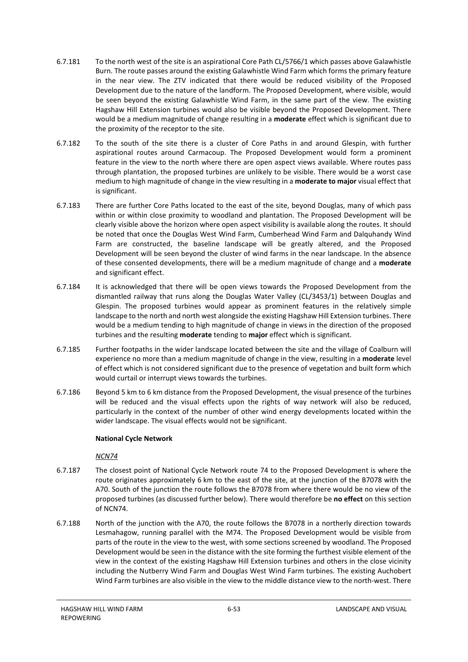- 6.7.181 To the north west of the site is an aspirational Core Path CL/5766/1 which passes above Galawhistle Burn. The route passes around the existing Galawhistle Wind Farm which forms the primary feature in the near view. The ZTV indicated that there would be reduced visibility of the Proposed Development due to the nature of the landform. The Proposed Development, where visible, would be seen beyond the existing Galawhistle Wind Farm, in the same part of the view. The existing Hagshaw Hill Extension turbines would also be visible beyond the Proposed Development. There would be a medium magnitude of change resulting in a **moderate** effect which is significant due to the proximity of the receptor to the site.
- 6.7.182 To the south of the site there is a cluster of Core Paths in and around Glespin, with further aspirational routes around Carmacoup. The Proposed Development would form a prominent feature in the view to the north where there are open aspect views available. Where routes pass through plantation, the proposed turbines are unlikely to be visible. There would be a worst case medium to high magnitude of change in the view resulting in a **moderate to major** visual effect that is significant.
- 6.7.183 There are further Core Paths located to the east of the site, beyond Douglas, many of which pass within or within close proximity to woodland and plantation. The Proposed Development will be clearly visible above the horizon where open aspect visibility is available along the routes. It should be noted that once the Douglas West Wind Farm, Cumberhead Wind Farm and Dalquhandy Wind Farm are constructed, the baseline landscape will be greatly altered, and the Proposed Development will be seen beyond the cluster of wind farms in the near landscape. In the absence of these consented developments, there will be a medium magnitude of change and a **moderate** and significant effect.
- 6.7.184 It is acknowledged that there will be open views towards the Proposed Development from the dismantled railway that runs along the Douglas Water Valley (CL/3453/1) between Douglas and Glespin. The proposed turbines would appear as prominent features in the relatively simple landscape to the north and north west alongside the existing Hagshaw Hill Extension turbines. There would be a medium tending to high magnitude of change in views in the direction of the proposed turbines and the resulting **moderate** tending to **major** effect which is significant.
- 6.7.185 Further footpaths in the wider landscape located between the site and the village of Coalburn will experience no more than a medium magnitude of change in the view, resulting in a **moderate** level of effect which is not considered significant due to the presence of vegetation and built form which would curtail or interrupt views towards the turbines.
- 6.7.186 Beyond 5 km to 6 km distance from the Proposed Development, the visual presence of the turbines will be reduced and the visual effects upon the rights of way network will also be reduced, particularly in the context of the number of other wind energy developments located within the wider landscape. The visual effects would not be significant.

## **National Cycle Network**

*NCN74*

- 6.7.187 The closest point of National Cycle Network route 74 to the Proposed Development is where the route originates approximately 6 km to the east of the site, at the junction of the B7078 with the A70. South of the junction the route follows the B7078 from where there would be no view of the proposed turbines (as discussed further below). There would therefore be **no effect** on this section of NCN74.
- 6.7.188 North of the junction with the A70, the route follows the B7078 in a northerly direction towards Lesmahagow, running parallel with the M74. The Proposed Development would be visible from parts of the route in the view to the west, with some sections screened by woodland. The Proposed Development would be seen in the distance with the site forming the furthest visible element of the view in the context of the existing Hagshaw Hill Extension turbines and others in the close vicinity including the Nutberry Wind Farm and Douglas West Wind Farm turbines. The existing Auchobert Wind Farm turbines are also visible in the view to the middle distance view to the north-west. There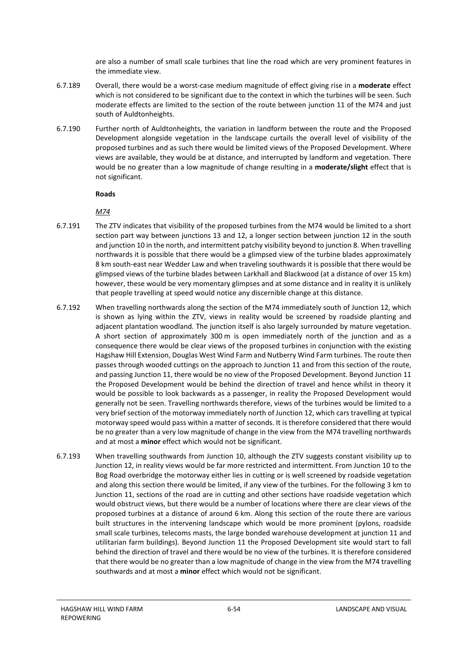are also a number of small scale turbines that line the road which are very prominent features in the immediate view.

- 6.7.189 Overall, there would be a worst-case medium magnitude of effect giving rise in a **moderate** effect which is not considered to be significant due to the context in which the turbines will be seen. Such moderate effects are limited to the section of the route between junction 11 of the M74 and just south of Auldtonheights.
- 6.7.190 Further north of Auldtonheights, the variation in landform between the route and the Proposed Development alongside vegetation in the landscape curtails the overall level of visibility of the proposed turbines and as such there would be limited views of the Proposed Development. Where views are available, they would be at distance, and interrupted by landform and vegetation. There would be no greater than a low magnitude of change resulting in a **moderate/slight** effect that is not significant.

#### **Roads**

## *M74*

- 6.7.191 The ZTV indicates that visibility of the proposed turbines from the M74 would be limited to a short section part way between junctions 13 and 12, a longer section between junction 12 in the south and junction 10 in the north, and intermittent patchy visibility beyond to junction 8. When travelling northwards it is possible that there would be a glimpsed view of the turbine blades approximately 8 km south-east near Wedder Law and when traveling southwards it is possible that there would be glimpsed views of the turbine blades between Larkhall and Blackwood (at a distance of over 15 km) however, these would be very momentary glimpses and at some distance and in reality it is unlikely that people travelling at speed would notice any discernible change at this distance.
- 6.7.192 When travelling northwards along the section of the M74 immediately south of Junction 12, which is shown as lying within the ZTV, views in reality would be screened by roadside planting and adjacent plantation woodland. The junction itself is also largely surrounded by mature vegetation. A short section of approximately 300 m is open immediately north of the junction and as a consequence there would be clear views of the proposed turbines in conjunction with the existing Hagshaw Hill Extension, Douglas West Wind Farm and Nutberry Wind Farm turbines. The route then passes through wooded cuttings on the approach to Junction 11 and from this section of the route, and passing Junction 11, there would be no view of the Proposed Development. Beyond Junction 11 the Proposed Development would be behind the direction of travel and hence whilst in theory it would be possible to look backwards as a passenger, in reality the Proposed Development would generally not be seen. Travelling northwards therefore, views of the turbines would be limited to a very brief section of the motorway immediately north of Junction 12, which cars travelling at typical motorway speed would pass within a matter of seconds. It is therefore considered that there would be no greater than a very low magnitude of change in the view from the M74 travelling northwards and at most a **minor** effect which would not be significant.
- 6.7.193 When travelling southwards from Junction 10, although the ZTV suggests constant visibility up to Junction 12, in reality views would be far more restricted and intermittent. From Junction 10 to the Bog Road overbridge the motorway either lies in cutting or is well screened by roadside vegetation and along this section there would be limited, if any view of the turbines. For the following 3 km to Junction 11, sections of the road are in cutting and other sections have roadside vegetation which would obstruct views, but there would be a number of locations where there are clear views of the proposed turbines at a distance of around 6 km. Along this section of the route there are various built structures in the intervening landscape which would be more prominent (pylons, roadside small scale turbines, telecoms masts, the large bonded warehouse development at junction 11 and utilitarian farm buildings). Beyond Junction 11 the Proposed Development site would start to fall behind the direction of travel and there would be no view of the turbines. It is therefore considered that there would be no greater than a low magnitude of change in the view from the M74 travelling southwards and at most a **minor** effect which would not be significant.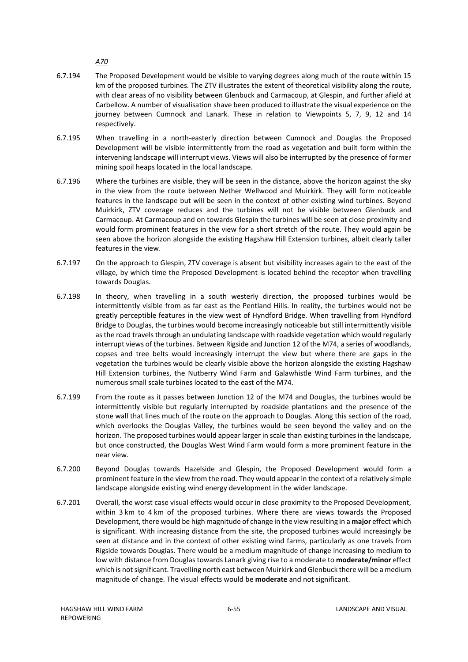*A70*

- 6.7.194 The Proposed Development would be visible to varying degrees along much of the route within 15 km of the proposed turbines. The ZTV illustrates the extent of theoretical visibility along the route, with clear areas of no visibility between Glenbuck and Carmacoup, at Glespin, and further afield at Carbellow. A number of visualisation shave been produced to illustrate the visual experience on the journey between Cumnock and Lanark. These in relation to Viewpoints 5, 7, 9, 12 and 14 respectively.
- 6.7.195 When travelling in a north-easterly direction between Cumnock and Douglas the Proposed Development will be visible intermittently from the road as vegetation and built form within the intervening landscape will interrupt views. Views will also be interrupted by the presence of former mining spoil heaps located in the local landscape.
- 6.7.196 Where the turbines are visible, they will be seen in the distance, above the horizon against the sky in the view from the route between Nether Wellwood and Muirkirk. They will form noticeable features in the landscape but will be seen in the context of other existing wind turbines. Beyond Muirkirk, ZTV coverage reduces and the turbines will not be visible between Glenbuck and Carmacoup. At Carmacoup and on towards Glespin the turbines will be seen at close proximity and would form prominent features in the view for a short stretch of the route. They would again be seen above the horizon alongside the existing Hagshaw Hill Extension turbines, albeit clearly taller features in the view.
- 6.7.197 On the approach to Glespin, ZTV coverage is absent but visibility increases again to the east of the village, by which time the Proposed Development is located behind the receptor when travelling towards Douglas.
- 6.7.198 In theory, when travelling in a south westerly direction, the proposed turbines would be intermittently visible from as far east as the Pentland Hills. In reality, the turbines would not be greatly perceptible features in the view west of Hyndford Bridge. When travelling from Hyndford Bridge to Douglas, the turbines would become increasingly noticeable but still intermittently visible as the road travels through an undulating landscape with roadside vegetation which would regularly interrupt views of the turbines. Between Rigside and Junction 12 of the M74, a series of woodlands, copses and tree belts would increasingly interrupt the view but where there are gaps in the vegetation the turbines would be clearly visible above the horizon alongside the existing Hagshaw Hill Extension turbines, the Nutberry Wind Farm and Galawhistle Wind Farm turbines, and the numerous small scale turbines located to the east of the M74.
- 6.7.199 From the route as it passes between Junction 12 of the M74 and Douglas, the turbines would be intermittently visible but regularly interrupted by roadside plantations and the presence of the stone wall that lines much of the route on the approach to Douglas. Along this section of the road, which overlooks the Douglas Valley, the turbines would be seen beyond the valley and on the horizon. The proposed turbines would appear larger in scale than existing turbines in the landscape, but once constructed, the Douglas West Wind Farm would form a more prominent feature in the near view.
- 6.7.200 Beyond Douglas towards Hazelside and Glespin, the Proposed Development would form a prominent feature in the view from the road. They would appear in the context of a relatively simple landscape alongside existing wind energy development in the wider landscape.
- 6.7.201 Overall, the worst case visual effects would occur in close proximity to the Proposed Development, within 3 km to 4 km of the proposed turbines. Where there are views towards the Proposed Development, there would be high magnitude of change in the view resulting in a **major** effect which is significant. With increasing distance from the site, the proposed turbines would increasingly be seen at distance and in the context of other existing wind farms, particularly as one travels from Rigside towards Douglas. There would be a medium magnitude of change increasing to medium to low with distance from Douglas towards Lanark giving rise to a moderate to **moderate/minor** effect which is not significant. Travelling north east between Muirkirk and Glenbuck there will be a medium magnitude of change. The visual effects would be **moderate** and not significant.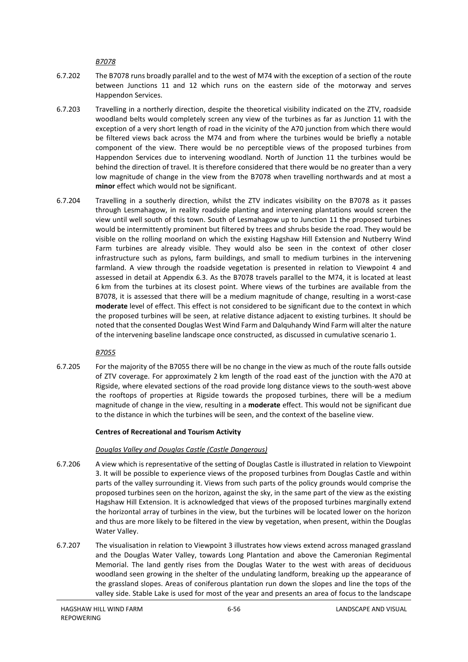*B7078*

- 6.7.202 The B7078 runs broadly parallel and to the west of M74 with the exception of a section of the route between Junctions 11 and 12 which runs on the eastern side of the motorway and serves Happendon Services.
- 6.7.203 Travelling in a northerly direction, despite the theoretical visibility indicated on the ZTV, roadside woodland belts would completely screen any view of the turbines as far as Junction 11 with the exception of a very short length of road in the vicinity of the A70 junction from which there would be filtered views back across the M74 and from where the turbines would be briefly a notable component of the view. There would be no perceptible views of the proposed turbines from Happendon Services due to intervening woodland. North of Junction 11 the turbines would be behind the direction of travel. It is therefore considered that there would be no greater than a very low magnitude of change in the view from the B7078 when travelling northwards and at most a **minor** effect which would not be significant.
- 6.7.204 Travelling in a southerly direction, whilst the ZTV indicates visibility on the B7078 as it passes through Lesmahagow, in reality roadside planting and intervening plantations would screen the view until well south of this town. South of Lesmahagow up to Junction 11 the proposed turbines would be intermittently prominent but filtered by trees and shrubs beside the road. They would be visible on the rolling moorland on which the existing Hagshaw Hill Extension and Nutberry Wind Farm turbines are already visible. They would also be seen in the context of other closer infrastructure such as pylons, farm buildings, and small to medium turbines in the intervening farmland. A view through the roadside vegetation is presented in relation to Viewpoint 4 and assessed in detail at Appendix 6.3. As the B7078 travels parallel to the M74, it is located at least 6 km from the turbines at its closest point. Where views of the turbines are available from the B7078, it is assessed that there will be a medium magnitude of change, resulting in a worst-case **moderate** level of effect. This effect is not considered to be significant due to the context in which the proposed turbines will be seen, at relative distance adjacent to existing turbines. It should be noted that the consented Douglas West Wind Farm and Dalquhandy Wind Farm will alter the nature of the intervening baseline landscape once constructed, as discussed in cumulative scenario 1.

## *B7055*

6.7.205 For the majority of the B7055 there will be no change in the view as much of the route falls outside of ZTV coverage. For approximately 2 km length of the road east of the junction with the A70 at Rigside, where elevated sections of the road provide long distance views to the south-west above the rooftops of properties at Rigside towards the proposed turbines, there will be a medium magnitude of change in the view, resulting in a **moderate** effect. This would not be significant due to the distance in which the turbines will be seen, and the context of the baseline view.

#### **Centres of Recreational and Tourism Activity**

#### *Douglas Valley and Douglas Castle (Castle Dangerous)*

- 6.7.206 A view which is representative of the setting of Douglas Castle is illustrated in relation to Viewpoint 3. It will be possible to experience views of the proposed turbines from Douglas Castle and within parts of the valley surrounding it. Views from such parts of the policy grounds would comprise the proposed turbines seen on the horizon, against the sky, in the same part of the view as the existing Hagshaw Hill Extension. It is acknowledged that views of the proposed turbines marginally extend the horizontal array of turbines in the view, but the turbines will be located lower on the horizon and thus are more likely to be filtered in the view by vegetation, when present, within the Douglas Water Valley.
- 6.7.207 The visualisation in relation to Viewpoint 3 illustrates how views extend across managed grassland and the Douglas Water Valley, towards Long Plantation and above the Cameronian Regimental Memorial. The land gently rises from the Douglas Water to the west with areas of deciduous woodland seen growing in the shelter of the undulating landform, breaking up the appearance of the grassland slopes. Areas of coniferous plantation run down the slopes and line the tops of the valley side. Stable Lake is used for most of the year and presents an area of focus to the landscape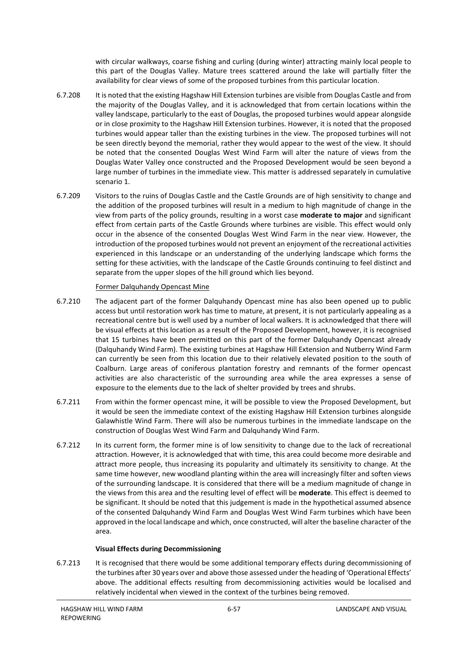with circular walkways, coarse fishing and curling (during winter) attracting mainly local people to this part of the Douglas Valley. Mature trees scattered around the lake will partially filter the availability for clear views of some of the proposed turbines from this particular location.

- 6.7.208 It is noted that the existing Hagshaw Hill Extension turbines are visible from Douglas Castle and from the majority of the Douglas Valley, and it is acknowledged that from certain locations within the valley landscape, particularly to the east of Douglas, the proposed turbines would appear alongside or in close proximity to the Hagshaw Hill Extension turbines. However, it is noted that the proposed turbines would appear taller than the existing turbines in the view. The proposed turbines will not be seen directly beyond the memorial, rather they would appear to the west of the view. It should be noted that the consented Douglas West Wind Farm will alter the nature of views from the Douglas Water Valley once constructed and the Proposed Development would be seen beyond a large number of turbines in the immediate view. This matter is addressed separately in cumulative scenario 1.
- 6.7.209 Visitors to the ruins of Douglas Castle and the Castle Grounds are of high sensitivity to change and the addition of the proposed turbines will result in a medium to high magnitude of change in the view from parts of the policy grounds, resulting in a worst case **moderate to major** and significant effect from certain parts of the Castle Grounds where turbines are visible. This effect would only occur in the absence of the consented Douglas West Wind Farm in the near view. However, the introduction of the proposed turbines would not prevent an enjoyment of the recreational activities experienced in this landscape or an understanding of the underlying landscape which forms the setting for these activities, with the landscape of the Castle Grounds continuing to feel distinct and separate from the upper slopes of the hill ground which lies beyond.

## Former Dalquhandy Opencast Mine

- 6.7.210 The adjacent part of the former Dalquhandy Opencast mine has also been opened up to public access but until restoration work has time to mature, at present, it is not particularly appealing as a recreational centre but is well used by a number of local walkers. It is acknowledged that there will be visual effects at this location as a result of the Proposed Development, however, it is recognised that 15 turbines have been permitted on this part of the former Dalquhandy Opencast already (Dalquhandy Wind Farm). The existing turbines at Hagshaw Hill Extension and Nutberry Wind Farm can currently be seen from this location due to their relatively elevated position to the south of Coalburn. Large areas of coniferous plantation forestry and remnants of the former opencast activities are also characteristic of the surrounding area while the area expresses a sense of exposure to the elements due to the lack of shelter provided by trees and shrubs.
- 6.7.211 From within the former opencast mine, it will be possible to view the Proposed Development, but it would be seen the immediate context of the existing Hagshaw Hill Extension turbines alongside Galawhistle Wind Farm. There will also be numerous turbines in the immediate landscape on the construction of Douglas West Wind Farm and Dalquhandy Wind Farm.
- 6.7.212 In its current form, the former mine is of low sensitivity to change due to the lack of recreational attraction. However, it is acknowledged that with time, this area could become more desirable and attract more people, thus increasing its popularity and ultimately its sensitivity to change. At the same time however, new woodland planting within the area will increasingly filter and soften views of the surrounding landscape. It is considered that there will be a medium magnitude of change in the views from this area and the resulting level of effect will be **moderate**. This effect is deemed to be significant. It should be noted that this judgement is made in the hypothetical assumed absence of the consented Dalquhandy Wind Farm and Douglas West Wind Farm turbines which have been approved in the local landscape and which, once constructed, will alter the baseline character of the area.

## **Visual Effects during Decommissioning**

6.7.213 It is recognised that there would be some additional temporary effects during decommissioning of the turbines after 30 years over and above those assessed under the heading of 'Operational Effects' above. The additional effects resulting from decommissioning activities would be localised and relatively incidental when viewed in the context of the turbines being removed.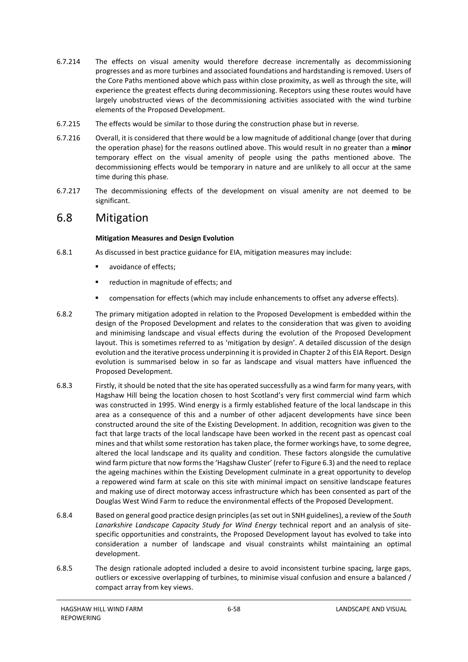- 6.7.214 The effects on visual amenity would therefore decrease incrementally as decommissioning progresses and as more turbines and associated foundations and hardstanding is removed. Users of the Core Paths mentioned above which pass within close proximity, as well as through the site, will experience the greatest effects during decommissioning. Receptors using these routes would have largely unobstructed views of the decommissioning activities associated with the wind turbine elements of the Proposed Development.
- 6.7.215 The effects would be similar to those during the construction phase but in reverse.
- 6.7.216 Overall, it is considered that there would be a low magnitude of additional change (over that during the operation phase) for the reasons outlined above. This would result in no greater than a **minor** temporary effect on the visual amenity of people using the paths mentioned above. The decommissioning effects would be temporary in nature and are unlikely to all occur at the same time during this phase.
- 6.7.217 The decommissioning effects of the development on visual amenity are not deemed to be significant.

# 6.8 Mitigation

## **Mitigation Measures and Design Evolution**

- 6.8.1 As discussed in best practice guidance for EIA, mitigation measures may include:
	- avoidance of effects;
	- reduction in magnitude of effects; and
	- compensation for effects (which may include enhancements to offset any adverse effects).
- 6.8.2 The primary mitigation adopted in relation to the Proposed Development is embedded within the design of the Proposed Development and relates to the consideration that was given to avoiding and minimising landscape and visual effects during the evolution of the Proposed Development layout. This is sometimes referred to as 'mitigation by design'. A detailed discussion of the design evolution and the iterative process underpinning it is provided in Chapter 2 of this EIA Report. Design evolution is summarised below in so far as landscape and visual matters have influenced the Proposed Development.
- 6.8.3 Firstly, it should be noted that the site has operated successfully as a wind farm for many years, with Hagshaw Hill being the location chosen to host Scotland's very first commercial wind farm which was constructed in 1995. Wind energy is a firmly established feature of the local landscape in this area as a consequence of this and a number of other adjacent developments have since been constructed around the site of the Existing Development. In addition, recognition was given to the fact that large tracts of the local landscape have been worked in the recent past as opencast coal mines and that whilst some restoration has taken place, the former workings have, to some degree, altered the local landscape and its quality and condition. These factors alongside the cumulative wind farm picture that now forms the 'Hagshaw Cluster' (refer to Figure 6.3) and the need to replace the ageing machines within the Existing Development culminate in a great opportunity to develop a repowered wind farm at scale on this site with minimal impact on sensitive landscape features and making use of direct motorway access infrastructure which has been consented as part of the Douglas West Wind Farm to reduce the environmental effects of the Proposed Development.
- 6.8.4 Based on general good practice design principles (as set out in SNH guidelines), a review of the *South Lanarkshire Landscape Capacity Study for Wind Energy* technical report and an analysis of sitespecific opportunities and constraints, the Proposed Development layout has evolved to take into consideration a number of landscape and visual constraints whilst maintaining an optimal development.
- 6.8.5 The design rationale adopted included a desire to avoid inconsistent turbine spacing, large gaps, outliers or excessive overlapping of turbines, to minimise visual confusion and ensure a balanced / compact array from key views.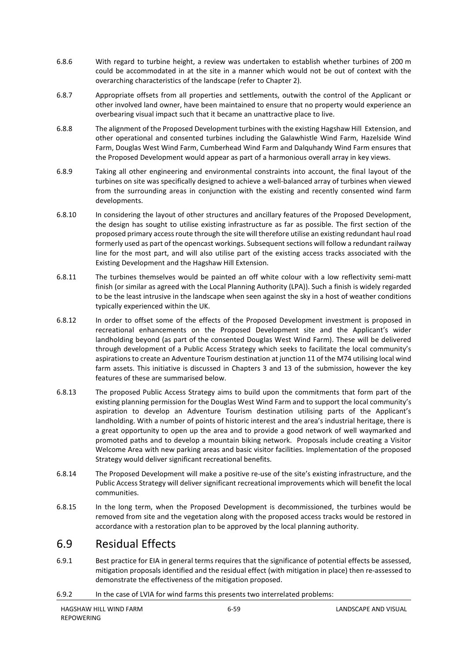- 6.8.6 With regard to turbine height, a review was undertaken to establish whether turbines of 200 m could be accommodated in at the site in a manner which would not be out of context with the overarching characteristics of the landscape (refer to Chapter 2).
- 6.8.7 Appropriate offsets from all properties and settlements, outwith the control of the Applicant or other involved land owner, have been maintained to ensure that no property would experience an overbearing visual impact such that it became an unattractive place to live.
- 6.8.8 The alignment of the Proposed Development turbines with the existing Hagshaw Hill Extension, and other operational and consented turbines including the Galawhistle Wind Farm, Hazelside Wind Farm, Douglas West Wind Farm, Cumberhead Wind Farm and Dalquhandy Wind Farm ensures that the Proposed Development would appear as part of a harmonious overall array in key views.
- 6.8.9 Taking all other engineering and environmental constraints into account, the final layout of the turbines on site was specifically designed to achieve a well-balanced array of turbines when viewed from the surrounding areas in conjunction with the existing and recently consented wind farm developments.
- 6.8.10 In considering the layout of other structures and ancillary features of the Proposed Development, the design has sought to utilise existing infrastructure as far as possible. The first section of the proposed primary access route through the site will therefore utilise an existing redundant haul road formerly used as part of the opencast workings. Subsequent sections will follow a redundant railway line for the most part, and will also utilise part of the existing access tracks associated with the Existing Development and the Hagshaw Hill Extension.
- 6.8.11 The turbines themselves would be painted an off white colour with a low reflectivity semi-matt finish (or similar as agreed with the Local Planning Authority (LPA)). Such a finish is widely regarded to be the least intrusive in the landscape when seen against the sky in a host of weather conditions typically experienced within the UK.
- 6.8.12 In order to offset some of the effects of the Proposed Development investment is proposed in recreational enhancements on the Proposed Development site and the Applicant's wider landholding beyond (as part of the consented Douglas West Wind Farm). These will be delivered through development of a Public Access Strategy which seeks to facilitate the local community's aspirations to create an Adventure Tourism destination at junction 11 of the M74 utilising local wind farm assets. This initiative is discussed in Chapters 3 and 13 of the submission, however the key features of these are summarised below.
- 6.8.13 The proposed Public Access Strategy aims to build upon the commitments that form part of the existing planning permission for the Douglas West Wind Farm and to support the local community's aspiration to develop an Adventure Tourism destination utilising parts of the Applicant's landholding. With a number of points of historic interest and the area's industrial heritage, there is a great opportunity to open up the area and to provide a good network of well waymarked and promoted paths and to develop a mountain biking network. Proposals include creating a Visitor Welcome Area with new parking areas and basic visitor facilities. Implementation of the proposed Strategy would deliver significant recreational benefits.
- 6.8.14 The Proposed Development will make a positive re-use of the site's existing infrastructure, and the Public Access Strategy will deliver significant recreational improvements which will benefit the local communities.
- 6.8.15 In the long term, when the Proposed Development is decommissioned, the turbines would be removed from site and the vegetation along with the proposed access tracks would be restored in accordance with a restoration plan to be approved by the local planning authority.

# 6.9 Residual Effects

- 6.9.1 Best practice for EIA in general terms requires that the significance of potential effects be assessed, mitigation proposals identified and the residual effect (with mitigation in place) then re-assessed to demonstrate the effectiveness of the mitigation proposed.
- 6.9.2 In the case of LVIA for wind farms this presents two interrelated problems: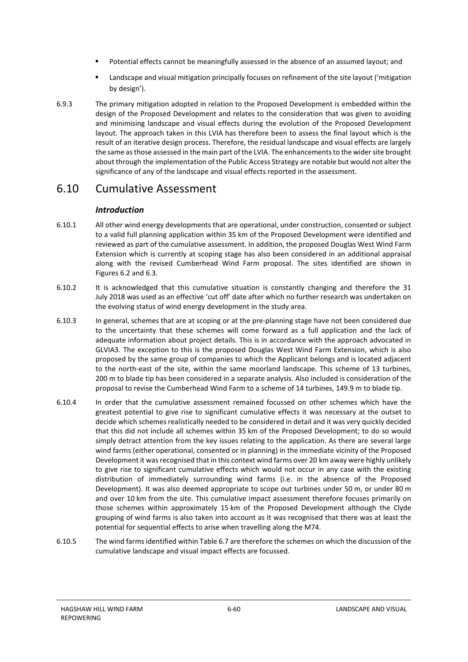- Potential effects cannot be meaningfully assessed in the absence of an assumed layout; and
- Landscape and visual mitigation principally focuses on refinement of the site layout ('mitigation by design').
- 6.9.3 The primary mitigation adopted in relation to the Proposed Development is embedded within the design of the Proposed Development and relates to the consideration that was given to avoiding and minimising landscape and visual effects during the evolution of the Proposed Development layout. The approach taken in this LVIA has therefore been to assess the final layout which is the result of an iterative design process. Therefore, the residual landscape and visual effects are largely the same as those assessed in the main part of the LVIA. The enhancements to the wider site brought about through the implementation of the Public Access Strategy are notable but would not alter the significance of any of the landscape and visual effects reported in the assessment.

# 6.10 Cumulative Assessment

# *Introduction*

- 6.10.1 All other wind energy developments that are operational, under construction, consented or subject to a valid full planning application within 35 km of the Proposed Development were identified and reviewed as part of the cumulative assessment. In addition, the proposed Douglas West Wind Farm Extension which is currently at scoping stage has also been considered in an additional appraisal along with the revised Cumberhead Wind Farm proposal. The sites identified are shown in Figures 6.2 and 6.3.
- 6.10.2 It is acknowledged that this cumulative situation is constantly changing and therefore the 31 July 2018 was used as an effective 'cut off' date after which no further research was undertaken on the evolving status of wind energy development in the study area.
- 6.10.3 In general, schemes that are at scoping or at the pre-planning stage have not been considered due to the uncertainty that these schemes will come forward as a full application and the lack of adequate information about project details. This is in accordance with the approach advocated in GLVIA3. The exception to this is the proposed Douglas West Wind Farm Extension, which is also proposed by the same group of companies to which the Applicant belongs and is located adjacent to the north-east of the site, within the same moorland landscape. This scheme of 13 turbines, 200 m to blade tip has been considered in a separate analysis. Also included is consideration of the proposal to revise the Cumberhead Wind Farm to a scheme of 14 turbines, 149.9 m to blade tip.
- 6.10.4 In order that the cumulative assessment remained focussed on other schemes which have the greatest potential to give rise to significant cumulative effects it was necessary at the outset to decide which schemes realistically needed to be considered in detail and it was very quickly decided that this did not include all schemes within 35 km of the Proposed Development; to do so would simply detract attention from the key issues relating to the application. As there are several large wind farms (either operational, consented or in planning) in the immediate vicinity of the Proposed Development it was recognised that in this context wind farms over 20 km away were highly unlikely to give rise to significant cumulative effects which would not occur in any case with the existing distribution of immediately surrounding wind farms (i.e. in the absence of the Proposed Development). It was also deemed appropriate to scope out turbines under 50 m, or under 80 m and over 10 km from the site. This cumulative impact assessment therefore focuses primarily on those schemes within approximately 15 km of the Proposed Development although the Clyde grouping of wind farms is also taken into account as it was recognised that there was at least the potential for sequential effects to arise when travelling along the M74.
- 6.10.5 The wind farms identified within Table 6.7 are therefore the schemes on which the discussion of the cumulative landscape and visual impact effects are focussed.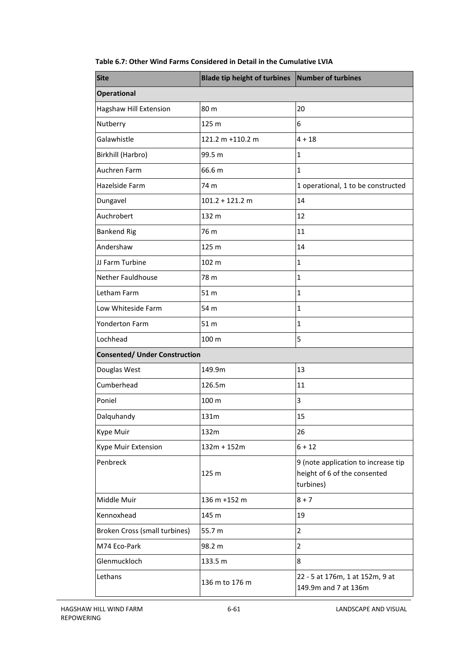| <b>Site</b>                   | Blade tip height of turbines Number of turbines |                                                                                  |  |  |  |
|-------------------------------|-------------------------------------------------|----------------------------------------------------------------------------------|--|--|--|
| Operational                   |                                                 |                                                                                  |  |  |  |
| <b>Hagshaw Hill Extension</b> | 80 m                                            | 20                                                                               |  |  |  |
| Nutberry                      | 125 m                                           | 6                                                                                |  |  |  |
| Galawhistle                   | 121.2 m +110.2 m                                | $4 + 18$                                                                         |  |  |  |
| Birkhill (Harbro)             | 99.5 m                                          | $\mathbf{1}$                                                                     |  |  |  |
| Auchren Farm                  | 66.6 m                                          | $\mathbf{1}$                                                                     |  |  |  |
| Hazelside Farm                | 74 m                                            | 1 operational, 1 to be constructed                                               |  |  |  |
| Dungavel                      | $101.2 + 121.2$ m                               | 14                                                                               |  |  |  |
| Auchrobert                    | 132 m                                           | 12                                                                               |  |  |  |
| <b>Bankend Rig</b>            | 76 m                                            | 11                                                                               |  |  |  |
| Andershaw                     | 125 m                                           | 14                                                                               |  |  |  |
| JJ Farm Turbine               | 102 m                                           | $\mathbf 1$                                                                      |  |  |  |
| Nether Fauldhouse             | 78 m                                            | $\mathbf{1}$                                                                     |  |  |  |
| Letham Farm                   | 51 m                                            | $\mathbf{1}$                                                                     |  |  |  |
| Low Whiteside Farm            | 54 m                                            | $\mathbf 1$                                                                      |  |  |  |
| <b>Yonderton Farm</b>         | 51 m                                            | $\mathbf{1}$                                                                     |  |  |  |
| Lochhead                      | 100 m                                           | 5                                                                                |  |  |  |
|                               | <b>Consented/ Under Construction</b>            |                                                                                  |  |  |  |
| Douglas West                  | 149.9m                                          | 13                                                                               |  |  |  |
| Cumberhead                    | 126.5m                                          | 11                                                                               |  |  |  |
| Poniel                        | 100 m                                           | $\overline{3}$                                                                   |  |  |  |
| Dalquhandy                    | 131m                                            | 15                                                                               |  |  |  |
| Kype Muir                     | 132m                                            | 26                                                                               |  |  |  |
| Kype Muir Extension           | $132m + 152m$                                   | $6 + 12$                                                                         |  |  |  |
| Penbreck                      | 125 m                                           | 9 (note application to increase tip<br>height of 6 of the consented<br>turbines) |  |  |  |
| Middle Muir                   | 136 m +152 m                                    | $8 + 7$                                                                          |  |  |  |
| Kennoxhead                    | 145 m                                           | 19                                                                               |  |  |  |
| Broken Cross (small turbines) | 55.7 m                                          | $\boldsymbol{2}$                                                                 |  |  |  |
| M74 Eco-Park                  | 98.2 m                                          | $\overline{2}$                                                                   |  |  |  |
| Glenmuckloch                  | 133.5 m                                         | 8                                                                                |  |  |  |
| Lethans                       | 136 m to 176 m                                  | 22 - 5 at 176m, 1 at 152m, 9 at<br>149.9m and 7 at 136m                          |  |  |  |

|  |  | Table 6.7: Other Wind Farms Considered in Detail in the Cumulative LVIA |
|--|--|-------------------------------------------------------------------------|
|  |  |                                                                         |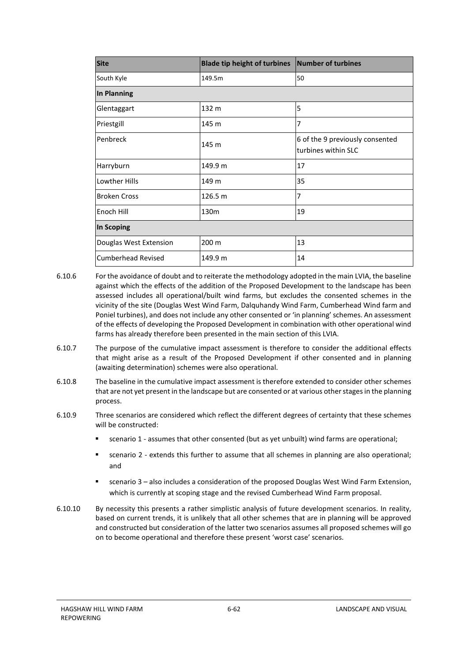| Site                   | <b>Blade tip height of turbines</b> | Number of turbines                                     |  |  |
|------------------------|-------------------------------------|--------------------------------------------------------|--|--|
| South Kyle             | 149.5m                              | 50                                                     |  |  |
| <b>In Planning</b>     |                                     |                                                        |  |  |
| Glentaggart            | 132 m                               | 5                                                      |  |  |
| Priestgill             | 145 m                               | 7                                                      |  |  |
| Penbreck               | 145 m                               | 6 of the 9 previously consented<br>turbines within SLC |  |  |
| Harryburn              | 149.9 m                             | 17                                                     |  |  |
| Lowther Hills          | 149 m                               | 35                                                     |  |  |
| <b>Broken Cross</b>    | 126.5 m                             | 7                                                      |  |  |
| Enoch Hill             | 130 <sub>m</sub>                    | 19                                                     |  |  |
| <b>In Scoping</b>      |                                     |                                                        |  |  |
| Douglas West Extension | 200 m                               | 13                                                     |  |  |
| Cumberhead Revised     | 149.9 m                             | 14                                                     |  |  |

- 6.10.6 For the avoidance of doubt and to reiterate the methodology adopted in the main LVIA, the baseline against which the effects of the addition of the Proposed Development to the landscape has been assessed includes all operational/built wind farms, but excludes the consented schemes in the vicinity of the site (Douglas West Wind Farm, Dalquhandy Wind Farm, Cumberhead Wind farm and Poniel turbines), and does not include any other consented or 'in planning' schemes. An assessment of the effects of developing the Proposed Development in combination with other operational wind farms has already therefore been presented in the main section of this LVIA.
- 6.10.7 The purpose of the cumulative impact assessment is therefore to consider the additional effects that might arise as a result of the Proposed Development if other consented and in planning (awaiting determination) schemes were also operational.
- 6.10.8 The baseline in the cumulative impact assessment is therefore extended to consider other schemes that are not yet present in the landscape but are consented or at various other stages in the planning process.
- 6.10.9 Three scenarios are considered which reflect the different degrees of certainty that these schemes will be constructed:
	- scenario 1 assumes that other consented (but as yet unbuilt) wind farms are operational;
	- scenario 2 extends this further to assume that all schemes in planning are also operational; and
	- scenario 3 also includes a consideration of the proposed Douglas West Wind Farm Extension, which is currently at scoping stage and the revised Cumberhead Wind Farm proposal.
- 6.10.10 By necessity this presents a rather simplistic analysis of future development scenarios. In reality, based on current trends, it is unlikely that all other schemes that are in planning will be approved and constructed but consideration of the latter two scenarios assumes all proposed schemes will go on to become operational and therefore these present 'worst case' scenarios.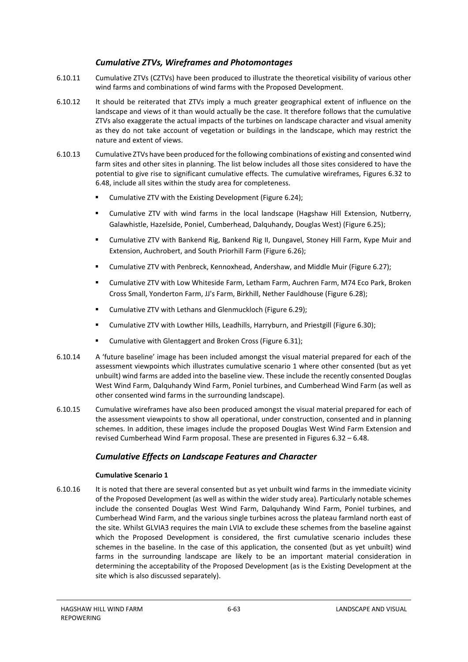# *Cumulative ZTVs, Wireframes and Photomontages*

- 6.10.11 Cumulative ZTVs (CZTVs) have been produced to illustrate the theoretical visibility of various other wind farms and combinations of wind farms with the Proposed Development.
- 6.10.12 It should be reiterated that ZTVs imply a much greater geographical extent of influence on the landscape and views of it than would actually be the case. It therefore follows that the cumulative ZTVs also exaggerate the actual impacts of the turbines on landscape character and visual amenity as they do not take account of vegetation or buildings in the landscape, which may restrict the nature and extent of views.
- 6.10.13 Cumulative ZTVs have been produced for the following combinations of existing and consented wind farm sites and other sites in planning. The list below includes all those sites considered to have the potential to give rise to significant cumulative effects. The cumulative wireframes, Figures 6.32 to 6.48, include all sites within the study area for completeness.
	- Cumulative ZTV with the Existing Development (Figure 6.24);
	- Cumulative ZTV with wind farms in the local landscape (Hagshaw Hill Extension, Nutberry, Galawhistle, Hazelside, Poniel, Cumberhead, Dalquhandy, Douglas West) (Figure 6.25);
	- Cumulative ZTV with Bankend Rig, Bankend Rig II, Dungavel, Stoney Hill Farm, Kype Muir and Extension, Auchrobert, and South Priorhill Farm (Figure 6.26);
	- Cumulative ZTV with Penbreck, Kennoxhead, Andershaw, and Middle Muir (Figure 6.27);
	- Cumulative ZTV with Low Whiteside Farm, Letham Farm, Auchren Farm, M74 Eco Park, Broken Cross Small, Yonderton Farm, JJ's Farm, Birkhill, Nether Fauldhouse (Figure 6.28);
	- Cumulative ZTV with Lethans and Glenmuckloch (Figure 6.29);
	- Cumulative ZTV with Lowther Hills, Leadhills, Harryburn, and Priestgill (Figure 6.30);
	- **EXECUMULARIAT:** Cumulative with Glentaggert and Broken Cross (Figure 6.31);
- 6.10.14 A 'future baseline' image has been included amongst the visual material prepared for each of the assessment viewpoints which illustrates cumulative scenario 1 where other consented (but as yet unbuilt) wind farms are added into the baseline view. These include the recently consented Douglas West Wind Farm, Dalquhandy Wind Farm, Poniel turbines, and Cumberhead Wind Farm (as well as other consented wind farms in the surrounding landscape).
- 6.10.15 Cumulative wireframes have also been produced amongst the visual material prepared for each of the assessment viewpoints to show all operational, under construction, consented and in planning schemes. In addition, these images include the proposed Douglas West Wind Farm Extension and revised Cumberhead Wind Farm proposal. These are presented in Figures 6.32 – 6.48.

# *Cumulative Effects on Landscape Features and Character*

## **Cumulative Scenario 1**

6.10.16 It is noted that there are several consented but as yet unbuilt wind farms in the immediate vicinity of the Proposed Development (as well as within the wider study area). Particularly notable schemes include the consented Douglas West Wind Farm, Dalquhandy Wind Farm, Poniel turbines, and Cumberhead Wind Farm, and the various single turbines across the plateau farmland north east of the site. Whilst GLVIA3 requires the main LVIA to exclude these schemes from the baseline against which the Proposed Development is considered, the first cumulative scenario includes these schemes in the baseline. In the case of this application, the consented (but as yet unbuilt) wind farms in the surrounding landscape are likely to be an important material consideration in determining the acceptability of the Proposed Development (as is the Existing Development at the site which is also discussed separately).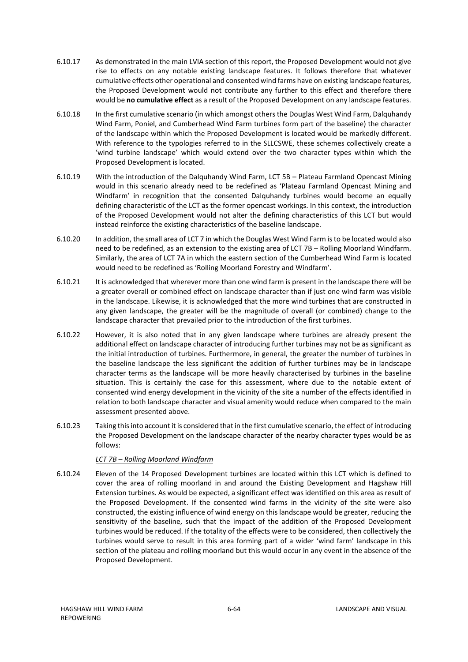- 6.10.17 As demonstrated in the main LVIA section of this report, the Proposed Development would not give rise to effects on any notable existing landscape features. It follows therefore that whatever cumulative effects other operational and consented wind farms have on existing landscape features, the Proposed Development would not contribute any further to this effect and therefore there would be **no cumulative effect** as a result of the Proposed Development on any landscape features.
- 6.10.18 In the first cumulative scenario (in which amongst others the Douglas West Wind Farm, Dalquhandy Wind Farm, Poniel, and Cumberhead Wind Farm turbines form part of the baseline) the character of the landscape within which the Proposed Development is located would be markedly different. With reference to the typologies referred to in the SLLCSWE, these schemes collectively create a 'wind turbine landscape' which would extend over the two character types within which the Proposed Development is located.
- 6.10.19 With the introduction of the Dalquhandy Wind Farm, LCT 5B Plateau Farmland Opencast Mining would in this scenario already need to be redefined as 'Plateau Farmland Opencast Mining and Windfarm' in recognition that the consented Dalquhandy turbines would become an equally defining characteristic of the LCT as the former opencast workings. In this context, the introduction of the Proposed Development would not alter the defining characteristics of this LCT but would instead reinforce the existing characteristics of the baseline landscape.
- 6.10.20 In addition, the small area of LCT 7 in which the Douglas West Wind Farm is to be located would also need to be redefined, as an extension to the existing area of LCT 7B – Rolling Moorland Windfarm. Similarly, the area of LCT 7A in which the eastern section of the Cumberhead Wind Farm is located would need to be redefined as 'Rolling Moorland Forestry and Windfarm'.
- 6.10.21 It is acknowledged that wherever more than one wind farm is present in the landscape there will be a greater overall or combined effect on landscape character than if just one wind farm was visible in the landscape. Likewise, it is acknowledged that the more wind turbines that are constructed in any given landscape, the greater will be the magnitude of overall (or combined) change to the landscape character that prevailed prior to the introduction of the first turbines.
- 6.10.22 However, it is also noted that in any given landscape where turbines are already present the additional effect on landscape character of introducing further turbines may not be as significant as the initial introduction of turbines. Furthermore, in general, the greater the number of turbines in the baseline landscape the less significant the addition of further turbines may be in landscape character terms as the landscape will be more heavily characterised by turbines in the baseline situation. This is certainly the case for this assessment, where due to the notable extent of consented wind energy development in the vicinity of the site a number of the effects identified in relation to both landscape character and visual amenity would reduce when compared to the main assessment presented above.
- 6.10.23 Taking this into account it is considered that in the first cumulative scenario, the effect of introducing the Proposed Development on the landscape character of the nearby character types would be as follows:

## *LCT 7B – Rolling Moorland Windfarm*

6.10.24 Eleven of the 14 Proposed Development turbines are located within this LCT which is defined to cover the area of rolling moorland in and around the Existing Development and Hagshaw Hill Extension turbines. As would be expected, a significant effect was identified on this area as result of the Proposed Development. If the consented wind farms in the vicinity of the site were also constructed, the existing influence of wind energy on this landscape would be greater, reducing the sensitivity of the baseline, such that the impact of the addition of the Proposed Development turbines would be reduced. If the totality of the effects were to be considered, then collectively the turbines would serve to result in this area forming part of a wider 'wind farm' landscape in this section of the plateau and rolling moorland but this would occur in any event in the absence of the Proposed Development.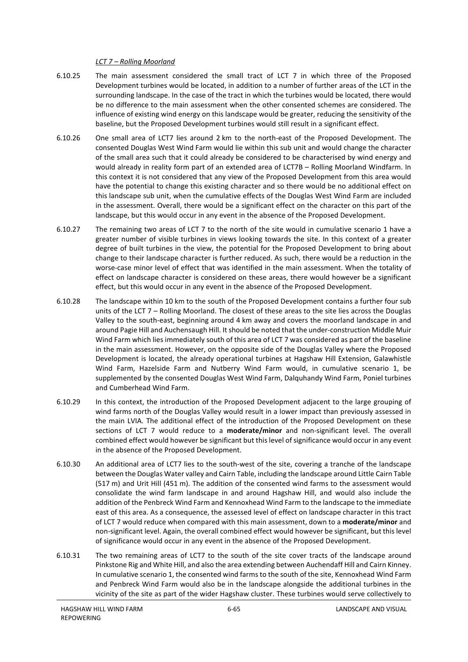#### *LCT 7 – Rolling Moorland*

- 6.10.25 The main assessment considered the small tract of LCT 7 in which three of the Proposed Development turbines would be located, in addition to a number of further areas of the LCT in the surrounding landscape. In the case of the tract in which the turbines would be located, there would be no difference to the main assessment when the other consented schemes are considered. The influence of existing wind energy on this landscape would be greater, reducing the sensitivity of the baseline, but the Proposed Development turbines would still result in a significant effect.
- 6.10.26 One small area of LCT7 lies around 2 km to the north-east of the Proposed Development. The consented Douglas West Wind Farm would lie within this sub unit and would change the character of the small area such that it could already be considered to be characterised by wind energy and would already in reality form part of an extended area of LCT7B – Rolling Moorland Windfarm. In this context it is not considered that any view of the Proposed Development from this area would have the potential to change this existing character and so there would be no additional effect on this landscape sub unit, when the cumulative effects of the Douglas West Wind Farm are included in the assessment. Overall, there would be a significant effect on the character on this part of the landscape, but this would occur in any event in the absence of the Proposed Development.
- 6.10.27 The remaining two areas of LCT 7 to the north of the site would in cumulative scenario 1 have a greater number of visible turbines in views looking towards the site. In this context of a greater degree of built turbines in the view, the potential for the Proposed Development to bring about change to their landscape character is further reduced. As such, there would be a reduction in the worse-case minor level of effect that was identified in the main assessment. When the totality of effect on landscape character is considered on these areas, there would however be a significant effect, but this would occur in any event in the absence of the Proposed Development.
- 6.10.28 The landscape within 10 km to the south of the Proposed Development contains a further four sub units of the LCT 7 – Rolling Moorland. The closest of these areas to the site lies across the Douglas Valley to the south-east, beginning around 4 km away and covers the moorland landscape in and around Pagie Hill and Auchensaugh Hill. It should be noted that the under-construction Middle Muir Wind Farm which lies immediately south of this area of LCT 7 was considered as part of the baseline in the main assessment. However, on the opposite side of the Douglas Valley where the Proposed Development is located, the already operational turbines at Hagshaw Hill Extension, Galawhistle Wind Farm, Hazelside Farm and Nutberry Wind Farm would, in cumulative scenario 1, be supplemented by the consented Douglas West Wind Farm, Dalquhandy Wind Farm, Poniel turbines and Cumberhead Wind Farm.
- 6.10.29 In this context, the introduction of the Proposed Development adjacent to the large grouping of wind farms north of the Douglas Valley would result in a lower impact than previously assessed in the main LVIA. The additional effect of the introduction of the Proposed Development on these sections of LCT 7 would reduce to a **moderate/minor** and non-significant level. The overall combined effect would however be significant but this level of significance would occur in any event in the absence of the Proposed Development.
- 6.10.30 An additional area of LCT7 lies to the south-west of the site, covering a tranche of the landscape between the Douglas Water valley and Cairn Table, including the landscape around Little Cairn Table (517 m) and Urit Hill (451 m). The addition of the consented wind farms to the assessment would consolidate the wind farm landscape in and around Hagshaw Hill, and would also include the addition of the Penbreck Wind Farm and Kennoxhead Wind Farm to the landscape to the immediate east of this area. As a consequence, the assessed level of effect on landscape character in this tract of LCT 7 would reduce when compared with this main assessment, down to a **moderate/minor** and non-significant level. Again, the overall combined effect would however be significant, but this level of significance would occur in any event in the absence of the Proposed Development.
- 6.10.31 The two remaining areas of LCT7 to the south of the site cover tracts of the landscape around Pinkstone Rig and White Hill, and also the area extending between Auchendaff Hill and Cairn Kinney. In cumulative scenario 1, the consented wind farms to the south of the site, Kennoxhead Wind Farm and Penbreck Wind Farm would also be in the landscape alongside the additional turbines in the vicinity of the site as part of the wider Hagshaw cluster. These turbines would serve collectively to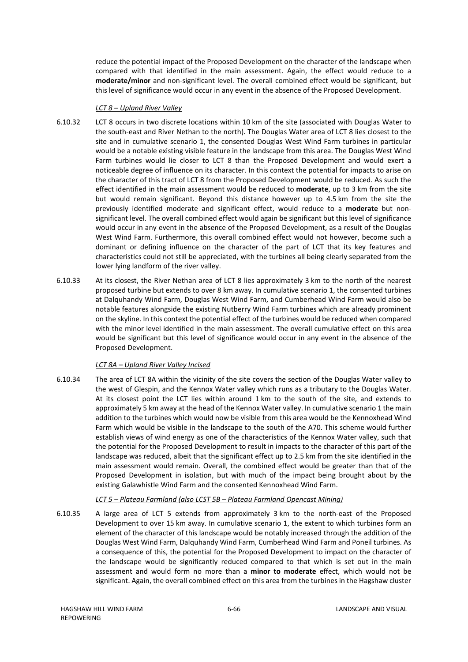reduce the potential impact of the Proposed Development on the character of the landscape when compared with that identified in the main assessment. Again, the effect would reduce to a **moderate/minor** and non-significant level. The overall combined effect would be significant, but this level of significance would occur in any event in the absence of the Proposed Development.

#### *LCT 8 – Upland River Valley*

- 6.10.32 LCT 8 occurs in two discrete locations within 10 km of the site (associated with Douglas Water to the south-east and River Nethan to the north). The Douglas Water area of LCT 8 lies closest to the site and in cumulative scenario 1, the consented Douglas West Wind Farm turbines in particular would be a notable existing visible feature in the landscape from this area. The Douglas West Wind Farm turbines would lie closer to LCT 8 than the Proposed Development and would exert a noticeable degree of influence on its character. In this context the potential for impacts to arise on the character of this tract of LCT 8 from the Proposed Development would be reduced. As such the effect identified in the main assessment would be reduced to **moderate**, up to 3 km from the site but would remain significant. Beyond this distance however up to 4.5 km from the site the previously identified moderate and significant effect, would reduce to a **moderate** but nonsignificant level. The overall combined effect would again be significant but this level of significance would occur in any event in the absence of the Proposed Development, as a result of the Douglas West Wind Farm. Furthermore, this overall combined effect would not however, become such a dominant or defining influence on the character of the part of LCT that its key features and characteristics could not still be appreciated, with the turbines all being clearly separated from the lower lying landform of the river valley.
- 6.10.33 At its closest, the River Nethan area of LCT 8 lies approximately 3 km to the north of the nearest proposed turbine but extends to over 8 km away. In cumulative scenario 1, the consented turbines at Dalquhandy Wind Farm, Douglas West Wind Farm, and Cumberhead Wind Farm would also be notable features alongside the existing Nutberry Wind Farm turbines which are already prominent on the skyline. In this context the potential effect of the turbines would be reduced when compared with the minor level identified in the main assessment. The overall cumulative effect on this area would be significant but this level of significance would occur in any event in the absence of the Proposed Development.

## *LCT 8A – Upland River Valley Incised*

6.10.34 The area of LCT 8A within the vicinity of the site covers the section of the Douglas Water valley to the west of Glespin, and the Kennox Water valley which runs as a tributary to the Douglas Water. At its closest point the LCT lies within around 1 km to the south of the site, and extends to approximately 5 km away at the head of the Kennox Water valley. In cumulative scenario 1 the main addition to the turbines which would now be visible from this area would be the Kennoxhead Wind Farm which would be visible in the landscape to the south of the A70. This scheme would further establish views of wind energy as one of the characteristics of the Kennox Water valley, such that the potential for the Proposed Development to result in impacts to the character of this part of the landscape was reduced, albeit that the significant effect up to 2.5 km from the site identified in the main assessment would remain. Overall, the combined effect would be greater than that of the Proposed Development in isolation, but with much of the impact being brought about by the existing Galawhistle Wind Farm and the consented Kennoxhead Wind Farm.

## *LCT 5 – Plateau Farmland (also LCST 5B – Plateau Farmland Opencast Mining)*

6.10.35 A large area of LCT 5 extends from approximately 3 km to the north-east of the Proposed Development to over 15 km away. In cumulative scenario 1, the extent to which turbines form an element of the character of this landscape would be notably increased through the addition of the Douglas West Wind Farm, Dalquhandy Wind Farm, Cumberhead Wind Farm and Poneil turbines. As a consequence of this, the potential for the Proposed Development to impact on the character of the landscape would be significantly reduced compared to that which is set out in the main assessment and would form no more than a **minor to moderate** effect, which would not be significant. Again, the overall combined effect on this area from the turbines in the Hagshaw cluster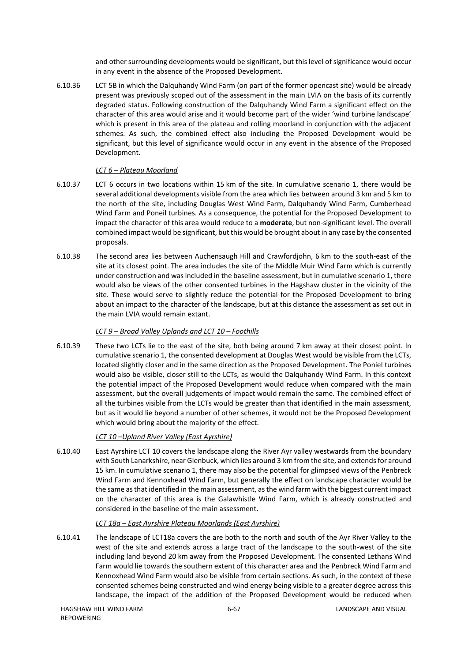and other surrounding developments would be significant, but this level of significance would occur in any event in the absence of the Proposed Development.

6.10.36 LCT 5B in which the Dalquhandy Wind Farm (on part of the former opencast site) would be already present was previously scoped out of the assessment in the main LVIA on the basis of its currently degraded status. Following construction of the Dalquhandy Wind Farm a significant effect on the character of this area would arise and it would become part of the wider 'wind turbine landscape' which is present in this area of the plateau and rolling moorland in conjunction with the adjacent schemes. As such, the combined effect also including the Proposed Development would be significant, but this level of significance would occur in any event in the absence of the Proposed Development.

## *LCT 6 – Plateau Moorland*

- 6.10.37 LCT 6 occurs in two locations within 15 km of the site. In cumulative scenario 1, there would be several additional developments visible from the area which lies between around 3 km and 5 km to the north of the site, including Douglas West Wind Farm, Dalquhandy Wind Farm, Cumberhead Wind Farm and Poneil turbines. As a consequence, the potential for the Proposed Development to impact the character of this area would reduce to a **moderate**, but non-significant level. The overall combined impact would be significant, but this would be brought about in any case by the consented proposals.
- 6.10.38 The second area lies between Auchensaugh Hill and Crawfordjohn, 6 km to the south-east of the site at its closest point. The area includes the site of the Middle Muir Wind Farm which is currently under construction and was included in the baseline assessment, but in cumulative scenario 1, there would also be views of the other consented turbines in the Hagshaw cluster in the vicinity of the site. These would serve to slightly reduce the potential for the Proposed Development to bring about an impact to the character of the landscape, but at this distance the assessment as set out in the main LVIA would remain extant.

#### *LCT 9 – Broad Valley Uplands and LCT 10 – Foothills*

6.10.39 These two LCTs lie to the east of the site, both being around 7 km away at their closest point. In cumulative scenario 1, the consented development at Douglas West would be visible from the LCTs, located slightly closer and in the same direction as the Proposed Development. The Poniel turbines would also be visible, closer still to the LCTs, as would the Dalquhandy Wind Farm. In this context the potential impact of the Proposed Development would reduce when compared with the main assessment, but the overall judgements of impact would remain the same. The combined effect of all the turbines visible from the LCTs would be greater than that identified in the main assessment, but as it would lie beyond a number of other schemes, it would not be the Proposed Development which would bring about the majority of the effect.

## *LCT 10 –Upland River Valley (East Ayrshire)*

6.10.40 East Ayrshire LCT 10 covers the landscape along the River Ayr valley westwards from the boundary with South Lanarkshire, near Glenbuck, which lies around 3 km from the site, and extends for around 15 km. In cumulative scenario 1, there may also be the potential for glimpsed views of the Penbreck Wind Farm and Kennoxhead Wind Farm, but generally the effect on landscape character would be the same as that identified in the main assessment, as the wind farm with the biggest current impact on the character of this area is the Galawhistle Wind Farm, which is already constructed and considered in the baseline of the main assessment.

#### *LCT 18a – East Ayrshire Plateau Moorlands (East Ayrshire)*

6.10.41 The landscape of LCT18a covers the are both to the north and south of the Ayr River Valley to the west of the site and extends across a large tract of the landscape to the south-west of the site including land beyond 20 km away from the Proposed Development. The consented Lethans Wind Farm would lie towards the southern extent of this character area and the Penbreck Wind Farm and Kennoxhead Wind Farm would also be visible from certain sections. As such, in the context of these consented schemes being constructed and wind energy being visible to a greater degree across this landscape, the impact of the addition of the Proposed Development would be reduced when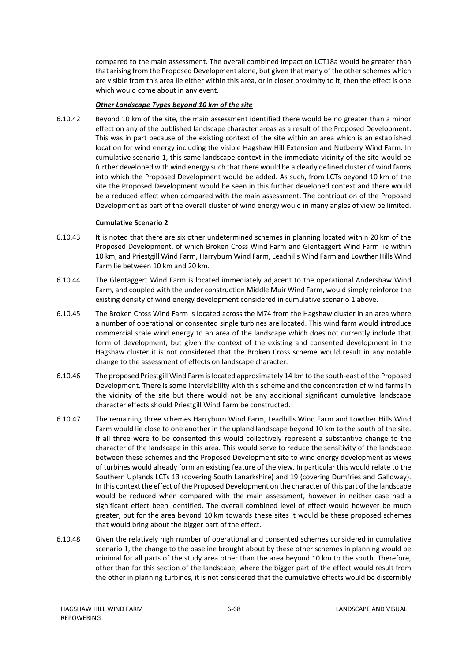compared to the main assessment. The overall combined impact on LCT18a would be greater than that arising from the Proposed Development alone, but given that many of the other schemes which are visible from this area lie either within this area, or in closer proximity to it, then the effect is one which would come about in any event.

#### *Other Landscape Types beyond 10 km of the site*

6.10.42 Beyond 10 km of the site, the main assessment identified there would be no greater than a minor effect on any of the published landscape character areas as a result of the Proposed Development. This was in part because of the existing context of the site within an area which is an established location for wind energy including the visible Hagshaw Hill Extension and Nutberry Wind Farm. In cumulative scenario 1, this same landscape context in the immediate vicinity of the site would be further developed with wind energy such that there would be a clearly defined cluster of wind farms into which the Proposed Development would be added. As such, from LCTs beyond 10 km of the site the Proposed Development would be seen in this further developed context and there would be a reduced effect when compared with the main assessment. The contribution of the Proposed Development as part of the overall cluster of wind energy would in many angles of view be limited.

#### **Cumulative Scenario 2**

- 6.10.43 It is noted that there are six other undetermined schemes in planning located within 20 km of the Proposed Development, of which Broken Cross Wind Farm and Glentaggert Wind Farm lie within 10 km, and Priestgill Wind Farm, Harryburn Wind Farm, Leadhills Wind Farm and Lowther Hills Wind Farm lie between 10 km and 20 km.
- 6.10.44 The Glentaggert Wind Farm is located immediately adjacent to the operational Andershaw Wind Farm, and coupled with the under construction Middle Muir Wind Farm, would simply reinforce the existing density of wind energy development considered in cumulative scenario 1 above.
- 6.10.45 The Broken Cross Wind Farm is located across the M74 from the Hagshaw cluster in an area where a number of operational or consented single turbines are located. This wind farm would introduce commercial scale wind energy to an area of the landscape which does not currently include that form of development, but given the context of the existing and consented development in the Hagshaw cluster it is not considered that the Broken Cross scheme would result in any notable change to the assessment of effects on landscape character.
- 6.10.46 The proposed Priestgill Wind Farm is located approximately 14 km to the south-east of the Proposed Development. There is some intervisibility with this scheme and the concentration of wind farms in the vicinity of the site but there would not be any additional significant cumulative landscape character effects should Priestgill Wind Farm be constructed.
- 6.10.47 The remaining three schemes Harryburn Wind Farm, Leadhills Wind Farm and Lowther Hills Wind Farm would lie close to one another in the upland landscape beyond 10 km to the south of the site. If all three were to be consented this would collectively represent a substantive change to the character of the landscape in this area. This would serve to reduce the sensitivity of the landscape between these schemes and the Proposed Development site to wind energy development as views of turbines would already form an existing feature of the view. In particular this would relate to the Southern Uplands LCTs 13 (covering South Lanarkshire) and 19 (covering Dumfries and Galloway). In this context the effect of the Proposed Development on the character of this part of the landscape would be reduced when compared with the main assessment, however in neither case had a significant effect been identified. The overall combined level of effect would however be much greater, but for the area beyond 10 km towards these sites it would be these proposed schemes that would bring about the bigger part of the effect.
- 6.10.48 Given the relatively high number of operational and consented schemes considered in cumulative scenario 1, the change to the baseline brought about by these other schemes in planning would be minimal for all parts of the study area other than the area beyond 10 km to the south. Therefore, other than for this section of the landscape, where the bigger part of the effect would result from the other in planning turbines, it is not considered that the cumulative effects would be discernibly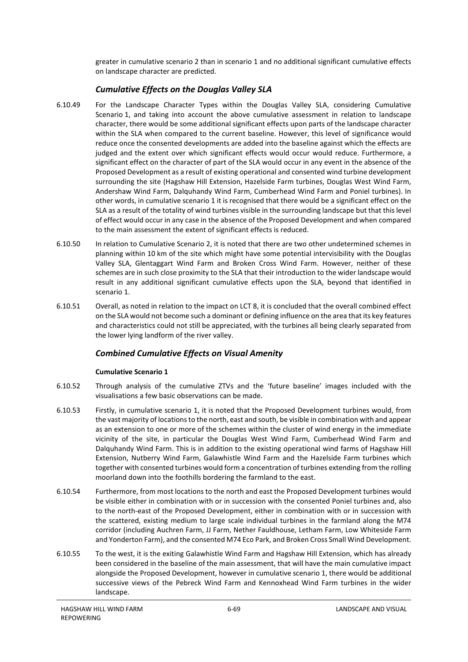greater in cumulative scenario 2 than in scenario 1 and no additional significant cumulative effects on landscape character are predicted.

# *Cumulative Effects on the Douglas Valley SLA*

- 6.10.49 For the Landscape Character Types within the Douglas Valley SLA, considering Cumulative Scenario 1, and taking into account the above cumulative assessment in relation to landscape character, there would be some additional significant effects upon parts of the landscape character within the SLA when compared to the current baseline. However, this level of significance would reduce once the consented developments are added into the baseline against which the effects are judged and the extent over which significant effects would occur would reduce. Furthermore, a significant effect on the character of part of the SLA would occur in any event in the absence of the Proposed Development as a result of existing operational and consented wind turbine development surrounding the site (Hagshaw Hill Extension, Hazelside Farm turbines, Douglas West Wind Farm, Andershaw Wind Farm, Dalquhandy Wind Farm, Cumberhead Wind Farm and Poniel turbines). In other words, in cumulative scenario 1 it is recognised that there would be a significant effect on the SLA as a result of the totality of wind turbines visible in the surrounding landscape but that this level of effect would occur in any case in the absence of the Proposed Development and when compared to the main assessment the extent of significant effects is reduced.
- 6.10.50 In relation to Cumulative Scenario 2, it is noted that there are two other undetermined schemes in planning within 10 km of the site which might have some potential intervisibility with the Douglas Valley SLA, Glentaggart Wind Farm and Broken Cross Wind Farm. However, neither of these schemes are in such close proximity to the SLA that their introduction to the wider landscape would result in any additional significant cumulative effects upon the SLA, beyond that identified in scenario 1.
- 6.10.51 Overall, as noted in relation to the impact on LCT 8, it is concluded that the overall combined effect on the SLA would not become such a dominant or defining influence on the area that its key features and characteristics could not still be appreciated, with the turbines all being clearly separated from the lower lying landform of the river valley.

# *Combined Cumulative Effects on Visual Amenity*

## **Cumulative Scenario 1**

- 6.10.52 Through analysis of the cumulative ZTVs and the 'future baseline' images included with the visualisations a few basic observations can be made.
- 6.10.53 Firstly, in cumulative scenario 1, it is noted that the Proposed Development turbines would, from the vast majority of locations to the north, east and south, be visible in combination with and appear as an extension to one or more of the schemes within the cluster of wind energy in the immediate vicinity of the site, in particular the Douglas West Wind Farm, Cumberhead Wind Farm and Dalquhandy Wind Farm. This is in addition to the existing operational wind farms of Hagshaw Hill Extension, Nutberry Wind Farm, Galawhistle Wind Farm and the Hazelside Farm turbines which together with consented turbines would form a concentration of turbines extending from the rolling moorland down into the foothills bordering the farmland to the east.
- 6.10.54 Furthermore, from most locations to the north and east the Proposed Development turbines would be visible either in combination with or in succession with the consented Poniel turbines and, also to the north-east of the Proposed Development, either in combination with or in succession with the scattered, existing medium to large scale individual turbines in the farmland along the M74 corridor (including Auchren Farm, JJ Farm, Nether Fauldhouse, Letham Farm, Low Whiteside Farm and Yonderton Farm), and the consented M74 Eco Park, and Broken Cross Small Wind Development.
- 6.10.55 To the west, it is the exiting Galawhistle Wind Farm and Hagshaw Hill Extension, which has already been considered in the baseline of the main assessment, that will have the main cumulative impact alongside the Proposed Development, however in cumulative scenario 1, there would be additional successive views of the Pebreck Wind Farm and Kennoxhead Wind Farm turbines in the wider landscape.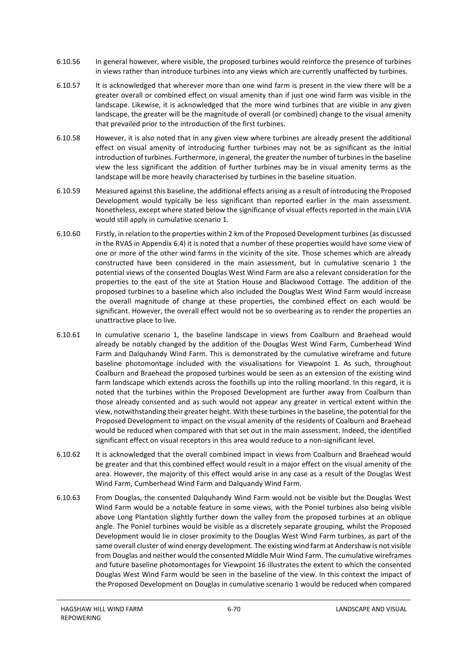- 6.10.56 In general however, where visible, the proposed turbines would reinforce the presence of turbines in views rather than introduce turbines into any views which are currently unaffected by turbines.
- 6.10.57 It is acknowledged that wherever more than one wind farm is present in the view there will be a greater overall or combined effect on visual amenity than if just one wind farm was visible in the landscape. Likewise, it is acknowledged that the more wind turbines that are visible in any given landscape, the greater will be the magnitude of overall (or combined) change to the visual amenity that prevailed prior to the introduction of the first turbines.
- 6.10.58 However, it is also noted that in any given view where turbines are already present the additional effect on visual amenity of introducing further turbines may not be as significant as the initial introduction of turbines. Furthermore, in general, the greater the number of turbines in the baseline view the less significant the addition of further turbines may be in visual amenity terms as the landscape will be more heavily characterised by turbines in the baseline situation.
- 6.10.59 Measured against this baseline, the additional effects arising as a result of introducing the Proposed Development would typically be less significant than reported earlier in the main assessment. Nonetheless, except where stated below the significance of visual effects reported in the main LVIA would still apply in cumulative scenario 1.
- 6.10.60 Firstly, in relation to the properties within 2 km of the Proposed Development turbines (as discussed in the RVAS in Appendix 6.4) it is noted that a number of these properties would have some view of one or more of the other wind farms in the vicinity of the site. Those schemes which are already constructed have been considered in the main assessment, but in cumulative scenario 1 the potential views of the consented Douglas West Wind Farm are also a relevant consideration for the properties to the east of the site at Station House and Blackwood Cottage. The addition of the proposed turbines to a baseline which also included the Douglas West Wind Farm would increase the overall magnitude of change at these properties, the combined effect on each would be significant. However, the overall effect would not be so overbearing as to render the properties an unattractive place to live.
- 6.10.61 In cumulative scenario 1, the baseline landscape in views from Coalburn and Braehead would already be notably changed by the addition of the Douglas West Wind Farm, Cumberhead Wind Farm and Dalquhandy Wind Farm. This is demonstrated by the cumulative wireframe and future baseline photomontage included with the visualisations for Viewpoint 1. As such, throughout Coalburn and Braehead the proposed turbines would be seen as an extension of the existing wind farm landscape which extends across the foothills up into the rolling moorland. In this regard, it is noted that the turbines within the Proposed Development are further away from Coalburn than those already consented and as such would not appear any greater in vertical extent within the view, notwithstanding their greater height. With these turbines in the baseline, the potential for the Proposed Development to impact on the visual amenity of the residents of Coalburn and Braehead would be reduced when compared with that set out in the main assessment. Indeed, the identified significant effect on visual receptors in this area would reduce to a non-significant level.
- 6.10.62 It is acknowledged that the overall combined impact in views from Coalburn and Braehead would be greater and that this combined effect would result in a major effect on the visual amenity of the area. However, the majority of this effect would arise in any case as a result of the Douglas West Wind Farm, Cumberhead Wind Farm and Dalquandy Wind Farm.
- 6.10.63 From Douglas, the consented Dalquhandy Wind Farm would not be visible but the Douglas West Wind Farm would be a notable feature in some views, with the Poniel turbines also being visible above Long Plantation slightly further down the valley from the proposed turbines at an oblique angle. The Poniel turbines would be visible as a discretely separate grouping, whilst the Proposed Development would lie in closer proximity to the Douglas West Wind Farm turbines, as part of the same overall cluster of wind energy development. The existing wind farm at Andershaw is not visible from Douglas and neither would the consented Middle Muir Wind Farm. The cumulative wireframes and future baseline photomontages for Viewpoint 16 illustrates the extent to which the consented Douglas West Wind Farm would be seen in the baseline of the view. In this context the impact of the Proposed Development on Douglas in cumulative scenario 1 would be reduced when compared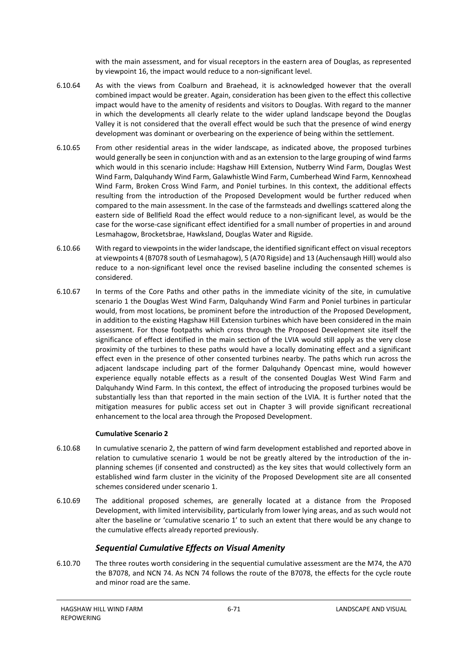with the main assessment, and for visual receptors in the eastern area of Douglas, as represented by viewpoint 16, the impact would reduce to a non-significant level.

- 6.10.64 As with the views from Coalburn and Braehead, it is acknowledged however that the overall combined impact would be greater. Again, consideration has been given to the effect this collective impact would have to the amenity of residents and visitors to Douglas. With regard to the manner in which the developments all clearly relate to the wider upland landscape beyond the Douglas Valley it is not considered that the overall effect would be such that the presence of wind energy development was dominant or overbearing on the experience of being within the settlement.
- 6.10.65 From other residential areas in the wider landscape, as indicated above, the proposed turbines would generally be seen in conjunction with and as an extension to the large grouping of wind farms which would in this scenario include: Hagshaw Hill Extension, Nutberry Wind Farm, Douglas West Wind Farm, Dalquhandy Wind Farm, Galawhistle Wind Farm, Cumberhead Wind Farm, Kennoxhead Wind Farm, Broken Cross Wind Farm, and Poniel turbines. In this context, the additional effects resulting from the introduction of the Proposed Development would be further reduced when compared to the main assessment. In the case of the farmsteads and dwellings scattered along the eastern side of Bellfield Road the effect would reduce to a non-significant level, as would be the case for the worse-case significant effect identified for a small number of properties in and around Lesmahagow, Brocketsbrae, Hawksland, Douglas Water and Rigside.
- 6.10.66 With regard to viewpoints in the wider landscape, the identified significant effect on visual receptors at viewpoints 4 (B7078 south of Lesmahagow), 5 (A70 Rigside) and 13 (Auchensaugh Hill) would also reduce to a non-significant level once the revised baseline including the consented schemes is considered.
- 6.10.67 In terms of the Core Paths and other paths in the immediate vicinity of the site, in cumulative scenario 1 the Douglas West Wind Farm, Dalquhandy Wind Farm and Poniel turbines in particular would, from most locations, be prominent before the introduction of the Proposed Development, in addition to the existing Hagshaw Hill Extension turbines which have been considered in the main assessment. For those footpaths which cross through the Proposed Development site itself the significance of effect identified in the main section of the LVIA would still apply as the very close proximity of the turbines to these paths would have a locally dominating effect and a significant effect even in the presence of other consented turbines nearby. The paths which run across the adjacent landscape including part of the former Dalquhandy Opencast mine, would however experience equally notable effects as a result of the consented Douglas West Wind Farm and Dalquhandy Wind Farm. In this context, the effect of introducing the proposed turbines would be substantially less than that reported in the main section of the LVIA. It is further noted that the mitigation measures for public access set out in Chapter 3 will provide significant recreational enhancement to the local area through the Proposed Development.

### **Cumulative Scenario 2**

- 6.10.68 In cumulative scenario 2, the pattern of wind farm development established and reported above in relation to cumulative scenario 1 would be not be greatly altered by the introduction of the inplanning schemes (if consented and constructed) as the key sites that would collectively form an established wind farm cluster in the vicinity of the Proposed Development site are all consented schemes considered under scenario 1.
- 6.10.69 The additional proposed schemes, are generally located at a distance from the Proposed Development, with limited intervisibility, particularly from lower lying areas, and as such would not alter the baseline or 'cumulative scenario 1' to such an extent that there would be any change to the cumulative effects already reported previously.

# *Sequential Cumulative Effects on Visual Amenity*

6.10.70 The three routes worth considering in the sequential cumulative assessment are the M74, the A70 the B7078, and NCN 74. As NCN 74 follows the route of the B7078, the effects for the cycle route and minor road are the same.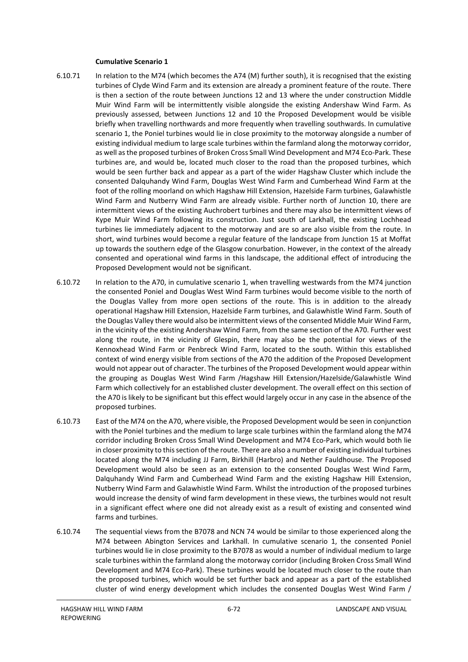#### **Cumulative Scenario 1**

- 6.10.71 In relation to the M74 (which becomes the A74 (M) further south), it is recognised that the existing turbines of Clyde Wind Farm and its extension are already a prominent feature of the route. There is then a section of the route between Junctions 12 and 13 where the under construction Middle Muir Wind Farm will be intermittently visible alongside the existing Andershaw Wind Farm. As previously assessed, between Junctions 12 and 10 the Proposed Development would be visible briefly when travelling northwards and more frequently when travelling southwards. In cumulative scenario 1, the Poniel turbines would lie in close proximity to the motorway alongside a number of existing individual medium to large scale turbines within the farmland along the motorway corridor, as well as the proposed turbines of Broken Cross Small Wind Development and M74 Eco-Park. These turbines are, and would be, located much closer to the road than the proposed turbines, which would be seen further back and appear as a part of the wider Hagshaw Cluster which include the consented Dalquhandy Wind Farm, Douglas West Wind Farm and Cumberhead Wind Farm at the foot of the rolling moorland on which Hagshaw Hill Extension, Hazelside Farm turbines, Galawhistle Wind Farm and Nutberry Wind Farm are already visible. Further north of Junction 10, there are intermittent views of the existing Auchrobert turbines and there may also be intermittent views of Kype Muir Wind Farm following its construction. Just south of Larkhall, the existing Lochhead turbines lie immediately adjacent to the motorway and are so are also visible from the route. In short, wind turbines would become a regular feature of the landscape from Junction 15 at Moffat up towards the southern edge of the Glasgow conurbation. However, in the context of the already consented and operational wind farms in this landscape, the additional effect of introducing the Proposed Development would not be significant.
- 6.10.72 In relation to the A70, in cumulative scenario 1, when travelling westwards from the M74 junction the consented Poniel and Douglas West Wind Farm turbines would become visible to the north of the Douglas Valley from more open sections of the route. This is in addition to the already operational Hagshaw Hill Extension, Hazelside Farm turbines, and Galawhistle Wind Farm. South of the Douglas Valley there would also be intermittent views of the consented Middle Muir Wind Farm, in the vicinity of the existing Andershaw Wind Farm, from the same section of the A70. Further west along the route, in the vicinity of Glespin, there may also be the potential for views of the Kennoxhead Wind Farm or Penbreck Wind Farm, located to the south. Within this established context of wind energy visible from sections of the A70 the addition of the Proposed Development would not appear out of character. The turbines of the Proposed Development would appear within the grouping as Douglas West Wind Farm /Hagshaw Hill Extension/Hazelside/Galawhistle Wind Farm which collectively for an established cluster development. The overall effect on this section of the A70 is likely to be significant but this effect would largely occur in any case in the absence of the proposed turbines.
- 6.10.73 East of the M74 on the A70, where visible, the Proposed Development would be seen in conjunction with the Poniel turbines and the medium to large scale turbines within the farmland along the M74 corridor including Broken Cross Small Wind Development and M74 Eco-Park, which would both lie in closer proximity to this section of the route. There are also a number of existing individual turbines located along the M74 including JJ Farm, Birkhill (Harbro) and Nether Fauldhouse. The Proposed Development would also be seen as an extension to the consented Douglas West Wind Farm, Dalquhandy Wind Farm and Cumberhead Wind Farm and the existing Hagshaw Hill Extension, Nutberry Wind Farm and Galawhistle Wind Farm. Whilst the introduction of the proposed turbines would increase the density of wind farm development in these views, the turbines would not result in a significant effect where one did not already exist as a result of existing and consented wind farms and turbines.
- 6.10.74 The sequential views from the B7078 and NCN 74 would be similar to those experienced along the M74 between Abington Services and Larkhall. In cumulative scenario 1, the consented Poniel turbines would lie in close proximity to the B7078 as would a number of individual medium to large scale turbines within the farmland along the motorway corridor (including Broken Cross Small Wind Development and M74 Eco-Park). These turbines would be located much closer to the route than the proposed turbines, which would be set further back and appear as a part of the established cluster of wind energy development which includes the consented Douglas West Wind Farm /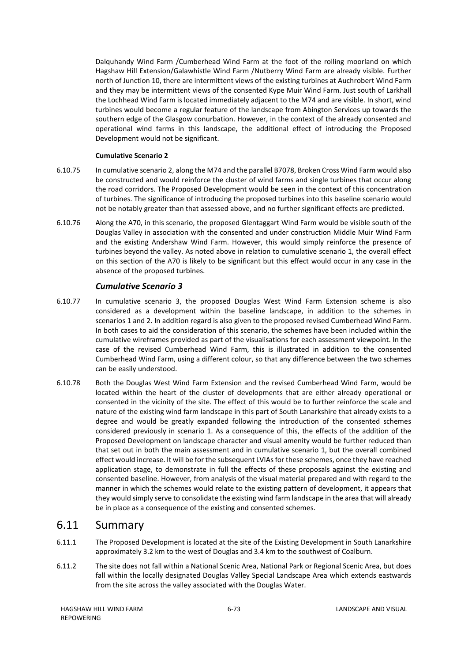Dalquhandy Wind Farm /Cumberhead Wind Farm at the foot of the rolling moorland on which Hagshaw Hill Extension/Galawhistle Wind Farm /Nutberry Wind Farm are already visible. Further north of Junction 10, there are intermittent views of the existing turbines at Auchrobert Wind Farm and they may be intermittent views of the consented Kype Muir Wind Farm. Just south of Larkhall the Lochhead Wind Farm is located immediately adjacent to the M74 and are visible. In short, wind turbines would become a regular feature of the landscape from Abington Services up towards the southern edge of the Glasgow conurbation. However, in the context of the already consented and operational wind farms in this landscape, the additional effect of introducing the Proposed Development would not be significant.

### **Cumulative Scenario 2**

- 6.10.75 In cumulative scenario 2, along the M74 and the parallel B7078, Broken Cross Wind Farm would also be constructed and would reinforce the cluster of wind farms and single turbines that occur along the road corridors. The Proposed Development would be seen in the context of this concentration of turbines. The significance of introducing the proposed turbines into this baseline scenario would not be notably greater than that assessed above, and no further significant effects are predicted.
- 6.10.76 Along the A70, in this scenario, the proposed Glentaggart Wind Farm would be visible south of the Douglas Valley in association with the consented and under construction Middle Muir Wind Farm and the existing Andershaw Wind Farm. However, this would simply reinforce the presence of turbines beyond the valley. As noted above in relation to cumulative scenario 1, the overall effect on this section of the A70 is likely to be significant but this effect would occur in any case in the absence of the proposed turbines.

## *Cumulative Scenario 3*

- 6.10.77 In cumulative scenario 3, the proposed Douglas West Wind Farm Extension scheme is also considered as a development within the baseline landscape, in addition to the schemes in scenarios 1 and 2. In addition regard is also given to the proposed revised Cumberhead Wind Farm. In both cases to aid the consideration of this scenario, the schemes have been included within the cumulative wireframes provided as part of the visualisations for each assessment viewpoint. In the case of the revised Cumberhead Wind Farm, this is illustrated in addition to the consented Cumberhead Wind Farm, using a different colour, so that any difference between the two schemes can be easily understood.
- 6.10.78 Both the Douglas West Wind Farm Extension and the revised Cumberhead Wind Farm, would be located within the heart of the cluster of developments that are either already operational or consented in the vicinity of the site. The effect of this would be to further reinforce the scale and nature of the existing wind farm landscape in this part of South Lanarkshire that already exists to a degree and would be greatly expanded following the introduction of the consented schemes considered previously in scenario 1. As a consequence of this, the effects of the addition of the Proposed Development on landscape character and visual amenity would be further reduced than that set out in both the main assessment and in cumulative scenario 1, but the overall combined effect would increase. It will be for the subsequent LVIAs for these schemes, once they have reached application stage, to demonstrate in full the effects of these proposals against the existing and consented baseline. However, from analysis of the visual material prepared and with regard to the manner in which the schemes would relate to the existing pattern of development, it appears that they would simply serve to consolidate the existing wind farm landscape in the area that will already be in place as a consequence of the existing and consented schemes.

# 6.11 Summary

- 6.11.1 The Proposed Development is located at the site of the Existing Development in South Lanarkshire approximately 3.2 km to the west of Douglas and 3.4 km to the southwest of Coalburn.
- 6.11.2 The site does not fall within a National Scenic Area, National Park or Regional Scenic Area, but does fall within the locally designated Douglas Valley Special Landscape Area which extends eastwards from the site across the valley associated with the Douglas Water.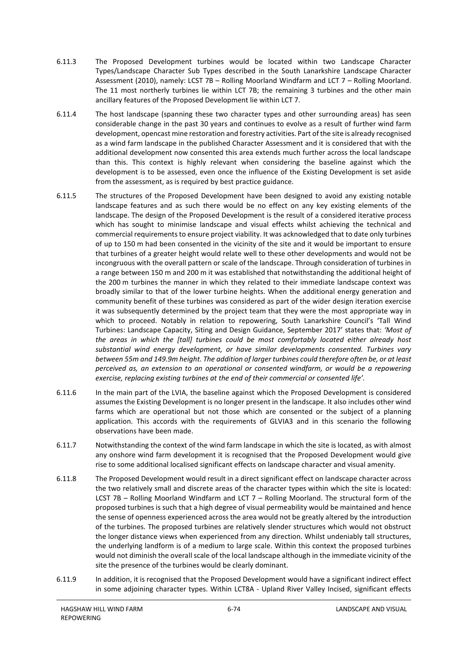- 6.11.3 The Proposed Development turbines would be located within two Landscape Character Types/Landscape Character Sub Types described in the South Lanarkshire Landscape Character Assessment (2010), namely: LCST 7B – Rolling Moorland Windfarm and LCT 7 – Rolling Moorland. The 11 most northerly turbines lie within LCT 7B; the remaining 3 turbines and the other main ancillary features of the Proposed Development lie within LCT 7.
- 6.11.4 The host landscape (spanning these two character types and other surrounding areas) has seen considerable change in the past 30 years and continues to evolve as a result of further wind farm development, opencast mine restoration and forestry activities. Part of the site is already recognised as a wind farm landscape in the published Character Assessment and it is considered that with the additional development now consented this area extends much further across the local landscape than this. This context is highly relevant when considering the baseline against which the development is to be assessed, even once the influence of the Existing Development is set aside from the assessment, as is required by best practice guidance.
- 6.11.5 The structures of the Proposed Development have been designed to avoid any existing notable landscape features and as such there would be no effect on any key existing elements of the landscape. The design of the Proposed Development is the result of a considered iterative process which has sought to minimise landscape and visual effects whilst achieving the technical and commercial requirements to ensure project viability. It was acknowledged that to date only turbines of up to 150 m had been consented in the vicinity of the site and it would be important to ensure that turbines of a greater height would relate well to these other developments and would not be incongruous with the overall pattern or scale of the landscape. Through consideration of turbines in a range between 150 m and 200 m it was established that notwithstanding the additional height of the 200 m turbines the manner in which they related to their immediate landscape context was broadly similar to that of the lower turbine heights. When the additional energy generation and community benefit of these turbines was considered as part of the wider design iteration exercise it was subsequently determined by the project team that they were the most appropriate way in which to proceed. Notably in relation to repowering, South Lanarkshire Council's 'Tall Wind Turbines: Landscape Capacity, Siting and Design Guidance, September 2017' states that: *'Most of the areas in which the [tall] turbines could be most comfortably located either already host substantial wind energy development, or have similar developments consented. Turbines vary between 55m and 149.9m height. The addition of larger turbines could therefore often be, or at least perceived as, an extension to an operational or consented windfarm, or would be a repowering exercise, replacing existing turbines at the end of their commercial or consented life'.*
- 6.11.6 In the main part of the LVIA, the baseline against which the Proposed Development is considered assumes the Existing Development is no longer present in the landscape. It also includes other wind farms which are operational but not those which are consented or the subject of a planning application. This accords with the requirements of GLVIA3 and in this scenario the following observations have been made.
- 6.11.7 Notwithstanding the context of the wind farm landscape in which the site is located, as with almost any onshore wind farm development it is recognised that the Proposed Development would give rise to some additional localised significant effects on landscape character and visual amenity.
- 6.11.8 The Proposed Development would result in a direct significant effect on landscape character across the two relatively small and discrete areas of the character types within which the site is located: LCST 7B – Rolling Moorland Windfarm and LCT 7 – Rolling Moorland. The structural form of the proposed turbines is such that a high degree of visual permeability would be maintained and hence the sense of openness experienced across the area would not be greatly altered by the introduction of the turbines. The proposed turbines are relatively slender structures which would not obstruct the longer distance views when experienced from any direction. Whilst undeniably tall structures, the underlying landform is of a medium to large scale. Within this context the proposed turbines would not diminish the overall scale of the local landscape although in the immediate vicinity of the site the presence of the turbines would be clearly dominant.
- 6.11.9 In addition, it is recognised that the Proposed Development would have a significant indirect effect in some adjoining character types. Within LCT8A - Upland River Valley Incised, significant effects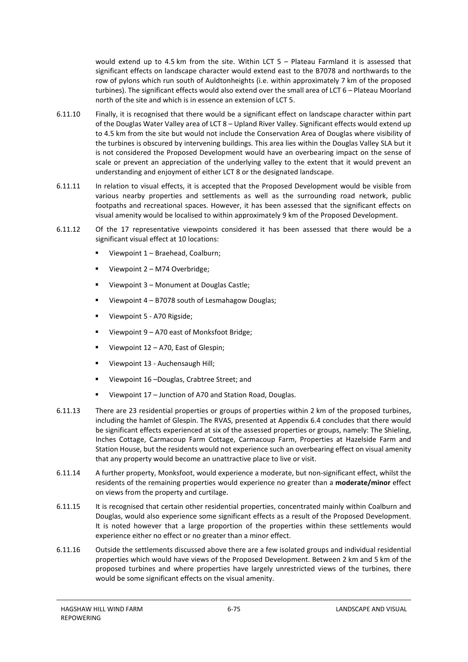would extend up to 4.5 km from the site. Within LCT 5 – Plateau Farmland it is assessed that significant effects on landscape character would extend east to the B7078 and northwards to the row of pylons which run south of Auldtonheights (i.e. within approximately 7 km of the proposed turbines). The significant effects would also extend over the small area of LCT 6 - Plateau Moorland north of the site and which is in essence an extension of LCT 5.

- 6.11.10 Finally, it is recognised that there would be a significant effect on landscape character within part of the Douglas Water Valley area of LCT 8 – Upland River Valley. Significant effects would extend up to 4.5 km from the site but would not include the Conservation Area of Douglas where visibility of the turbines is obscured by intervening buildings. This area lies within the Douglas Valley SLA but it is not considered the Proposed Development would have an overbearing impact on the sense of scale or prevent an appreciation of the underlying valley to the extent that it would prevent an understanding and enjoyment of either LCT 8 or the designated landscape.
- 6.11.11 In relation to visual effects, it is accepted that the Proposed Development would be visible from various nearby properties and settlements as well as the surrounding road network, public footpaths and recreational spaces. However, it has been assessed that the significant effects on visual amenity would be localised to within approximately 9 km of the Proposed Development.
- 6.11.12 Of the 17 representative viewpoints considered it has been assessed that there would be a significant visual effect at 10 locations:
	- Viewpoint 1 Braehead, Coalburn;
	- Viewpoint 2 M74 Overbridge;
	- Viewpoint 3 Monument at Douglas Castle;
	- Viewpoint 4 B7078 south of Lesmahagow Douglas;
	- Viewpoint 5 A70 Rigside;
	- Viewpoint 9 A70 east of Monksfoot Bridge;
	- Viewpoint 12 A70, East of Glespin;
	- **Viewpoint 13 Auchensaugh Hill;**
	- **Ullergensize 16 -Douglas, Crabtree Street; and**
	- Viewpoint 17 Junction of A70 and Station Road, Douglas.
- 6.11.13 There are 23 residential properties or groups of properties within 2 km of the proposed turbines, including the hamlet of Glespin. The RVAS, presented at Appendix 6.4 concludes that there would be significant effects experienced at six of the assessed properties or groups, namely: The Shieling, Inches Cottage, Carmacoup Farm Cottage, Carmacoup Farm, Properties at Hazelside Farm and Station House, but the residents would not experience such an overbearing effect on visual amenity that any property would become an unattractive place to live or visit.
- 6.11.14 A further property, Monksfoot, would experience a moderate, but non-significant effect, whilst the residents of the remaining properties would experience no greater than a **moderate/minor** effect on views from the property and curtilage.
- 6.11.15 It is recognised that certain other residential properties, concentrated mainly within Coalburn and Douglas, would also experience some significant effects as a result of the Proposed Development. It is noted however that a large proportion of the properties within these settlements would experience either no effect or no greater than a minor effect.
- 6.11.16 Outside the settlements discussed above there are a few isolated groups and individual residential properties which would have views of the Proposed Development. Between 2 km and 5 km of the proposed turbines and where properties have largely unrestricted views of the turbines, there would be some significant effects on the visual amenity.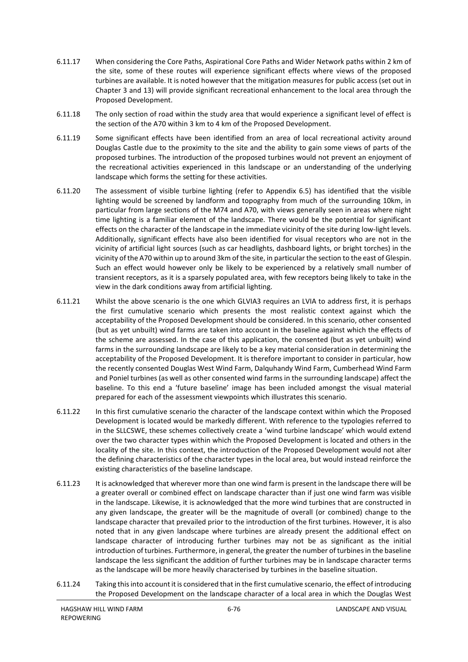- 6.11.17 When considering the Core Paths, Aspirational Core Paths and Wider Network paths within 2 km of the site, some of these routes will experience significant effects where views of the proposed turbines are available. It is noted however that the mitigation measures for public access (set out in Chapter 3 and 13) will provide significant recreational enhancement to the local area through the Proposed Development.
- 6.11.18 The only section of road within the study area that would experience a significant level of effect is the section of the A70 within 3 km to 4 km of the Proposed Development.
- 6.11.19 Some significant effects have been identified from an area of local recreational activity around Douglas Castle due to the proximity to the site and the ability to gain some views of parts of the proposed turbines. The introduction of the proposed turbines would not prevent an enjoyment of the recreational activities experienced in this landscape or an understanding of the underlying landscape which forms the setting for these activities.
- 6.11.20 The assessment of visible turbine lighting (refer to Appendix 6.5) has identified that the visible lighting would be screened by landform and topography from much of the surrounding 10km, in particular from large sections of the M74 and A70, with views generally seen in areas where night time lighting is a familiar element of the landscape. There would be the potential for significant effects on the character of the landscape in the immediate vicinity of the site during low-light levels. Additionally, significant effects have also been identified for visual receptors who are not in the vicinity of artificial light sources (such as car headlights, dashboard lights, or bright torches) in the vicinity of the A70 within up to around 3km of the site, in particular the section to the east of Glespin. Such an effect would however only be likely to be experienced by a relatively small number of transient receptors, as it is a sparsely populated area, with few receptors being likely to take in the view in the dark conditions away from artificial lighting.
- 6.11.21 Whilst the above scenario is the one which GLVIA3 requires an LVIA to address first, it is perhaps the first cumulative scenario which presents the most realistic context against which the acceptability of the Proposed Development should be considered. In this scenario, other consented (but as yet unbuilt) wind farms are taken into account in the baseline against which the effects of the scheme are assessed. In the case of this application, the consented (but as yet unbuilt) wind farms in the surrounding landscape are likely to be a key material consideration in determining the acceptability of the Proposed Development. It is therefore important to consider in particular, how the recently consented Douglas West Wind Farm, Dalquhandy Wind Farm, Cumberhead Wind Farm and Poniel turbines (as well as other consented wind farms in the surrounding landscape) affect the baseline. To this end a 'future baseline' image has been included amongst the visual material prepared for each of the assessment viewpoints which illustrates this scenario.
- 6.11.22 In this first cumulative scenario the character of the landscape context within which the Proposed Development is located would be markedly different. With reference to the typologies referred to in the SLLCSWE, these schemes collectively create a 'wind turbine landscape' which would extend over the two character types within which the Proposed Development is located and others in the locality of the site. In this context, the introduction of the Proposed Development would not alter the defining characteristics of the character types in the local area, but would instead reinforce the existing characteristics of the baseline landscape.
- 6.11.23 It is acknowledged that wherever more than one wind farm is present in the landscape there will be a greater overall or combined effect on landscape character than if just one wind farm was visible in the landscape. Likewise, it is acknowledged that the more wind turbines that are constructed in any given landscape, the greater will be the magnitude of overall (or combined) change to the landscape character that prevailed prior to the introduction of the first turbines. However, it is also noted that in any given landscape where turbines are already present the additional effect on landscape character of introducing further turbines may not be as significant as the initial introduction of turbines. Furthermore, in general, the greater the number of turbines in the baseline landscape the less significant the addition of further turbines may be in landscape character terms as the landscape will be more heavily characterised by turbines in the baseline situation.
- 6.11.24 Taking this into account it is considered that in the first cumulative scenario, the effect of introducing the Proposed Development on the landscape character of a local area in which the Douglas West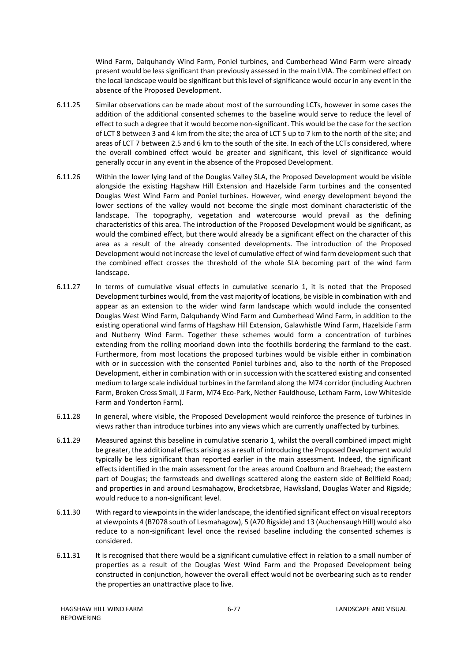Wind Farm, Dalquhandy Wind Farm, Poniel turbines, and Cumberhead Wind Farm were already present would be less significant than previously assessed in the main LVIA. The combined effect on the local landscape would be significant but this level of significance would occur in any event in the absence of the Proposed Development.

- 6.11.25 Similar observations can be made about most of the surrounding LCTs, however in some cases the addition of the additional consented schemes to the baseline would serve to reduce the level of effect to such a degree that it would become non-significant. This would be the case for the section of LCT 8 between 3 and 4 km from the site; the area of LCT 5 up to 7 km to the north of the site; and areas of LCT 7 between 2.5 and 6 km to the south of the site. In each of the LCTs considered, where the overall combined effect would be greater and significant, this level of significance would generally occur in any event in the absence of the Proposed Development.
- 6.11.26 Within the lower lying land of the Douglas Valley SLA, the Proposed Development would be visible alongside the existing Hagshaw Hill Extension and Hazelside Farm turbines and the consented Douglas West Wind Farm and Poniel turbines. However, wind energy development beyond the lower sections of the valley would not become the single most dominant characteristic of the landscape. The topography, vegetation and watercourse would prevail as the defining characteristics of this area. The introduction of the Proposed Development would be significant, as would the combined effect, but there would already be a significant effect on the character of this area as a result of the already consented developments. The introduction of the Proposed Development would not increase the level of cumulative effect of wind farm development such that the combined effect crosses the threshold of the whole SLA becoming part of the wind farm landscape.
- 6.11.27 In terms of cumulative visual effects in cumulative scenario 1, it is noted that the Proposed Development turbines would, from the vast majority of locations, be visible in combination with and appear as an extension to the wider wind farm landscape which would include the consented Douglas West Wind Farm, Dalquhandy Wind Farm and Cumberhead Wind Farm, in addition to the existing operational wind farms of Hagshaw Hill Extension, Galawhistle Wind Farm, Hazelside Farm and Nutberry Wind Farm. Together these schemes would form a concentration of turbines extending from the rolling moorland down into the foothills bordering the farmland to the east. Furthermore, from most locations the proposed turbines would be visible either in combination with or in succession with the consented Poniel turbines and, also to the north of the Proposed Development, either in combination with or in succession with the scattered existing and consented medium to large scale individual turbines in the farmland along the M74 corridor (including Auchren Farm, Broken Cross Small, JJ Farm, M74 Eco-Park, Nether Fauldhouse, Letham Farm, Low Whiteside Farm and Yonderton Farm).
- 6.11.28 In general, where visible, the Proposed Development would reinforce the presence of turbines in views rather than introduce turbines into any views which are currently unaffected by turbines.
- 6.11.29 Measured against this baseline in cumulative scenario 1, whilst the overall combined impact might be greater, the additional effects arising as a result of introducing the Proposed Development would typically be less significant than reported earlier in the main assessment. Indeed, the significant effects identified in the main assessment for the areas around Coalburn and Braehead; the eastern part of Douglas; the farmsteads and dwellings scattered along the eastern side of Bellfield Road; and properties in and around Lesmahagow, Brocketsbrae, Hawksland, Douglas Water and Rigside; would reduce to a non-significant level.
- 6.11.30 With regard to viewpoints in the wider landscape, the identified significant effect on visual receptors at viewpoints 4 (B7078 south of Lesmahagow), 5 (A70 Rigside) and 13 (Auchensaugh Hill) would also reduce to a non-significant level once the revised baseline including the consented schemes is considered.
- 6.11.31 It is recognised that there would be a significant cumulative effect in relation to a small number of properties as a result of the Douglas West Wind Farm and the Proposed Development being constructed in conjunction, however the overall effect would not be overbearing such as to render the properties an unattractive place to live.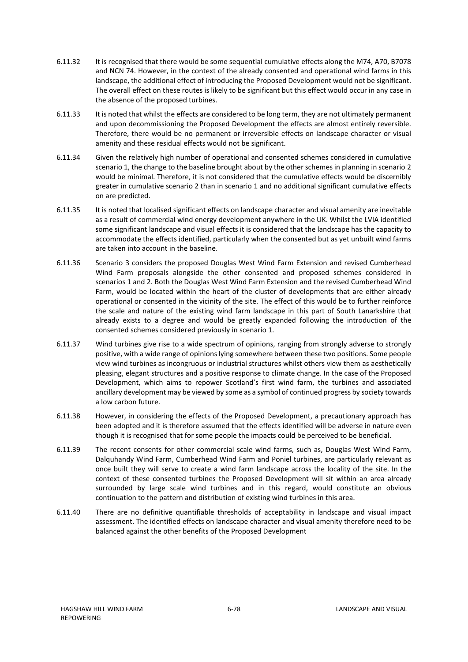- 6.11.32 It is recognised that there would be some sequential cumulative effects along the M74, A70, B7078 and NCN 74. However, in the context of the already consented and operational wind farms in this landscape, the additional effect of introducing the Proposed Development would not be significant. The overall effect on these routes is likely to be significant but this effect would occur in any case in the absence of the proposed turbines.
- 6.11.33 It is noted that whilst the effects are considered to be long term, they are not ultimately permanent and upon decommissioning the Proposed Development the effects are almost entirely reversible. Therefore, there would be no permanent or irreversible effects on landscape character or visual amenity and these residual effects would not be significant.
- 6.11.34 Given the relatively high number of operational and consented schemes considered in cumulative scenario 1, the change to the baseline brought about by the other schemes in planning in scenario 2 would be minimal. Therefore, it is not considered that the cumulative effects would be discernibly greater in cumulative scenario 2 than in scenario 1 and no additional significant cumulative effects on are predicted.
- 6.11.35 It is noted that localised significant effects on landscape character and visual amenity are inevitable as a result of commercial wind energy development anywhere in the UK. Whilst the LVIA identified some significant landscape and visual effects it is considered that the landscape has the capacity to accommodate the effects identified, particularly when the consented but as yet unbuilt wind farms are taken into account in the baseline.
- 6.11.36 Scenario 3 considers the proposed Douglas West Wind Farm Extension and revised Cumberhead Wind Farm proposals alongside the other consented and proposed schemes considered in scenarios 1 and 2. Both the Douglas West Wind Farm Extension and the revised Cumberhead Wind Farm, would be located within the heart of the cluster of developments that are either already operational or consented in the vicinity of the site. The effect of this would be to further reinforce the scale and nature of the existing wind farm landscape in this part of South Lanarkshire that already exists to a degree and would be greatly expanded following the introduction of the consented schemes considered previously in scenario 1.
- 6.11.37 Wind turbines give rise to a wide spectrum of opinions, ranging from strongly adverse to strongly positive, with a wide range of opinions lying somewhere between these two positions. Some people view wind turbines as incongruous or industrial structures whilst others view them as aesthetically pleasing, elegant structures and a positive response to climate change. In the case of the Proposed Development, which aims to repower Scotland's first wind farm, the turbines and associated ancillary development may be viewed by some as a symbol of continued progress by society towards a low carbon future.
- 6.11.38 However, in considering the effects of the Proposed Development, a precautionary approach has been adopted and it is therefore assumed that the effects identified will be adverse in nature even though it is recognised that for some people the impacts could be perceived to be beneficial.
- 6.11.39 The recent consents for other commercial scale wind farms, such as, Douglas West Wind Farm, Dalquhandy Wind Farm, Cumberhead Wind Farm and Poniel turbines, are particularly relevant as once built they will serve to create a wind farm landscape across the locality of the site. In the context of these consented turbines the Proposed Development will sit within an area already surrounded by large scale wind turbines and in this regard, would constitute an obvious continuation to the pattern and distribution of existing wind turbines in this area.
- 6.11.40 There are no definitive quantifiable thresholds of acceptability in landscape and visual impact assessment. The identified effects on landscape character and visual amenity therefore need to be balanced against the other benefits of the Proposed Development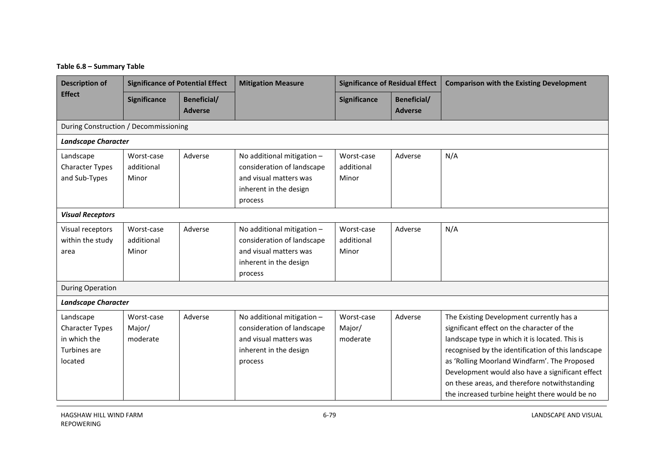### **Table 6.8 – Summary Table**

| <b>Description of</b>                                                          | <b>Significance of Potential Effect</b> |                                      | <b>Mitigation Measure</b>                                                                                                 | <b>Significance of Residual Effect</b> |                                      | <b>Comparison with the Existing Development</b>                                                                                                                                                                                                                                                                                                                                                       |  |  |
|--------------------------------------------------------------------------------|-----------------------------------------|--------------------------------------|---------------------------------------------------------------------------------------------------------------------------|----------------------------------------|--------------------------------------|-------------------------------------------------------------------------------------------------------------------------------------------------------------------------------------------------------------------------------------------------------------------------------------------------------------------------------------------------------------------------------------------------------|--|--|
| <b>Effect</b>                                                                  | Significance                            | <b>Beneficial/</b><br><b>Adverse</b> |                                                                                                                           | Significance                           | <b>Beneficial/</b><br><b>Adverse</b> |                                                                                                                                                                                                                                                                                                                                                                                                       |  |  |
| During Construction / Decommissioning                                          |                                         |                                      |                                                                                                                           |                                        |                                      |                                                                                                                                                                                                                                                                                                                                                                                                       |  |  |
| <b>Landscape Character</b>                                                     |                                         |                                      |                                                                                                                           |                                        |                                      |                                                                                                                                                                                                                                                                                                                                                                                                       |  |  |
| Landscape<br><b>Character Types</b><br>and Sub-Types                           | Worst-case<br>additional<br>Minor       | Adverse                              | No additional mitigation $-$<br>consideration of landscape<br>and visual matters was<br>inherent in the design<br>process | Worst-case<br>additional<br>Minor      | Adverse                              | N/A                                                                                                                                                                                                                                                                                                                                                                                                   |  |  |
| <b>Visual Receptors</b>                                                        |                                         |                                      |                                                                                                                           |                                        |                                      |                                                                                                                                                                                                                                                                                                                                                                                                       |  |  |
| Visual receptors<br>within the study<br>area                                   | Worst-case<br>additional<br>Minor       | Adverse                              | No additional mitigation -<br>consideration of landscape<br>and visual matters was<br>inherent in the design<br>process   | Worst-case<br>additional<br>Minor      | Adverse                              | N/A                                                                                                                                                                                                                                                                                                                                                                                                   |  |  |
| <b>During Operation</b>                                                        |                                         |                                      |                                                                                                                           |                                        |                                      |                                                                                                                                                                                                                                                                                                                                                                                                       |  |  |
| <b>Landscape Character</b>                                                     |                                         |                                      |                                                                                                                           |                                        |                                      |                                                                                                                                                                                                                                                                                                                                                                                                       |  |  |
| Landscape<br><b>Character Types</b><br>in which the<br>Turbines are<br>located | Worst-case<br>Major/<br>moderate        | Adverse                              | No additional mitigation -<br>consideration of landscape<br>and visual matters was<br>inherent in the design<br>process   | Worst-case<br>Major/<br>moderate       | Adverse                              | The Existing Development currently has a<br>significant effect on the character of the<br>landscape type in which it is located. This is<br>recognised by the identification of this landscape<br>as 'Rolling Moorland Windfarm'. The Proposed<br>Development would also have a significant effect<br>on these areas, and therefore notwithstanding<br>the increased turbine height there would be no |  |  |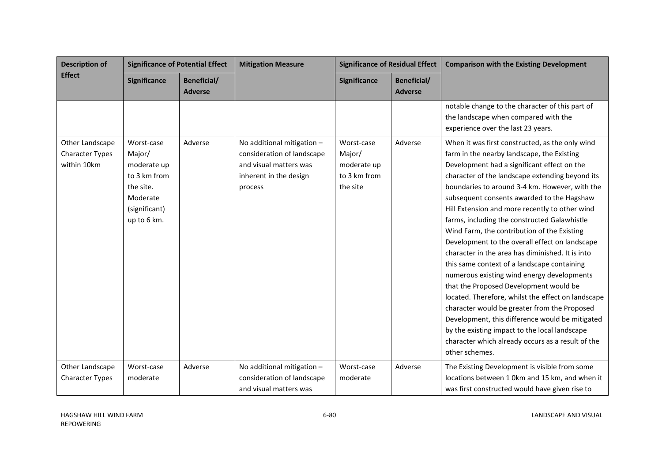| <b>Description of</b>                                    | <b>Significance of Potential Effect</b>                                                                      |                                      | <b>Mitigation Measure</b>                                                                                               | <b>Significance of Residual Effect</b>                          |                                      | <b>Comparison with the Existing Development</b>                                                                                                                                                                                                                                                                                                                                                                                                                                                                                                                                                                                                                                                                                                                                                                                                                                                                                                                                |
|----------------------------------------------------------|--------------------------------------------------------------------------------------------------------------|--------------------------------------|-------------------------------------------------------------------------------------------------------------------------|-----------------------------------------------------------------|--------------------------------------|--------------------------------------------------------------------------------------------------------------------------------------------------------------------------------------------------------------------------------------------------------------------------------------------------------------------------------------------------------------------------------------------------------------------------------------------------------------------------------------------------------------------------------------------------------------------------------------------------------------------------------------------------------------------------------------------------------------------------------------------------------------------------------------------------------------------------------------------------------------------------------------------------------------------------------------------------------------------------------|
| <b>Effect</b>                                            | <b>Significance</b>                                                                                          | <b>Beneficial/</b><br><b>Adverse</b> |                                                                                                                         | Significance                                                    | <b>Beneficial/</b><br><b>Adverse</b> |                                                                                                                                                                                                                                                                                                                                                                                                                                                                                                                                                                                                                                                                                                                                                                                                                                                                                                                                                                                |
|                                                          |                                                                                                              |                                      |                                                                                                                         |                                                                 |                                      | notable change to the character of this part of<br>the landscape when compared with the<br>experience over the last 23 years.                                                                                                                                                                                                                                                                                                                                                                                                                                                                                                                                                                                                                                                                                                                                                                                                                                                  |
| Other Landscape<br><b>Character Types</b><br>within 10km | Worst-case<br>Major/<br>moderate up<br>to 3 km from<br>the site.<br>Moderate<br>(significant)<br>up to 6 km. | Adverse                              | No additional mitigation -<br>consideration of landscape<br>and visual matters was<br>inherent in the design<br>process | Worst-case<br>Major/<br>moderate up<br>to 3 km from<br>the site | Adverse                              | When it was first constructed, as the only wind<br>farm in the nearby landscape, the Existing<br>Development had a significant effect on the<br>character of the landscape extending beyond its<br>boundaries to around 3-4 km. However, with the<br>subsequent consents awarded to the Hagshaw<br>Hill Extension and more recently to other wind<br>farms, including the constructed Galawhistle<br>Wind Farm, the contribution of the Existing<br>Development to the overall effect on landscape<br>character in the area has diminished. It is into<br>this same context of a landscape containing<br>numerous existing wind energy developments<br>that the Proposed Development would be<br>located. Therefore, whilst the effect on landscape<br>character would be greater from the Proposed<br>Development, this difference would be mitigated<br>by the existing impact to the local landscape<br>character which already occurs as a result of the<br>other schemes. |
| Other Landscape<br><b>Character Types</b>                | Worst-case<br>moderate                                                                                       | Adverse                              | No additional mitigation -<br>consideration of landscape<br>and visual matters was                                      | Worst-case<br>moderate                                          | Adverse                              | The Existing Development is visible from some<br>locations between 1 0km and 15 km, and when it<br>was first constructed would have given rise to                                                                                                                                                                                                                                                                                                                                                                                                                                                                                                                                                                                                                                                                                                                                                                                                                              |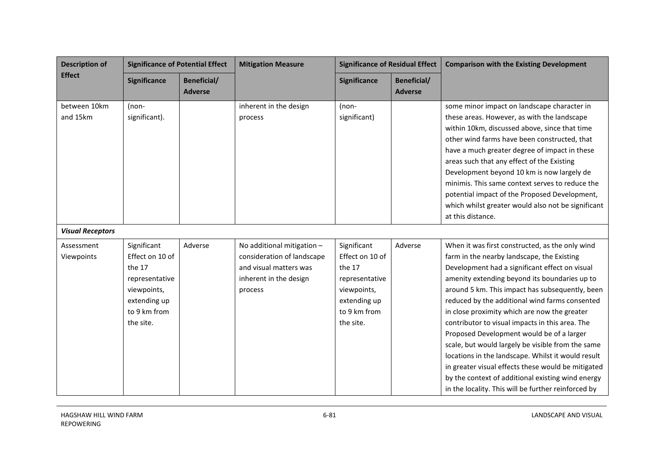| <b>Description of</b><br><b>Effect</b> | <b>Significance of Potential Effect</b>                                                                                |                                      | <b>Mitigation Measure</b>                                                                                               | <b>Significance of Residual Effect</b>                                                                                 |                                      | <b>Comparison with the Existing Development</b>                                                                                                                                                                                                                                                                                                                                                                                                                                                                                                                                                                                                                                                                                    |
|----------------------------------------|------------------------------------------------------------------------------------------------------------------------|--------------------------------------|-------------------------------------------------------------------------------------------------------------------------|------------------------------------------------------------------------------------------------------------------------|--------------------------------------|------------------------------------------------------------------------------------------------------------------------------------------------------------------------------------------------------------------------------------------------------------------------------------------------------------------------------------------------------------------------------------------------------------------------------------------------------------------------------------------------------------------------------------------------------------------------------------------------------------------------------------------------------------------------------------------------------------------------------------|
|                                        | <b>Significance</b>                                                                                                    | <b>Beneficial/</b><br><b>Adverse</b> |                                                                                                                         | <b>Significance</b>                                                                                                    | <b>Beneficial/</b><br><b>Adverse</b> |                                                                                                                                                                                                                                                                                                                                                                                                                                                                                                                                                                                                                                                                                                                                    |
| between 10km<br>and 15km               | $Inon-$<br>significant).                                                                                               |                                      | inherent in the design<br>process                                                                                       | $Inon-$<br>significant)                                                                                                |                                      | some minor impact on landscape character in<br>these areas. However, as with the landscape<br>within 10km, discussed above, since that time<br>other wind farms have been constructed, that<br>have a much greater degree of impact in these<br>areas such that any effect of the Existing<br>Development beyond 10 km is now largely de<br>minimis. This same context serves to reduce the<br>potential impact of the Proposed Development,<br>which whilst greater would also not be significant<br>at this distance.                                                                                                                                                                                                            |
| <b>Visual Receptors</b>                |                                                                                                                        |                                      |                                                                                                                         |                                                                                                                        |                                      |                                                                                                                                                                                                                                                                                                                                                                                                                                                                                                                                                                                                                                                                                                                                    |
| Assessment<br>Viewpoints               | Significant<br>Effect on 10 of<br>the 17<br>representative<br>viewpoints,<br>extending up<br>to 9 km from<br>the site. | Adverse                              | No additional mitigation -<br>consideration of landscape<br>and visual matters was<br>inherent in the design<br>process | Significant<br>Effect on 10 of<br>the 17<br>representative<br>viewpoints,<br>extending up<br>to 9 km from<br>the site. | Adverse                              | When it was first constructed, as the only wind<br>farm in the nearby landscape, the Existing<br>Development had a significant effect on visual<br>amenity extending beyond its boundaries up to<br>around 5 km. This impact has subsequently, been<br>reduced by the additional wind farms consented<br>in close proximity which are now the greater<br>contributor to visual impacts in this area. The<br>Proposed Development would be of a larger<br>scale, but would largely be visible from the same<br>locations in the landscape. Whilst it would result<br>in greater visual effects these would be mitigated<br>by the context of additional existing wind energy<br>in the locality. This will be further reinforced by |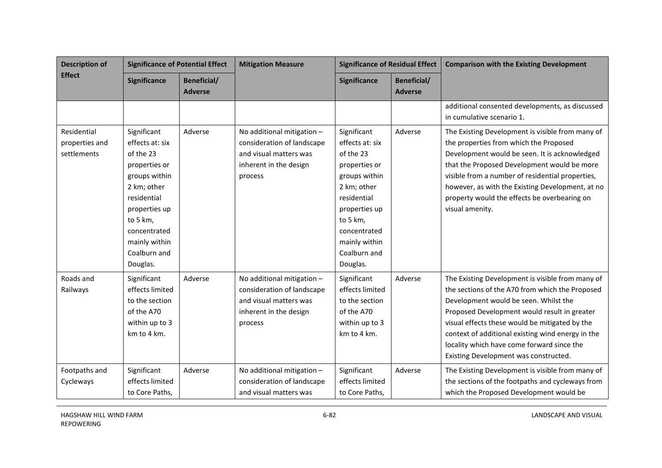| <b>Description of</b>                        | <b>Significance of Potential Effect</b>                                                                                                                                                               |                                      | <b>Mitigation Measure</b>                                                                                               | <b>Significance of Residual Effect</b>                                                                                                                                                                |                                      | <b>Comparison with the Existing Development</b>                                                                                                                                                                                                                                                                                                                                            |
|----------------------------------------------|-------------------------------------------------------------------------------------------------------------------------------------------------------------------------------------------------------|--------------------------------------|-------------------------------------------------------------------------------------------------------------------------|-------------------------------------------------------------------------------------------------------------------------------------------------------------------------------------------------------|--------------------------------------|--------------------------------------------------------------------------------------------------------------------------------------------------------------------------------------------------------------------------------------------------------------------------------------------------------------------------------------------------------------------------------------------|
| <b>Effect</b>                                | <b>Significance</b>                                                                                                                                                                                   | <b>Beneficial/</b><br><b>Adverse</b> |                                                                                                                         | <b>Significance</b>                                                                                                                                                                                   | <b>Beneficial/</b><br><b>Adverse</b> |                                                                                                                                                                                                                                                                                                                                                                                            |
|                                              |                                                                                                                                                                                                       |                                      |                                                                                                                         |                                                                                                                                                                                                       |                                      | additional consented developments, as discussed<br>in cumulative scenario 1.                                                                                                                                                                                                                                                                                                               |
| Residential<br>properties and<br>settlements | Significant<br>effects at: six<br>of the 23<br>properties or<br>groups within<br>2 km; other<br>residential<br>properties up<br>to 5 km,<br>concentrated<br>mainly within<br>Coalburn and<br>Douglas. | Adverse                              | No additional mitigation -<br>consideration of landscape<br>and visual matters was<br>inherent in the design<br>process | Significant<br>effects at: six<br>of the 23<br>properties or<br>groups within<br>2 km; other<br>residential<br>properties up<br>to 5 km,<br>concentrated<br>mainly within<br>Coalburn and<br>Douglas. | Adverse                              | The Existing Development is visible from many of<br>the properties from which the Proposed<br>Development would be seen. It is acknowledged<br>that the Proposed Development would be more<br>visible from a number of residential properties,<br>however, as with the Existing Development, at no<br>property would the effects be overbearing on<br>visual amenity.                      |
| Roads and<br>Railways                        | Significant<br>effects limited<br>to the section<br>of the A70<br>within up to 3<br>km to 4 km.                                                                                                       | Adverse                              | No additional mitigation -<br>consideration of landscape<br>and visual matters was<br>inherent in the design<br>process | Significant<br>effects limited<br>to the section<br>of the A70<br>within up to 3<br>km to 4 km.                                                                                                       | Adverse                              | The Existing Development is visible from many of<br>the sections of the A70 from which the Proposed<br>Development would be seen. Whilst the<br>Proposed Development would result in greater<br>visual effects these would be mitigated by the<br>context of additional existing wind energy in the<br>locality which have come forward since the<br>Existing Development was constructed. |
| Footpaths and<br>Cycleways                   | Significant<br>effects limited<br>to Core Paths,                                                                                                                                                      | Adverse                              | No additional mitigation -<br>consideration of landscape<br>and visual matters was                                      | Significant<br>effects limited<br>to Core Paths,                                                                                                                                                      | Adverse                              | The Existing Development is visible from many of<br>the sections of the footpaths and cycleways from<br>which the Proposed Development would be                                                                                                                                                                                                                                            |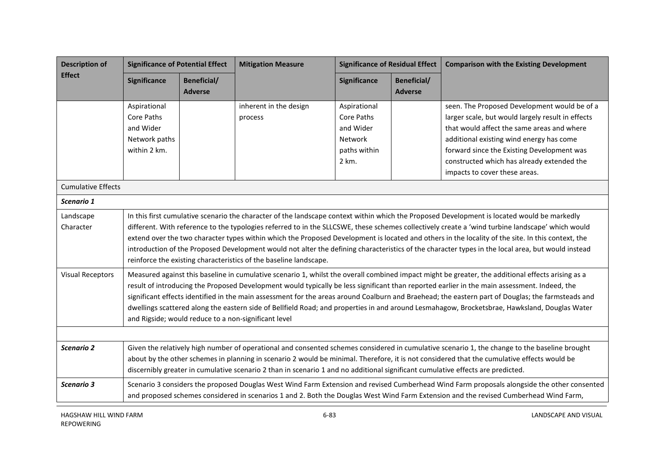| <b>Description of</b>     | <b>Significance of Potential Effect</b>                                                                                                                                                                                                                                                                                                                                                                                                                                                                                                                                                                                                                                        |                                                                                                                                                                                                                                                                                                                                                                                                                                 | <b>Mitigation Measure</b>         | <b>Significance of Residual Effect</b>                                      |                                      | <b>Comparison with the Existing Development</b>                                                                                                                                                                                                                                                                          |  |  |  |
|---------------------------|--------------------------------------------------------------------------------------------------------------------------------------------------------------------------------------------------------------------------------------------------------------------------------------------------------------------------------------------------------------------------------------------------------------------------------------------------------------------------------------------------------------------------------------------------------------------------------------------------------------------------------------------------------------------------------|---------------------------------------------------------------------------------------------------------------------------------------------------------------------------------------------------------------------------------------------------------------------------------------------------------------------------------------------------------------------------------------------------------------------------------|-----------------------------------|-----------------------------------------------------------------------------|--------------------------------------|--------------------------------------------------------------------------------------------------------------------------------------------------------------------------------------------------------------------------------------------------------------------------------------------------------------------------|--|--|--|
| <b>Effect</b>             | <b>Significance</b>                                                                                                                                                                                                                                                                                                                                                                                                                                                                                                                                                                                                                                                            | <b>Beneficial/</b><br><b>Adverse</b>                                                                                                                                                                                                                                                                                                                                                                                            |                                   | Significance                                                                | <b>Beneficial/</b><br><b>Adverse</b> |                                                                                                                                                                                                                                                                                                                          |  |  |  |
|                           | Aspirational<br>Core Paths<br>and Wider<br>Network paths<br>within 2 km.                                                                                                                                                                                                                                                                                                                                                                                                                                                                                                                                                                                                       |                                                                                                                                                                                                                                                                                                                                                                                                                                 | inherent in the design<br>process | Aspirational<br>Core Paths<br>and Wider<br>Network<br>paths within<br>2 km. |                                      | seen. The Proposed Development would be of a<br>larger scale, but would largely result in effects<br>that would affect the same areas and where<br>additional existing wind energy has come<br>forward since the Existing Development was<br>constructed which has already extended the<br>impacts to cover these areas. |  |  |  |
| <b>Cumulative Effects</b> |                                                                                                                                                                                                                                                                                                                                                                                                                                                                                                                                                                                                                                                                                |                                                                                                                                                                                                                                                                                                                                                                                                                                 |                                   |                                                                             |                                      |                                                                                                                                                                                                                                                                                                                          |  |  |  |
| Scenario 1                |                                                                                                                                                                                                                                                                                                                                                                                                                                                                                                                                                                                                                                                                                |                                                                                                                                                                                                                                                                                                                                                                                                                                 |                                   |                                                                             |                                      |                                                                                                                                                                                                                                                                                                                          |  |  |  |
| Landscape<br>Character    | In this first cumulative scenario the character of the landscape context within which the Proposed Development is located would be markedly<br>different. With reference to the typologies referred to in the SLLCSWE, these schemes collectively create a 'wind turbine landscape' which would<br>extend over the two character types within which the Proposed Development is located and others in the locality of the site. In this context, the<br>introduction of the Proposed Development would not alter the defining characteristics of the character types in the local area, but would instead<br>reinforce the existing characteristics of the baseline landscape. |                                                                                                                                                                                                                                                                                                                                                                                                                                 |                                   |                                                                             |                                      |                                                                                                                                                                                                                                                                                                                          |  |  |  |
| <b>Visual Receptors</b>   | Measured against this baseline in cumulative scenario 1, whilst the overall combined impact might be greater, the additional effects arising as a<br>result of introducing the Proposed Development would typically be less significant than reported earlier in the main assessment. Indeed, the<br>significant effects identified in the main assessment for the areas around Coalburn and Braehead; the eastern part of Douglas; the farmsteads and<br>dwellings scattered along the eastern side of Bellfield Road; and properties in and around Lesmahagow, Brocketsbrae, Hawksland, Douglas Water<br>and Rigside; would reduce to a non-significant level                |                                                                                                                                                                                                                                                                                                                                                                                                                                 |                                   |                                                                             |                                      |                                                                                                                                                                                                                                                                                                                          |  |  |  |
|                           |                                                                                                                                                                                                                                                                                                                                                                                                                                                                                                                                                                                                                                                                                |                                                                                                                                                                                                                                                                                                                                                                                                                                 |                                   |                                                                             |                                      |                                                                                                                                                                                                                                                                                                                          |  |  |  |
| <b>Scenario 2</b>         |                                                                                                                                                                                                                                                                                                                                                                                                                                                                                                                                                                                                                                                                                | Given the relatively high number of operational and consented schemes considered in cumulative scenario 1, the change to the baseline brought<br>about by the other schemes in planning in scenario 2 would be minimal. Therefore, it is not considered that the cumulative effects would be<br>discernibly greater in cumulative scenario 2 than in scenario 1 and no additional significant cumulative effects are predicted. |                                   |                                                                             |                                      |                                                                                                                                                                                                                                                                                                                          |  |  |  |
| Scenario 3                | Scenario 3 considers the proposed Douglas West Wind Farm Extension and revised Cumberhead Wind Farm proposals alongside the other consented<br>and proposed schemes considered in scenarios 1 and 2. Both the Douglas West Wind Farm Extension and the revised Cumberhead Wind Farm,                                                                                                                                                                                                                                                                                                                                                                                           |                                                                                                                                                                                                                                                                                                                                                                                                                                 |                                   |                                                                             |                                      |                                                                                                                                                                                                                                                                                                                          |  |  |  |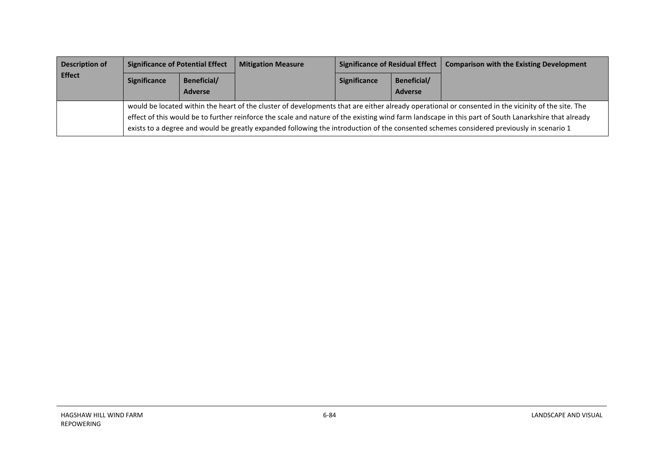| Description of<br><b>Effect</b> | <b>Significance of Potential Effect</b>                                                                                                                                                                                                                                                                    |                                      | <b>Mitigation Measure</b> | <b>Significance of Residual Effect</b> |                                      | <b>Comparison with the Existing Development</b> |  |
|---------------------------------|------------------------------------------------------------------------------------------------------------------------------------------------------------------------------------------------------------------------------------------------------------------------------------------------------------|--------------------------------------|---------------------------|----------------------------------------|--------------------------------------|-------------------------------------------------|--|
|                                 | <b>Significance</b>                                                                                                                                                                                                                                                                                        | <b>Beneficial/</b><br><b>Adverse</b> |                           | Significance                           | <b>Beneficial/</b><br><b>Adverse</b> |                                                 |  |
|                                 | would be located within the heart of the cluster of developments that are either already operational or consented in the vicinity of the site. The<br>effect of this would be to further reinforce the scale and nature of the existing wind farm landscape in this part of South Lanarkshire that already |                                      |                           |                                        |                                      |                                                 |  |
|                                 | exists to a degree and would be greatly expanded following the introduction of the consented schemes considered previously in scenario 1                                                                                                                                                                   |                                      |                           |                                        |                                      |                                                 |  |